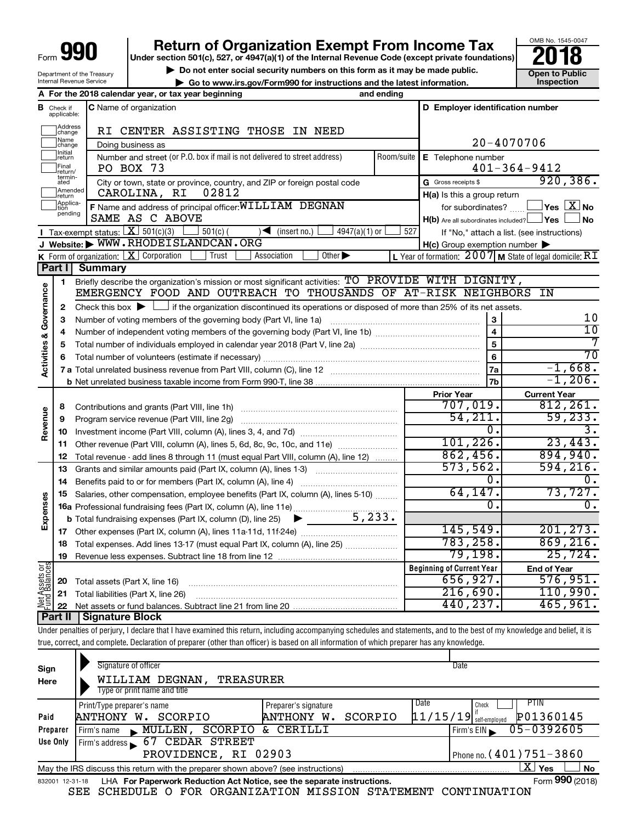| OO<br>ſ<br>Form '<br>ı |
|------------------------|
|------------------------|

Department of the Treasury Internal Revenue Service

# **990** Return of Organization Exempt From Income Tax **Punce 1845-004 Puncer section 501(c), 527, or 4947(a)(1)** of the Internal Revenue Code (except private foundations) **2018**

**b** Do not enter social security numbers on this form as it may be made public.<br> **Go to www.irs.gov/Form990 for instructions and the latest information. This impection** 

**| Go to www.irs.gov/Form990 for instructions and the latest information. Inspection**



|                                |                               | and ending<br>A For the 2018 calendar year, or tax year beginning                                                                                                     |            |                                                         |                                                           |
|--------------------------------|-------------------------------|-----------------------------------------------------------------------------------------------------------------------------------------------------------------------|------------|---------------------------------------------------------|-----------------------------------------------------------|
|                                | <b>B</b> Check if applicable: | <b>C</b> Name of organization                                                                                                                                         |            | D Employer identification number                        |                                                           |
|                                | Address<br>change             | RI CENTER ASSISTING THOSE IN NEED                                                                                                                                     |            |                                                         |                                                           |
|                                | Name<br>change                | Doing business as                                                                                                                                                     |            |                                                         | 20-4070706                                                |
|                                | Initial<br> return            | Number and street (or P.O. box if mail is not delivered to street address)                                                                                            | Room/suite | E Telephone number                                      |                                                           |
|                                | Final<br>return/              | PO BOX 73                                                                                                                                                             |            |                                                         | $401 - 364 - 9412$                                        |
|                                | termin-<br>ated               | City or town, state or province, country, and ZIP or foreign postal code                                                                                              |            | G Gross receipts \$                                     | 920, 386.                                                 |
|                                | Amended<br>return             | 02812<br>CAROLINA, RI                                                                                                                                                 |            | $H(a)$ is this a group return                           |                                                           |
|                                | Applica-<br>pending           | F Name and address of principal officer: WILLIAM DEGNAN                                                                                                               |            | for subordinates?                                       | $\blacksquare$ Yes $\boxed{\text{X}}$ No                  |
|                                |                               | SAME AS C ABOVE                                                                                                                                                       |            | $H(b)$ Are all subordinates included? $\Box$ Yes $\Box$ | ⊥No                                                       |
|                                |                               | Tax-exempt status: $X \mid 501(c)(3)$<br>$501(c)$ (<br>$\sqrt{\bullet}$ (insert no.)<br>$4947(a)(1)$ or                                                               | 527        |                                                         | If "No," attach a list. (see instructions)                |
|                                |                               | J Website: WWW.RHODEISLANDCAN.ORG                                                                                                                                     |            | $H(c)$ Group exemption number $\blacktriangleright$     |                                                           |
|                                |                               | K Form of organization: $X$ Corporation<br>Other $\blacktriangleright$<br>Trust<br>Association                                                                        |            |                                                         | L Year of formation: $2007$ M State of legal domicile: RT |
|                                | Part I                        | <b>Summary</b>                                                                                                                                                        |            |                                                         |                                                           |
|                                | $\mathbf{1}$                  | Briefly describe the organization's mission or most significant activities: TO PROVIDE WITH DIGNITY,<br>EMERGENCY FOOD AND OUTREACH TO THOUSANDS OF AT-RISK NEIGHBORS |            |                                                         | ΙN                                                        |
| Activities & Governance        | $\mathbf{2}$                  | Check this box $\blacktriangleright$ $\Box$ if the organization discontinued its operations or disposed of more than 25% of its net assets.                           |            |                                                         |                                                           |
|                                | з                             | Number of voting members of the governing body (Part VI, line 1a)                                                                                                     |            | 3                                                       | 10                                                        |
|                                | 4                             |                                                                                                                                                                       |            | $\overline{4}$                                          | $\overline{10}$                                           |
|                                | 5                             |                                                                                                                                                                       |            | 5                                                       |                                                           |
|                                | 6                             |                                                                                                                                                                       |            | 6                                                       | $\overline{70}$                                           |
|                                |                               |                                                                                                                                                                       |            | 7a                                                      | $-1,668.$                                                 |
|                                |                               |                                                                                                                                                                       |            | 7 <sub>b</sub>                                          | $-1, 206.$                                                |
|                                |                               |                                                                                                                                                                       |            | <b>Prior Year</b>                                       | <b>Current Year</b>                                       |
|                                | 8                             | Contributions and grants (Part VIII, line 1h)                                                                                                                         |            | 707,019.                                                | 812, 261.                                                 |
|                                | 9                             | Program service revenue (Part VIII, line 2g)                                                                                                                          |            | 54,211.                                                 | 59, 233.                                                  |
|                                | 10                            |                                                                                                                                                                       |            | 0.                                                      | $\overline{3}$ .                                          |
|                                | 11                            | Other revenue (Part VIII, column (A), lines 5, 6d, 8c, 9c, 10c, and 11e)                                                                                              |            | 101,226.                                                | 23,443.                                                   |
|                                | 12                            | Total revenue - add lines 8 through 11 (must equal Part VIII, column (A), line 12)                                                                                    |            | 862,456.                                                | 894,940.                                                  |
|                                | 13                            | Grants and similar amounts paid (Part IX, column (A), lines 1-3)                                                                                                      |            | 573,562.                                                | 594, 216.                                                 |
|                                | 14                            |                                                                                                                                                                       |            | Ο.                                                      | 0.                                                        |
|                                | 15                            | Salaries, other compensation, employee benefits (Part IX, column (A), lines 5-10)                                                                                     |            | 64, 147.                                                | 73,727.                                                   |
|                                |                               |                                                                                                                                                                       |            | Ο.                                                      | 0.                                                        |
|                                |                               | 5,233.<br><b>b</b> Total fundraising expenses (Part IX, column (D), line 25)<br>▶                                                                                     |            |                                                         | 201, 273.                                                 |
| Revenue<br>Expenses            | 17                            |                                                                                                                                                                       |            | 145,549.<br>783, 258.                                   | 869,216.                                                  |
|                                | 18                            | Total expenses. Add lines 13-17 (must equal Part IX, column (A), line 25)                                                                                             |            | 79,198.                                                 | 25,724.                                                   |
|                                | 19                            |                                                                                                                                                                       |            | <b>Beginning of Current Year</b>                        |                                                           |
| Net Assets or<br>Fund Balances |                               |                                                                                                                                                                       |            | 656,927.                                                | <b>End of Year</b><br>576,951.                            |
|                                | 20<br>21                      | Total assets (Part X, line 16)<br>Total liabilities (Part X, line 26)                                                                                                 |            | 216,690.                                                | 110,990.                                                  |
|                                | 22                            |                                                                                                                                                                       |            | 440,237.                                                | 465,961.                                                  |
|                                | Part II                       | <b>Signature Block</b>                                                                                                                                                |            |                                                         |                                                           |

Under penalties of perjury, I declare that I have examined this return, including accompanying schedules and statements, and to the best of my knowledge and belief, it is true, correct, and complete. Declaration of preparer (other than officer) is based on all information of which preparer has any knowledge.

| Sign<br>Here | Signature of officer<br><b>TREASURER</b><br>WILLIAM DEGNAN,<br>Type or print name and title                  |                                 | Date                                  |  |
|--------------|--------------------------------------------------------------------------------------------------------------|---------------------------------|---------------------------------------|--|
|              |                                                                                                              |                                 |                                       |  |
|              | Print/Type preparer's name                                                                                   | Preparer's signature            | Date<br>PTIN<br>Check                 |  |
| Paid         | SCORPIO<br>ANTHONY W.                                                                                        | SCORPIO<br><b>ANTHONY</b><br>w. | P01360145<br>$11/15/19$ self-employed |  |
| Preparer     | SCORPIO<br>MULLEN<br>Firm's name                                                                             | CERILLI<br>δż.                  | 05-0392605<br>Firm's $EIN$            |  |
| Use Only     | CEDAR STREET<br>67<br>Firm's address                                                                         |                                 |                                       |  |
|              | PROVIDENCE, RI 02903                                                                                         |                                 | Phone no. (401) 751-3860              |  |
|              | May the IRS discuss this return with the preparer shown above? (see instructions)                            |                                 | ΧI<br><b>No</b><br>Yes                |  |
|              | Form 990 (2018)<br>LHA For Paperwork Reduction Act Notice, see the separate instructions.<br>832001 12-31-18 |                                 |                                       |  |

SEE SCHEDULE O FOR ORGANIZATION MISSION STATEMENT CONTINUATION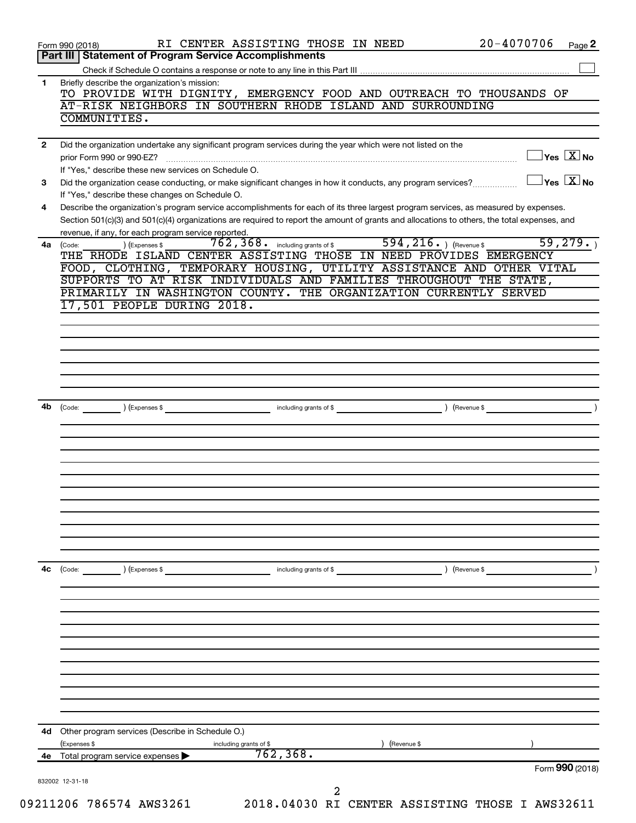|              | $20 - 4070706$<br>RI CENTER ASSISTING THOSE IN NEED<br>Page 2<br>Form 990 (2018)                                                                                |
|--------------|-----------------------------------------------------------------------------------------------------------------------------------------------------------------|
|              | <b>Statement of Program Service Accomplishments</b><br>Part III                                                                                                 |
|              |                                                                                                                                                                 |
| 1            | Briefly describe the organization's mission:<br>TO PROVIDE WITH DIGNITY, EMERGENCY FOOD AND OUTREACH TO THOUSANDS OF                                            |
|              | AT-RISK NEIGHBORS IN SOUTHERN RHODE ISLAND AND SURROUNDING<br>COMMUNITIES.                                                                                      |
|              |                                                                                                                                                                 |
| $\mathbf{2}$ | Did the organization undertake any significant program services during the year which were not listed on the                                                    |
|              | $\overline{\ }$ Yes $\overline{\rm X}$ No<br>prior Form 990 or 990-EZ?                                                                                          |
|              | If "Yes," describe these new services on Schedule O.<br>$\exists$ Yes $\boxed{\text{X}}$ No                                                                     |
| 3            | Did the organization cease conducting, or make significant changes in how it conducts, any program services?<br>If "Yes," describe these changes on Schedule O. |
| 4            | Describe the organization's program service accomplishments for each of its three largest program services, as measured by expenses.                            |
|              | Section 501(c)(3) and 501(c)(4) organizations are required to report the amount of grants and allocations to others, the total expenses, and                    |
|              | revenue, if any, for each program service reported.<br>594, 216. ) (Revenue \$<br>59, 279.                                                                      |
| 4a           | ) (Expenses \$<br>(Code:<br>THE RHODE ISLAND CENTER ASSISTING THOSE IN NEED PROVIDES EMERGENCY                                                                  |
|              | FOOD, CLOTHING, TEMPORARY HOUSING, UTILITY ASSISTANCE AND OTHER VITAL                                                                                           |
|              | SUPPORTS TO AT RISK INDIVIDUALS AND FAMILIES THROUGHOUT THE STATE,                                                                                              |
|              | PRIMARILY IN WASHINGTON COUNTY. THE ORGANIZATION CURRENTLY SERVED                                                                                               |
|              | 17,501 PEOPLE DURING 2018.                                                                                                                                      |
|              |                                                                                                                                                                 |
|              |                                                                                                                                                                 |
|              |                                                                                                                                                                 |
|              |                                                                                                                                                                 |
|              |                                                                                                                                                                 |
| 4b           | (Code: ) (Expenses \$                                                                                                                                           |
|              |                                                                                                                                                                 |
|              |                                                                                                                                                                 |
|              |                                                                                                                                                                 |
|              |                                                                                                                                                                 |
|              |                                                                                                                                                                 |
|              |                                                                                                                                                                 |
|              |                                                                                                                                                                 |
|              |                                                                                                                                                                 |
|              |                                                                                                                                                                 |
|              |                                                                                                                                                                 |
| 4с           | $\left(\text{Code:}\right)$<br>) (Expenses \$<br>including grants of \$<br>) (Revenue \$                                                                        |
|              |                                                                                                                                                                 |
|              |                                                                                                                                                                 |
|              |                                                                                                                                                                 |
|              |                                                                                                                                                                 |
|              |                                                                                                                                                                 |
|              |                                                                                                                                                                 |
|              |                                                                                                                                                                 |
|              |                                                                                                                                                                 |
|              |                                                                                                                                                                 |
|              |                                                                                                                                                                 |
|              |                                                                                                                                                                 |
| 4d           | Other program services (Describe in Schedule O.)                                                                                                                |
|              | (Expenses \$<br>(Revenue \$<br>including grants of \$                                                                                                           |
| 4е           | 762, 368.<br>Total program service expenses<br>Form 990 (2018)                                                                                                  |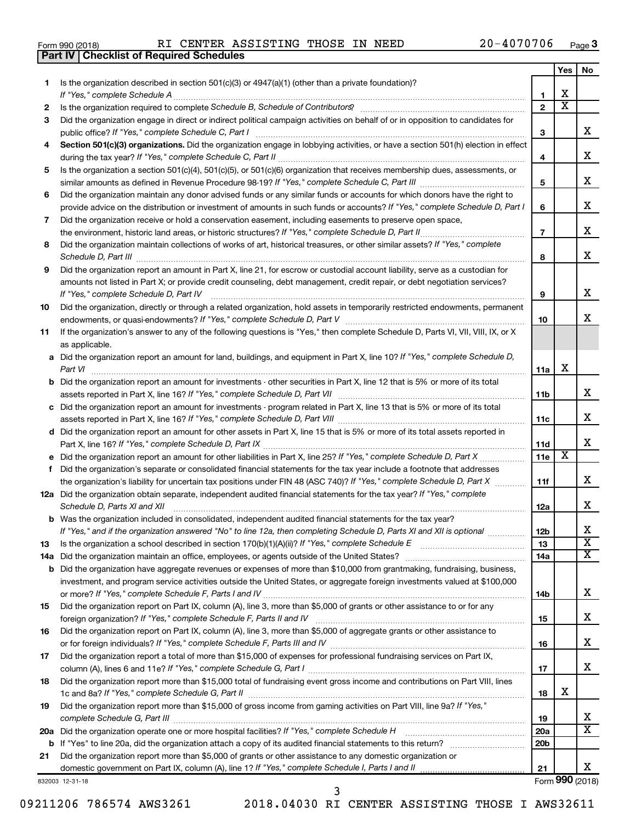|  | Form 990 (2018) |  |
|--|-----------------|--|
|  |                 |  |

**Part IV Checklist of Required Schedules**

|     |                                                                                                                                                                     |                 | Yes | No                    |
|-----|---------------------------------------------------------------------------------------------------------------------------------------------------------------------|-----------------|-----|-----------------------|
| 1.  | Is the organization described in section 501(c)(3) or 4947(a)(1) (other than a private foundation)?                                                                 |                 |     |                       |
|     | If "Yes," complete Schedule A                                                                                                                                       | 1               | x   |                       |
| 2   |                                                                                                                                                                     | $\mathbf{2}$    | x   |                       |
| 3   | Did the organization engage in direct or indirect political campaign activities on behalf of or in opposition to candidates for                                     |                 |     |                       |
|     | public office? If "Yes," complete Schedule C, Part I                                                                                                                | З               |     | x                     |
| 4   | Section 501(c)(3) organizations. Did the organization engage in lobbying activities, or have a section 501(h) election in effect                                    |                 |     |                       |
|     |                                                                                                                                                                     | 4               |     | x                     |
| 5   | Is the organization a section 501(c)(4), 501(c)(5), or 501(c)(6) organization that receives membership dues, assessments, or                                        |                 |     |                       |
|     |                                                                                                                                                                     | 5               |     | x                     |
| 6   | Did the organization maintain any donor advised funds or any similar funds or accounts for which donors have the right to                                           |                 |     |                       |
|     | provide advice on the distribution or investment of amounts in such funds or accounts? If "Yes," complete Schedule D, Part I                                        | 6               |     | x                     |
| 7   | Did the organization receive or hold a conservation easement, including easements to preserve open space,                                                           |                 |     | x                     |
|     | the environment, historic land areas, or historic structures? If "Yes," complete Schedule D, Part II                                                                | $\overline{7}$  |     |                       |
| 8   | Did the organization maintain collections of works of art, historical treasures, or other similar assets? If "Yes," complete                                        |                 |     | x                     |
|     | Schedule D, Part III                                                                                                                                                | 8               |     |                       |
| 9   | Did the organization report an amount in Part X, line 21, for escrow or custodial account liability, serve as a custodian for                                       |                 |     |                       |
|     | amounts not listed in Part X; or provide credit counseling, debt management, credit repair, or debt negotiation services?<br>If "Yes," complete Schedule D, Part IV |                 |     | x                     |
|     | Did the organization, directly or through a related organization, hold assets in temporarily restricted endowments, permanent                                       | 9               |     |                       |
| 10  |                                                                                                                                                                     | 10              |     | x                     |
| 11  | If the organization's answer to any of the following questions is "Yes," then complete Schedule D, Parts VI, VII, VIII, IX, or X                                    |                 |     |                       |
|     | as applicable.                                                                                                                                                      |                 |     |                       |
|     | a Did the organization report an amount for land, buildings, and equipment in Part X, line 10? If "Yes," complete Schedule D,                                       |                 |     |                       |
|     | Part VI                                                                                                                                                             | 11a             | х   |                       |
|     | <b>b</b> Did the organization report an amount for investments - other securities in Part X, line 12 that is 5% or more of its total                                |                 |     |                       |
|     |                                                                                                                                                                     | 11b             |     | x                     |
|     | c Did the organization report an amount for investments - program related in Part X, line 13 that is 5% or more of its total                                        |                 |     |                       |
|     |                                                                                                                                                                     | 11c             |     | x                     |
|     | d Did the organization report an amount for other assets in Part X, line 15 that is 5% or more of its total assets reported in                                      |                 |     |                       |
|     |                                                                                                                                                                     | 11d             |     | x                     |
|     |                                                                                                                                                                     | <b>11e</b>      | X   |                       |
| f   | Did the organization's separate or consolidated financial statements for the tax year include a footnote that addresses                                             |                 |     |                       |
|     | the organization's liability for uncertain tax positions under FIN 48 (ASC 740)? If "Yes," complete Schedule D, Part X                                              | 11f             |     | x                     |
|     | 12a Did the organization obtain separate, independent audited financial statements for the tax year? If "Yes," complete                                             |                 |     |                       |
|     | Schedule D, Parts XI and XII                                                                                                                                        | 12a             |     | x                     |
|     | <b>b</b> Was the organization included in consolidated, independent audited financial statements for the tax year?                                                  |                 |     |                       |
|     | If "Yes," and if the organization answered "No" to line 12a, then completing Schedule D, Parts XI and XII is optional                                               | 12 <sub>b</sub> |     | х                     |
| 13  |                                                                                                                                                                     | 13              |     | $\overline{\text{x}}$ |
| 14a | Did the organization maintain an office, employees, or agents outside of the United States?                                                                         | 14a             |     | x                     |
| b   | Did the organization have aggregate revenues or expenses of more than \$10,000 from grantmaking, fundraising, business,                                             |                 |     |                       |
|     | investment, and program service activities outside the United States, or aggregate foreign investments valued at \$100,000                                          |                 |     |                       |
|     |                                                                                                                                                                     | 14b             |     | x                     |
| 15  | Did the organization report on Part IX, column (A), line 3, more than \$5,000 of grants or other assistance to or for any                                           |                 |     | x                     |
|     |                                                                                                                                                                     | 15              |     |                       |
| 16  | Did the organization report on Part IX, column (A), line 3, more than \$5,000 of aggregate grants or other assistance to                                            | 16              |     | x                     |
|     | Did the organization report a total of more than \$15,000 of expenses for professional fundraising services on Part IX,                                             |                 |     |                       |
| 17  |                                                                                                                                                                     | 17              |     | x                     |
| 18  | Did the organization report more than \$15,000 total of fundraising event gross income and contributions on Part VIII, lines                                        |                 |     |                       |
|     |                                                                                                                                                                     | 18              | x   |                       |
| 19  | Did the organization report more than \$15,000 of gross income from gaming activities on Part VIII, line 9a? If "Yes,"                                              |                 |     |                       |
|     |                                                                                                                                                                     | 19              |     | x                     |
| 20a | Did the organization operate one or more hospital facilities? If "Yes," complete Schedule H                                                                         | <b>20a</b>      |     | x                     |
| b   |                                                                                                                                                                     | 20 <sub>b</sub> |     |                       |
| 21  | Did the organization report more than \$5,000 of grants or other assistance to any domestic organization or                                                         |                 |     |                       |
|     |                                                                                                                                                                     | 21              |     | x                     |
|     | 832003 12-31-18                                                                                                                                                     |                 |     | Form 990 (2018)       |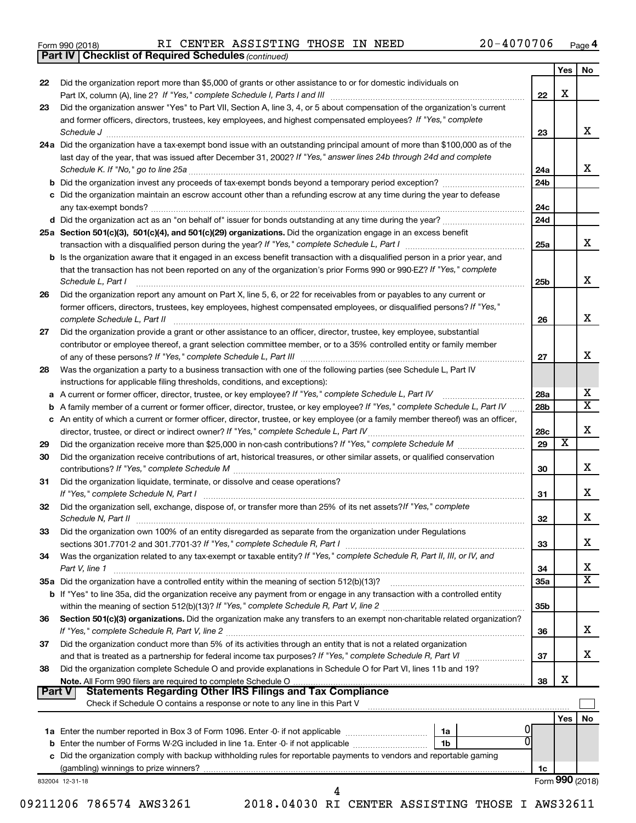|  | Form 990 (2018) |
|--|-----------------|
|  |                 |

*(continued)* **Part IV Checklist of Required Schedules**

|          |                                                                                                                                                                                                                                                 |                 | Yes   No        |                            |
|----------|-------------------------------------------------------------------------------------------------------------------------------------------------------------------------------------------------------------------------------------------------|-----------------|-----------------|----------------------------|
| 22       | Did the organization report more than \$5,000 of grants or other assistance to or for domestic individuals on                                                                                                                                   | 22              | X               |                            |
| 23       | Did the organization answer "Yes" to Part VII, Section A, line 3, 4, or 5 about compensation of the organization's current                                                                                                                      |                 |                 |                            |
|          | and former officers, directors, trustees, key employees, and highest compensated employees? If "Yes," complete                                                                                                                                  |                 |                 | х                          |
|          | 24a Did the organization have a tax-exempt bond issue with an outstanding principal amount of more than \$100,000 as of the                                                                                                                     | 23              |                 |                            |
|          | last day of the year, that was issued after December 31, 2002? If "Yes," answer lines 24b through 24d and complete                                                                                                                              |                 |                 |                            |
|          |                                                                                                                                                                                                                                                 | 24a             |                 | x                          |
|          | b Did the organization invest any proceeds of tax-exempt bonds beyond a temporary period exception?                                                                                                                                             | 24b             |                 |                            |
|          | c Did the organization maintain an escrow account other than a refunding escrow at any time during the year to defease                                                                                                                          | 24c             |                 |                            |
|          |                                                                                                                                                                                                                                                 | 24d             |                 |                            |
|          | 25a Section 501(c)(3), 501(c)(4), and 501(c)(29) organizations. Did the organization engage in an excess benefit                                                                                                                                |                 |                 |                            |
|          |                                                                                                                                                                                                                                                 | 25a             |                 | x                          |
|          | <b>b</b> Is the organization aware that it engaged in an excess benefit transaction with a disqualified person in a prior year, and                                                                                                             |                 |                 |                            |
|          | that the transaction has not been reported on any of the organization's prior Forms 990 or 990-EZ? If "Yes," complete<br>Schedule L, Part I                                                                                                     | 25b             |                 | x                          |
| 26       | Did the organization report any amount on Part X, line 5, 6, or 22 for receivables from or payables to any current or<br>former officers, directors, trustees, key employees, highest compensated employees, or disqualified persons? If "Yes," |                 |                 |                            |
|          | complete Schedule L, Part II                                                                                                                                                                                                                    | 26              |                 | x                          |
| 27       | Did the organization provide a grant or other assistance to an officer, director, trustee, key employee, substantial                                                                                                                            |                 |                 |                            |
|          | contributor or employee thereof, a grant selection committee member, or to a 35% controlled entity or family member                                                                                                                             |                 |                 |                            |
|          |                                                                                                                                                                                                                                                 | 27              |                 | x                          |
| 28       | Was the organization a party to a business transaction with one of the following parties (see Schedule L, Part IV                                                                                                                               |                 |                 |                            |
|          | instructions for applicable filing thresholds, conditions, and exceptions):                                                                                                                                                                     |                 |                 |                            |
|          | a A current or former officer, director, trustee, or key employee? If "Yes," complete Schedule L, Part IV                                                                                                                                       | <b>28a</b>      |                 | Х<br>$\overline{\text{x}}$ |
|          | b A family member of a current or former officer, director, trustee, or key employee? If "Yes," complete Schedule L, Part IV                                                                                                                    | 28 <sub>b</sub> |                 |                            |
|          | c An entity of which a current or former officer, director, trustee, or key employee (or a family member thereof) was an officer,                                                                                                               |                 |                 | Х                          |
|          |                                                                                                                                                                                                                                                 | 28c<br>29       | х               |                            |
| 29<br>30 | Did the organization receive contributions of art, historical treasures, or other similar assets, or qualified conservation                                                                                                                     |                 |                 |                            |
|          |                                                                                                                                                                                                                                                 | 30              |                 | х                          |
| 31       | Did the organization liquidate, terminate, or dissolve and cease operations?                                                                                                                                                                    | 31              |                 | х                          |
| 32       | Did the organization sell, exchange, dispose of, or transfer more than 25% of its net assets? If "Yes," complete                                                                                                                                | 32              |                 | Х                          |
| 33       | Did the organization own 100% of an entity disregarded as separate from the organization under Regulations                                                                                                                                      |                 |                 |                            |
|          |                                                                                                                                                                                                                                                 | 33              |                 | х                          |
| 34       | Was the organization related to any tax-exempt or taxable entity? If "Yes," complete Schedule R, Part II, III, or IV, and<br>Part V, line 1                                                                                                     | 34              |                 | х                          |
|          |                                                                                                                                                                                                                                                 | 35a             |                 | $\overline{\texttt{x}}$    |
|          | b If "Yes" to line 35a, did the organization receive any payment from or engage in any transaction with a controlled entity                                                                                                                     |                 |                 |                            |
|          | Section 501(c)(3) organizations. Did the organization make any transfers to an exempt non-charitable related organization?                                                                                                                      | 35 <sub>b</sub> |                 |                            |
| 36       |                                                                                                                                                                                                                                                 | 36              |                 | x                          |
| 37       | Did the organization conduct more than 5% of its activities through an entity that is not a related organization                                                                                                                                |                 |                 |                            |
| 38       | Did the organization complete Schedule O and provide explanations in Schedule O for Part VI, lines 11b and 19?                                                                                                                                  | 37              |                 | x                          |
|          |                                                                                                                                                                                                                                                 | 38              | X               |                            |
| Part V   | <b>Statements Regarding Other IRS Filings and Tax Compliance</b><br>Check if Schedule O contains a response or note to any line in this Part V                                                                                                  |                 |                 |                            |
|          |                                                                                                                                                                                                                                                 |                 | Yes $ $         | No                         |
|          |                                                                                                                                                                                                                                                 |                 |                 |                            |
|          | 1a                                                                                                                                                                                                                                              |                 |                 |                            |
|          | 1 <sub>b</sub>                                                                                                                                                                                                                                  |                 |                 |                            |
|          | c Did the organization comply with backup withholding rules for reportable payments to vendors and reportable gaming                                                                                                                            |                 |                 |                            |
|          |                                                                                                                                                                                                                                                 | 1c              | Form 990 (2018) |                            |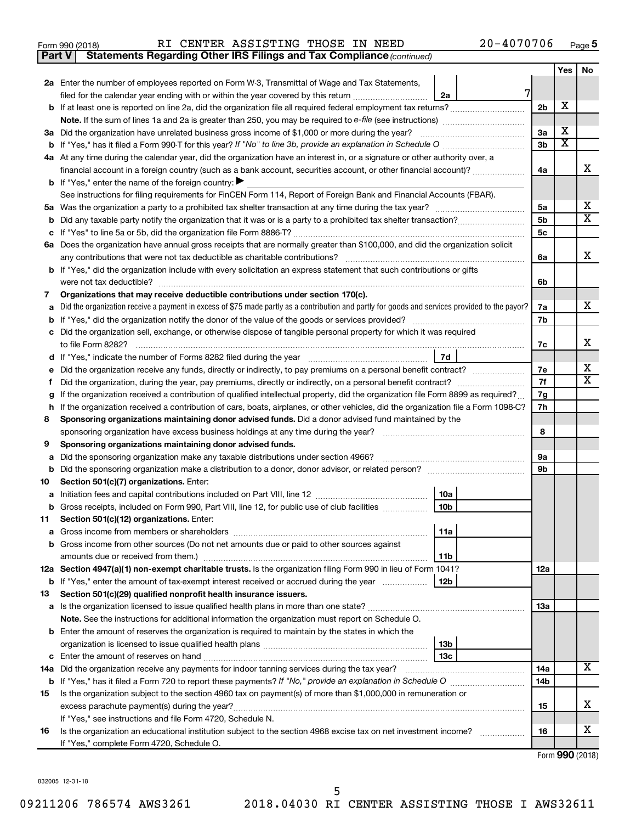|  | Form 990 (2018) |
|--|-----------------|
|  |                 |

**Part V** Statements Regarding Other IRS Filings and Tax Compliance (continued)

|        |                                                                                                                                                                               |                | Yes                     | No                      |
|--------|-------------------------------------------------------------------------------------------------------------------------------------------------------------------------------|----------------|-------------------------|-------------------------|
|        | 2a Enter the number of employees reported on Form W-3, Transmittal of Wage and Tax Statements,                                                                                |                |                         |                         |
|        | 7<br>filed for the calendar year ending with or within the year covered by this return<br>2a                                                                                  |                |                         |                         |
| b      |                                                                                                                                                                               | 2 <sub>b</sub> | х                       |                         |
|        |                                                                                                                                                                               |                |                         |                         |
|        | 3a Did the organization have unrelated business gross income of \$1,000 or more during the year?                                                                              | 3a             | х                       |                         |
|        |                                                                                                                                                                               | 3b             | $\overline{\mathbf{x}}$ |                         |
|        | 4a At any time during the calendar year, did the organization have an interest in, or a signature or other authority over, a                                                  |                |                         |                         |
|        | financial account in a foreign country (such as a bank account, securities account, or other financial account)?                                                              | 4a             |                         | x                       |
|        | <b>b</b> If "Yes," enter the name of the foreign country: $\blacktriangleright$                                                                                               |                |                         |                         |
|        | See instructions for filing requirements for FinCEN Form 114, Report of Foreign Bank and Financial Accounts (FBAR).                                                           |                |                         |                         |
|        |                                                                                                                                                                               | 5a             |                         | x                       |
| b      |                                                                                                                                                                               | 5b             |                         | $\overline{\mathbf{X}}$ |
| с      |                                                                                                                                                                               | 5с             |                         |                         |
|        | 6a Does the organization have annual gross receipts that are normally greater than \$100,000, and did the organization solicit                                                |                |                         |                         |
|        |                                                                                                                                                                               | 6a             |                         | x                       |
|        | <b>b</b> If "Yes," did the organization include with every solicitation an express statement that such contributions or gifts                                                 |                |                         |                         |
|        |                                                                                                                                                                               | 6b             |                         |                         |
| 7      | Organizations that may receive deductible contributions under section 170(c).                                                                                                 |                |                         |                         |
| a      | Did the organization receive a payment in excess of \$75 made partly as a contribution and partly for goods and services provided to the payor?                               | 7a             |                         | х                       |
| b      |                                                                                                                                                                               | 7b             |                         |                         |
| с      | Did the organization sell, exchange, or otherwise dispose of tangible personal property for which it was required                                                             |                |                         | х                       |
|        | 7d                                                                                                                                                                            | 7c             |                         |                         |
| d      | Did the organization receive any funds, directly or indirectly, to pay premiums on a personal benefit contract?                                                               | 7е             |                         | x                       |
| е      |                                                                                                                                                                               | 7f             |                         | $\mathbf x$             |
| f.     | If the organization received a contribution of qualified intellectual property, did the organization file Form 8899 as required?                                              | 7g             |                         |                         |
| g<br>h | If the organization received a contribution of cars, boats, airplanes, or other vehicles, did the organization file a Form 1098-C?                                            | 7h             |                         |                         |
| 8      | Sponsoring organizations maintaining donor advised funds. Did a donor advised fund maintained by the                                                                          |                |                         |                         |
|        | sponsoring organization have excess business holdings at any time during the year?                                                                                            | 8              |                         |                         |
| 9      | Sponsoring organizations maintaining donor advised funds.                                                                                                                     |                |                         |                         |
| а      | Did the sponsoring organization make any taxable distributions under section 4966?                                                                                            | 9а             |                         |                         |
| b      |                                                                                                                                                                               | 9b             |                         |                         |
| 10     | Section 501(c)(7) organizations. Enter:                                                                                                                                       |                |                         |                         |
| а      | 10a                                                                                                                                                                           |                |                         |                         |
|        | 10 <sub>b</sub><br>b Gross receipts, included on Form 990, Part VIII, line 12, for public use of club facilities                                                              |                |                         |                         |
| 11     | Section 501(c)(12) organizations. Enter:                                                                                                                                      |                |                         |                         |
|        | 11a                                                                                                                                                                           |                |                         |                         |
|        | <b>b</b> Gross income from other sources (Do not net amounts due or paid to other sources against                                                                             |                |                         |                         |
|        | 11b                                                                                                                                                                           |                |                         |                         |
|        | 12a Section 4947(a)(1) non-exempt charitable trusts. Is the organization filing Form 990 in lieu of Form 1041?                                                                | 12a            |                         |                         |
|        | b If "Yes," enter the amount of tax-exempt interest received or accrued during the year<br>12b                                                                                |                |                         |                         |
| 13     | Section 501(c)(29) qualified nonprofit health insurance issuers.                                                                                                              |                |                         |                         |
|        |                                                                                                                                                                               | 1За            |                         |                         |
|        | Note. See the instructions for additional information the organization must report on Schedule O.                                                                             |                |                         |                         |
|        | <b>b</b> Enter the amount of reserves the organization is required to maintain by the states in which the                                                                     |                |                         |                         |
|        | 13 <sub>b</sub>                                                                                                                                                               |                |                         |                         |
|        | 13с                                                                                                                                                                           |                |                         | x                       |
|        | 14a Did the organization receive any payments for indoor tanning services during the tax year?                                                                                | 14a            |                         |                         |
|        |                                                                                                                                                                               | 14b            |                         |                         |
| 15     | Is the organization subject to the section 4960 tax on payment(s) of more than \$1,000,000 in remuneration or                                                                 |                |                         | X                       |
|        | excess parachute payment(s) during the year?                                                                                                                                  | 15             |                         |                         |
| 16     | If "Yes," see instructions and file Form 4720, Schedule N.<br>Is the organization an educational institution subject to the section 4968 excise tax on net investment income? | 16             |                         | x                       |
|        | If "Yes," complete Form 4720, Schedule O.                                                                                                                                     |                |                         |                         |
|        |                                                                                                                                                                               |                |                         |                         |

Form (2018) **990**

832005 12-31-18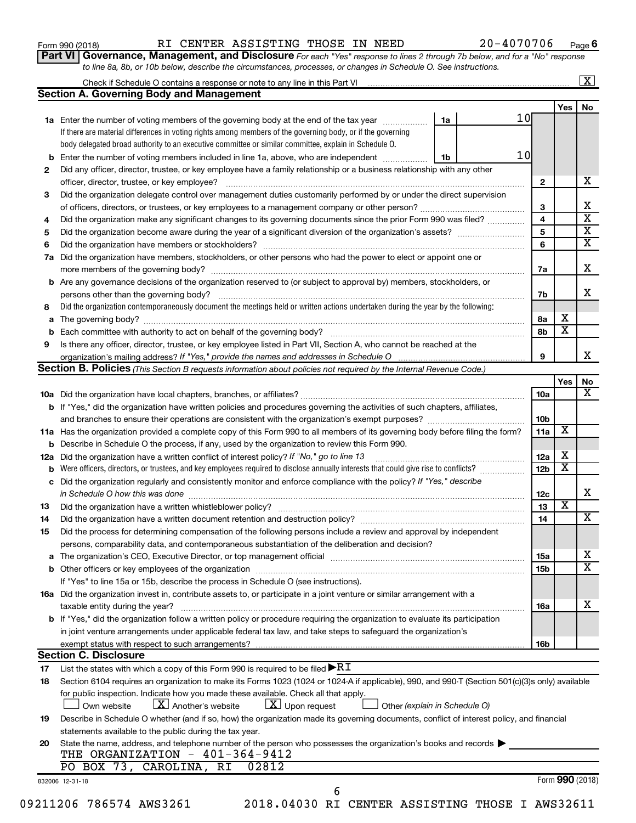| Form 990 (2018) |  |
|-----------------|--|
|-----------------|--|

#### Form 990 (2018) RI CENTER ASSISTING THOSE IN NEED 20-4070706 <sub>Page</sub>

**Part VI** Governance, Management, and Disclosure For each "Yes" response to lines 2 through 7b below, and for a "No" response *to line 8a, 8b, or 10b below, describe the circumstances, processes, or changes in Schedule O. See instructions.*

|     | Check if Schedule O contains a response or note to any line in this Part VI [100] [100] [100] [100] [100] [100] [100] [100] [100] [100] [100] [100] [100] [100] [100] [100] [100] [100] [100] [100] [100] [100] [100] [100] [1 |                               |                 |                         | $\mathbf{X}$ |
|-----|--------------------------------------------------------------------------------------------------------------------------------------------------------------------------------------------------------------------------------|-------------------------------|-----------------|-------------------------|--------------|
|     | <b>Section A. Governing Body and Management</b>                                                                                                                                                                                |                               |                 |                         |              |
|     |                                                                                                                                                                                                                                |                               |                 | Yes                     | No           |
|     | 1a Enter the number of voting members of the governing body at the end of the tax year                                                                                                                                         | 10<br>1a                      |                 |                         |              |
|     | If there are material differences in voting rights among members of the governing body, or if the governing                                                                                                                    |                               |                 |                         |              |
|     | body delegated broad authority to an executive committee or similar committee, explain in Schedule O.                                                                                                                          |                               |                 |                         |              |
| b   | Enter the number of voting members included in line 1a, above, who are independent                                                                                                                                             | 10<br>1b                      |                 |                         |              |
| 2   | Did any officer, director, trustee, or key employee have a family relationship or a business relationship with any other                                                                                                       |                               |                 |                         |              |
|     | officer, director, trustee, or key employee?                                                                                                                                                                                   |                               | $\mathbf{2}$    |                         |              |
| 3   | Did the organization delegate control over management duties customarily performed by or under the direct supervision                                                                                                          |                               |                 |                         |              |
|     |                                                                                                                                                                                                                                |                               | 3               |                         |              |
| 4   | Did the organization make any significant changes to its governing documents since the prior Form 990 was filed?                                                                                                               |                               | $\overline{4}$  |                         |              |
| 5   |                                                                                                                                                                                                                                |                               | 5               |                         |              |
| 6   |                                                                                                                                                                                                                                |                               | 6               |                         |              |
| 7a  | Did the organization have members, stockholders, or other persons who had the power to elect or appoint one or                                                                                                                 |                               |                 |                         |              |
|     |                                                                                                                                                                                                                                |                               | 7а              |                         |              |
| b   | Are any governance decisions of the organization reserved to (or subject to approval by) members, stockholders, or                                                                                                             |                               |                 |                         |              |
|     |                                                                                                                                                                                                                                |                               | 7b              |                         |              |
| 8   | Did the organization contemporaneously document the meetings held or written actions undertaken during the year by the following:                                                                                              |                               |                 |                         |              |
| а   |                                                                                                                                                                                                                                |                               | 8а              | х                       |              |
|     |                                                                                                                                                                                                                                |                               | 8b              | $\overline{\textbf{x}}$ |              |
| 9   | Is there any officer, director, trustee, or key employee listed in Part VII, Section A, who cannot be reached at the                                                                                                           |                               |                 |                         |              |
|     |                                                                                                                                                                                                                                |                               | 9               |                         |              |
|     | <b>Section B. Policies</b> (This Section B requests information about policies not required by the Internal Revenue Code.)                                                                                                     |                               |                 |                         |              |
|     |                                                                                                                                                                                                                                |                               |                 | Yes                     |              |
|     |                                                                                                                                                                                                                                |                               | 10a             |                         |              |
|     | <b>b</b> If "Yes," did the organization have written policies and procedures governing the activities of such chapters, affiliates,                                                                                            |                               |                 |                         |              |
|     |                                                                                                                                                                                                                                |                               | 10b             |                         |              |
|     | 11a Has the organization provided a complete copy of this Form 990 to all members of its governing body before filing the form?                                                                                                |                               | 11a             | X                       |              |
|     | Describe in Schedule O the process, if any, used by the organization to review this Form 990.                                                                                                                                  |                               |                 |                         |              |
| 12a | Did the organization have a written conflict of interest policy? If "No," go to line 13                                                                                                                                        |                               | 12a             | X                       |              |
|     | Were officers, directors, or trustees, and key employees required to disclose annually interests that could give rise to conflicts?                                                                                            |                               | 12 <sub>b</sub> | $\overline{\textbf{x}}$ |              |
| с   | Did the organization regularly and consistently monitor and enforce compliance with the policy? If "Yes," describe                                                                                                             |                               |                 |                         |              |
|     |                                                                                                                                                                                                                                |                               | 12c             |                         |              |
| 13  |                                                                                                                                                                                                                                |                               | 13              | $\overline{\textbf{x}}$ |              |
| 14  |                                                                                                                                                                                                                                |                               | 14              |                         |              |
| 15  | Did the process for determining compensation of the following persons include a review and approval by independent                                                                                                             |                               |                 |                         |              |
|     | persons, comparability data, and contemporaneous substantiation of the deliberation and decision?                                                                                                                              |                               |                 |                         |              |
| а   | The organization's CEO, Executive Director, or top management official manufactured content of the organization's CEO, Executive Director, or top management official manufactured content of the organization's CEO, Executiv |                               | 15a             |                         |              |
|     |                                                                                                                                                                                                                                |                               | 15b             |                         |              |
|     | If "Yes" to line 15a or 15b, describe the process in Schedule O (see instructions).                                                                                                                                            |                               |                 |                         |              |
|     | 16a Did the organization invest in, contribute assets to, or participate in a joint venture or similar arrangement with a                                                                                                      |                               |                 |                         |              |
|     |                                                                                                                                                                                                                                |                               |                 |                         |              |
|     | taxable entity during the year?<br>b If "Yes," did the organization follow a written policy or procedure requiring the organization to evaluate its participation                                                              |                               | 16a             |                         |              |
|     |                                                                                                                                                                                                                                |                               |                 |                         |              |
|     | in joint venture arrangements under applicable federal tax law, and take steps to safequard the organization's                                                                                                                 |                               |                 |                         |              |
|     | exempt status with respect to such arrangements?<br><b>Section C. Disclosure</b>                                                                                                                                               |                               | 16b             |                         |              |
| 17  | List the states with which a copy of this Form 990 is required to be filed $\blacktriangleright\mathbf{R}\mathbf{I}$                                                                                                           |                               |                 |                         |              |
| 18  | Section 6104 requires an organization to make its Forms 1023 (1024 or 1024 A if applicable), 990, and 990-T (Section 501(c)(3)s only) available                                                                                |                               |                 |                         |              |
|     | for public inspection. Indicate how you made these available. Check all that apply.                                                                                                                                            |                               |                 |                         |              |
|     | $\lfloor x \rfloor$ Another's website<br>$\lfloor x \rfloor$ Upon request<br>Own website                                                                                                                                       |                               |                 |                         |              |
|     |                                                                                                                                                                                                                                | Other (explain in Schedule O) |                 |                         |              |
| 19  | Describe in Schedule O whether (and if so, how) the organization made its governing documents, conflict of interest policy, and financial                                                                                      |                               |                 |                         |              |
|     | statements available to the public during the tax year.                                                                                                                                                                        |                               |                 |                         |              |
| 20  | State the name, address, and telephone number of the person who possesses the organization's books and records $\blacktriangleright$<br>THE ORGANIZATION - 401-364-9412                                                        |                               |                 |                         |              |
|     | PO BOX 73, CAROLINA, RI<br>02812                                                                                                                                                                                               |                               |                 |                         |              |
|     | 832006 12-31-18                                                                                                                                                                                                                |                               |                 | Form 990 (2018)         |              |
|     | 6                                                                                                                                                                                                                              |                               |                 |                         |              |
|     | 09211206 786574 AWS3261<br>2018.04030 RI CENTER ASSISTING THOSE I AWS32611                                                                                                                                                     |                               |                 |                         |              |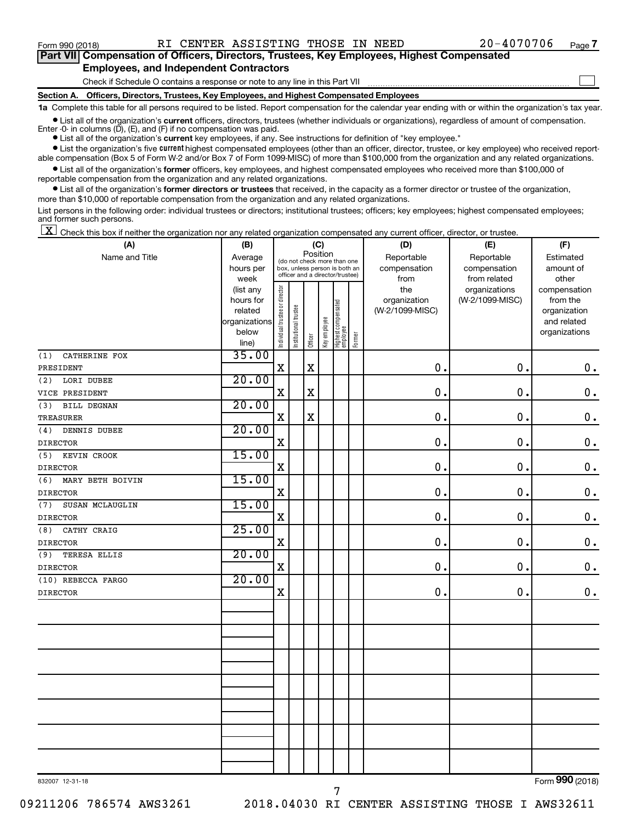$\Box$ 

| Part VII Compensation of Officers, Directors, Trustees, Key Employees, Highest Compensated |  |  |  |
|--------------------------------------------------------------------------------------------|--|--|--|
| <b>Employees, and Independent Contractors</b>                                              |  |  |  |

Check if Schedule O contains a response or note to any line in this Part VII

**Section A. Officers, Directors, Trustees, Key Employees, and Highest Compensated Employees**

**1a**  Complete this table for all persons required to be listed. Report compensation for the calendar year ending with or within the organization's tax year.

**•** List all of the organization's current officers, directors, trustees (whether individuals or organizations), regardless of amount of compensation. Enter -0- in columns  $(D)$ ,  $(E)$ , and  $(F)$  if no compensation was paid.

**•** List all of the organization's **current** key employees, if any. See instructions for definition of "key employee."

**•** List the organization's five current highest compensated employees (other than an officer, director, trustee, or key employee) who received reportable compensation (Box 5 of Form W-2 and/or Box 7 of Form 1099-MISC) of more than \$100,000 from the organization and any related organizations.

**•** List all of the organization's former officers, key employees, and highest compensated employees who received more than \$100,000 of reportable compensation from the organization and any related organizations.

**•** List all of the organization's former directors or trustees that received, in the capacity as a former director or trustee of the organization, more than \$10,000 of reportable compensation from the organization and any related organizations.

List persons in the following order: individual trustees or directors; institutional trustees; officers; key employees; highest compensated employees; and former such persons.

 $\boxed{\textbf{X}}$  Check this box if neither the organization nor any related organization compensated any current officer, director, or trustee.

| (A)                        | (B)                      | (C)                            |                                                                  |             |              |                                 |        | (D)                             | (E)             | (F)                         |  |  |
|----------------------------|--------------------------|--------------------------------|------------------------------------------------------------------|-------------|--------------|---------------------------------|--------|---------------------------------|-----------------|-----------------------------|--|--|
| Name and Title             | Average                  |                                | (do not check more than one                                      | Position    |              |                                 |        | Reportable                      | Reportable      | Estimated                   |  |  |
|                            | hours per                |                                | box, unless person is both an<br>officer and a director/trustee) |             |              |                                 |        | compensation                    | compensation    | amount of                   |  |  |
|                            | week                     |                                |                                                                  |             |              |                                 |        | from                            | from related    | other                       |  |  |
|                            | (list any                |                                |                                                                  |             |              |                                 |        | the                             | organizations   | compensation                |  |  |
|                            | hours for                |                                |                                                                  |             |              |                                 |        | organization<br>(W-2/1099-MISC) | (W-2/1099-MISC) | from the                    |  |  |
|                            | related<br>organizations |                                |                                                                  |             |              |                                 |        |                                 |                 | organization<br>and related |  |  |
|                            | below                    |                                |                                                                  |             |              |                                 |        |                                 |                 | organizations               |  |  |
|                            | line)                    | Individual trustee or director | Institutional trustee                                            | Officer     | Key employee | Highest compensated<br>employee | Former |                                 |                 |                             |  |  |
| CATHERINE FOX<br>(1)       | 35.00                    |                                |                                                                  |             |              |                                 |        |                                 |                 |                             |  |  |
| PRESIDENT                  |                          | $\mathbf X$                    |                                                                  | $\rm X$     |              |                                 |        | 0.                              | $\mathbf 0$ .   | $\mathbf 0$ .               |  |  |
| LORI DUBEE<br>(2)          | 20.00                    |                                |                                                                  |             |              |                                 |        |                                 |                 |                             |  |  |
| VICE PRESIDENT             |                          | $\mathbf X$                    |                                                                  | $\mathbf X$ |              |                                 |        | 0.                              | $\mathbf 0$ .   | $\mathbf 0$ .               |  |  |
| <b>BILL DEGNAN</b><br>(3)  | 20.00                    |                                |                                                                  |             |              |                                 |        |                                 |                 |                             |  |  |
| <b>TREASURER</b>           |                          | $\mathbf X$                    |                                                                  | $\rm X$     |              |                                 |        | 0.                              | $\mathbf 0$ .   | $\mathbf 0$ .               |  |  |
| DENNIS DUBEE<br>(4)        | 20.00                    |                                |                                                                  |             |              |                                 |        |                                 |                 |                             |  |  |
| <b>DIRECTOR</b>            |                          | $\mathbf X$                    |                                                                  |             |              |                                 |        | $\mathbf 0$ .                   | $\mathbf 0$ .   | $\mathbf 0$ .               |  |  |
| (5)<br>KEVIN CROOK         | 15.00                    |                                |                                                                  |             |              |                                 |        |                                 |                 |                             |  |  |
| <b>DIRECTOR</b>            |                          | X                              |                                                                  |             |              |                                 |        | $\mathbf 0$ .                   | $\mathbf 0$ .   | $\mathbf 0$ .               |  |  |
| (6)<br>MARY BETH BOIVIN    | 15.00                    |                                |                                                                  |             |              |                                 |        |                                 |                 |                             |  |  |
| <b>DIRECTOR</b>            |                          | $\mathbf X$                    |                                                                  |             |              |                                 |        | $\mathbf 0$ .                   | $\mathbf 0$ .   | $\mathbf 0$ .               |  |  |
| (7)<br>SUSAN MCLAUGLIN     | 15.00                    |                                |                                                                  |             |              |                                 |        |                                 |                 |                             |  |  |
| <b>DIRECTOR</b>            |                          | X                              |                                                                  |             |              |                                 |        | $\mathbf 0$ .                   | $\mathbf 0$ .   | 0.                          |  |  |
| CATHY CRAIG<br>(8)         | 25.00                    |                                |                                                                  |             |              |                                 |        |                                 |                 |                             |  |  |
| <b>DIRECTOR</b>            |                          | $\mathbf X$                    |                                                                  |             |              |                                 |        | 0.                              | $\mathbf 0$ .   | $\mathbf 0$ .               |  |  |
| <b>TERESA ELLIS</b><br>(9) | 20.00                    |                                |                                                                  |             |              |                                 |        |                                 |                 |                             |  |  |
| <b>DIRECTOR</b>            |                          | $\mathbf X$                    |                                                                  |             |              |                                 |        | 0.                              | $\mathbf 0$ .   | $\mathbf 0$ .               |  |  |
| (10) REBECCA FARGO         | 20.00                    |                                |                                                                  |             |              |                                 |        |                                 |                 |                             |  |  |
| <b>DIRECTOR</b>            |                          | $\mathbf X$                    |                                                                  |             |              |                                 |        | 0.                              | $\mathbf 0$ .   | $\mathbf 0$ .               |  |  |
|                            |                          |                                |                                                                  |             |              |                                 |        |                                 |                 |                             |  |  |
|                            |                          |                                |                                                                  |             |              |                                 |        |                                 |                 |                             |  |  |
|                            |                          |                                |                                                                  |             |              |                                 |        |                                 |                 |                             |  |  |
|                            |                          |                                |                                                                  |             |              |                                 |        |                                 |                 |                             |  |  |
|                            |                          |                                |                                                                  |             |              |                                 |        |                                 |                 |                             |  |  |
|                            |                          |                                |                                                                  |             |              |                                 |        |                                 |                 |                             |  |  |
|                            |                          |                                |                                                                  |             |              |                                 |        |                                 |                 |                             |  |  |
|                            |                          |                                |                                                                  |             |              |                                 |        |                                 |                 |                             |  |  |
|                            |                          |                                |                                                                  |             |              |                                 |        |                                 |                 |                             |  |  |
|                            |                          |                                |                                                                  |             |              |                                 |        |                                 |                 |                             |  |  |
|                            |                          |                                |                                                                  |             |              |                                 |        |                                 |                 |                             |  |  |
|                            |                          |                                |                                                                  |             |              |                                 |        |                                 |                 |                             |  |  |
|                            |                          |                                |                                                                  |             |              |                                 |        |                                 |                 |                             |  |  |
|                            |                          |                                |                                                                  |             |              |                                 |        |                                 |                 | $0.00 \div 1$               |  |  |

832007 12-31-18

Form (2018) **990**

09211206 786574 AWS3261 2018.04030 RI CENTER ASSISTING THOSE I AWS32611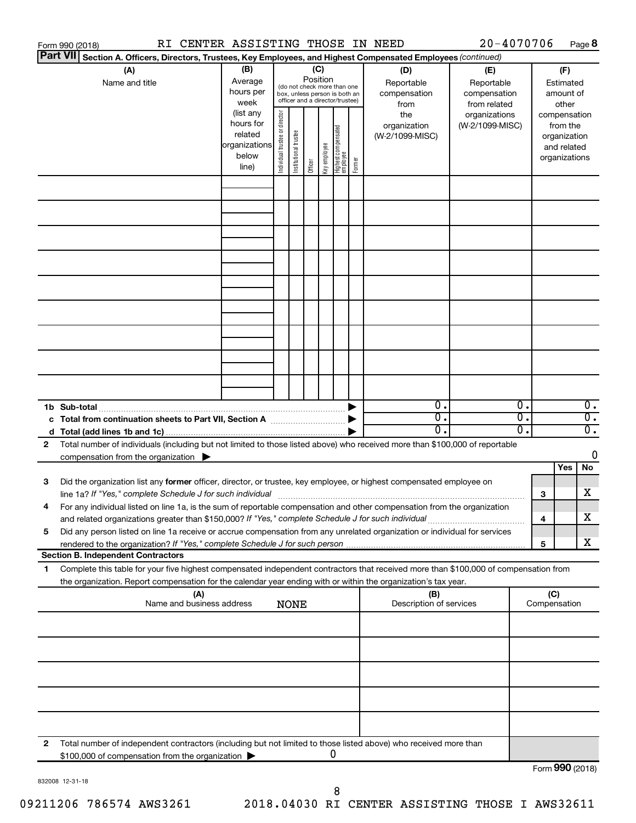|                 | RI CENTER ASSISTING THOSE IN NEED<br>Form 990 (2018)                                                                                                                                                                                                                                                                                                          |                                                                      |                                |                       |                 |              |                                                                                                 |        |                                                                                                | 20-4070706                       |          |                               |                                         | Page 8                               |
|-----------------|---------------------------------------------------------------------------------------------------------------------------------------------------------------------------------------------------------------------------------------------------------------------------------------------------------------------------------------------------------------|----------------------------------------------------------------------|--------------------------------|-----------------------|-----------------|--------------|-------------------------------------------------------------------------------------------------|--------|------------------------------------------------------------------------------------------------|----------------------------------|----------|-------------------------------|-----------------------------------------|--------------------------------------|
| <b>Part VII</b> | Section A. Officers, Directors, Trustees, Key Employees, and Highest Compensated Employees (continued)                                                                                                                                                                                                                                                        |                                                                      |                                |                       |                 |              |                                                                                                 |        |                                                                                                |                                  |          |                               |                                         |                                      |
|                 | (A)<br>Name and title                                                                                                                                                                                                                                                                                                                                         | (B)<br>Average<br>hours per<br>week                                  |                                |                       | (C)<br>Position |              | (do not check more than one<br>box, unless person is both an<br>officer and a director/trustee) |        | (D)<br>(E)<br>Reportable<br>Reportable<br>compensation<br>compensation<br>from related<br>from |                                  |          |                               | (F)<br>Estimated<br>amount of<br>other  |                                      |
|                 |                                                                                                                                                                                                                                                                                                                                                               | (list any<br>hours for<br>related<br>organizations<br>below<br>line) | Individual trustee or director | Institutional trustee | Officer         | Key employee | Highest compensated<br>  employee                                                               | Former | the<br>organization<br>(W-2/1099-MISC)                                                         | organizations<br>(W-2/1099-MISC) |          | compensation<br>organizations | from the<br>organization<br>and related |                                      |
|                 |                                                                                                                                                                                                                                                                                                                                                               |                                                                      |                                |                       |                 |              |                                                                                                 |        |                                                                                                |                                  |          |                               |                                         |                                      |
|                 |                                                                                                                                                                                                                                                                                                                                                               |                                                                      |                                |                       |                 |              |                                                                                                 |        |                                                                                                |                                  |          |                               |                                         |                                      |
|                 |                                                                                                                                                                                                                                                                                                                                                               |                                                                      |                                |                       |                 |              |                                                                                                 |        |                                                                                                |                                  |          |                               |                                         |                                      |
|                 |                                                                                                                                                                                                                                                                                                                                                               |                                                                      |                                |                       |                 |              |                                                                                                 |        |                                                                                                |                                  |          |                               |                                         |                                      |
|                 |                                                                                                                                                                                                                                                                                                                                                               |                                                                      |                                |                       |                 |              |                                                                                                 |        |                                                                                                |                                  |          |                               |                                         |                                      |
|                 | 1b Sub-total                                                                                                                                                                                                                                                                                                                                                  |                                                                      |                                |                       |                 |              |                                                                                                 |        | $\mathbf{0}$ .                                                                                 |                                  | 0.       |                               |                                         | $\overline{0}$ .                     |
| 2               | c Total from continuation sheets to Part VII, Section A manufactured by<br>Total number of individuals (including but not limited to those listed above) who received more than \$100,000 of reportable                                                                                                                                                       |                                                                      |                                |                       |                 |              |                                                                                                 |        | $\overline{0}$ .<br>0.                                                                         |                                  | σ.<br>о. |                               |                                         | $\overline{0}$ .<br>$\overline{0}$ . |
|                 | compensation from the organization $\blacktriangleright$                                                                                                                                                                                                                                                                                                      |                                                                      |                                |                       |                 |              |                                                                                                 |        |                                                                                                |                                  |          |                               | Yes                                     | 0<br>No                              |
| 3               | Did the organization list any former officer, director, or trustee, key employee, or highest compensated employee on                                                                                                                                                                                                                                          |                                                                      |                                |                       |                 |              |                                                                                                 |        |                                                                                                |                                  |          | 3                             |                                         | х                                    |
| 5               | For any individual listed on line 1a, is the sum of reportable compensation and other compensation from the organization<br>and related organizations greater than \$150,000? If "Yes," complete Schedule J for such individual<br>Did any person listed on line 1a receive or accrue compensation from any unrelated organization or individual for services |                                                                      |                                |                       |                 |              |                                                                                                 |        |                                                                                                |                                  |          | 4                             |                                         | х                                    |
|                 | <b>Section B. Independent Contractors</b>                                                                                                                                                                                                                                                                                                                     |                                                                      |                                |                       |                 |              |                                                                                                 |        |                                                                                                |                                  |          | 5                             |                                         | х                                    |
| 1.              | Complete this table for your five highest compensated independent contractors that received more than \$100,000 of compensation from                                                                                                                                                                                                                          |                                                                      |                                |                       |                 |              |                                                                                                 |        |                                                                                                |                                  |          |                               |                                         |                                      |
|                 | the organization. Report compensation for the calendar year ending with or within the organization's tax year.<br>(A)<br>Name and business address                                                                                                                                                                                                            |                                                                      |                                | <b>NONE</b>           |                 |              |                                                                                                 |        | (B)<br>Description of services                                                                 |                                  |          | (C)<br>Compensation           |                                         |                                      |
|                 |                                                                                                                                                                                                                                                                                                                                                               |                                                                      |                                |                       |                 |              |                                                                                                 |        |                                                                                                |                                  |          |                               |                                         |                                      |
|                 |                                                                                                                                                                                                                                                                                                                                                               |                                                                      |                                |                       |                 |              |                                                                                                 |        |                                                                                                |                                  |          |                               |                                         |                                      |
|                 |                                                                                                                                                                                                                                                                                                                                                               |                                                                      |                                |                       |                 |              |                                                                                                 |        |                                                                                                |                                  |          |                               |                                         |                                      |
| 2               | Total number of independent contractors (including but not limited to those listed above) who received more than                                                                                                                                                                                                                                              |                                                                      |                                |                       |                 |              |                                                                                                 |        |                                                                                                |                                  |          |                               |                                         |                                      |
|                 | \$100,000 of compensation from the organization                                                                                                                                                                                                                                                                                                               |                                                                      |                                |                       |                 |              | 0                                                                                               |        |                                                                                                |                                  |          | Form 990 (2018)               |                                         |                                      |

832008 12-31-18

Form **990** (2018)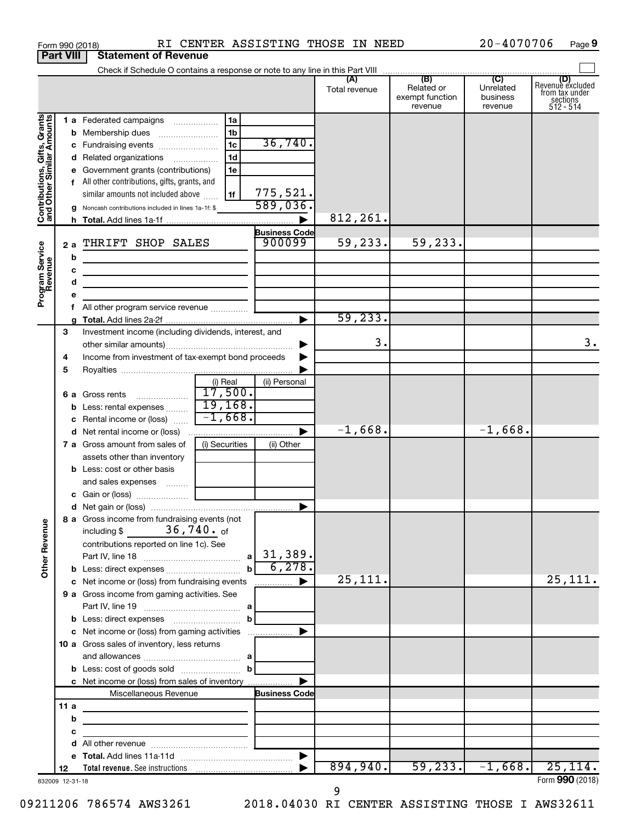|                              |                  | Form 990 (2018)                                                          |                                                  |                      | RI CENTER ASSISTING THOSE IN NEED |                                                 | 20-4070706                              | Page 9                                                             |
|------------------------------|------------------|--------------------------------------------------------------------------|--------------------------------------------------|----------------------|-----------------------------------|-------------------------------------------------|-----------------------------------------|--------------------------------------------------------------------|
|                              | <b>Part VIII</b> | <b>Statement of Revenue</b>                                              |                                                  |                      |                                   |                                                 |                                         |                                                                    |
|                              |                  |                                                                          |                                                  |                      |                                   |                                                 |                                         |                                                                    |
|                              |                  |                                                                          |                                                  |                      | (A)<br>Total revenue              | (B)<br>Related or<br>exempt function<br>revenue | (C)<br>Unrelated<br>business<br>revenue | (D)<br>Revenue excluded<br>from tax under<br>sections<br>512 - 514 |
| Contributions, Gifts, Grants |                  | 1 a Federated campaigns                                                  | 1a                                               |                      |                                   |                                                 |                                         |                                                                    |
|                              |                  |                                                                          | 1b                                               |                      |                                   |                                                 |                                         |                                                                    |
|                              |                  | c Fundraising events                                                     | 1 <sub>c</sub>                                   | 36,740.              |                                   |                                                 |                                         |                                                                    |
|                              |                  | d Related organizations                                                  | 1 <sub>d</sub>                                   |                      |                                   |                                                 |                                         |                                                                    |
|                              |                  | e Government grants (contributions)                                      | 1e                                               |                      |                                   |                                                 |                                         |                                                                    |
|                              |                  | f All other contributions, gifts, grants, and                            |                                                  |                      |                                   |                                                 |                                         |                                                                    |
|                              |                  | similar amounts not included above                                       | 1f                                               | 775,521.             |                                   |                                                 |                                         |                                                                    |
|                              |                  | <b>g</b> Noncash contributions included in lines 1a-1f: \$               |                                                  | 589,036.             |                                   |                                                 |                                         |                                                                    |
|                              |                  |                                                                          |                                                  |                      | 812, 261.                         |                                                 |                                         |                                                                    |
|                              |                  |                                                                          |                                                  | <b>Business Code</b> |                                   |                                                 |                                         |                                                                    |
|                              | 2a               | THRIFT SHOP SALES                                                        |                                                  | 900099               | 59,233.                           | 59,233.                                         |                                         |                                                                    |
|                              | b                | the control of the control of the control of the control of              |                                                  |                      |                                   |                                                 |                                         |                                                                    |
|                              | с                |                                                                          |                                                  |                      |                                   |                                                 |                                         |                                                                    |
| Program Service<br>Revenue   | d                |                                                                          |                                                  |                      |                                   |                                                 |                                         |                                                                    |
|                              |                  |                                                                          |                                                  |                      |                                   |                                                 |                                         |                                                                    |
|                              |                  | f All other program service revenue                                      |                                                  |                      | 59, 233.                          |                                                 |                                         |                                                                    |
|                              |                  |                                                                          |                                                  |                      |                                   |                                                 |                                         |                                                                    |
|                              | 3                | Investment income (including dividends, interest, and                    |                                                  |                      | 3.                                |                                                 |                                         | 3.                                                                 |
|                              |                  | Income from investment of tax-exempt bond proceeds                       |                                                  |                      |                                   |                                                 |                                         |                                                                    |
|                              | 4                |                                                                          |                                                  |                      |                                   |                                                 |                                         |                                                                    |
|                              | 5                |                                                                          | (i) Real                                         | (ii) Personal        |                                   |                                                 |                                         |                                                                    |
|                              |                  | 6 a Gross rents                                                          | 17,500.                                          |                      |                                   |                                                 |                                         |                                                                    |
|                              |                  | <b>b</b> Less: rental expenses                                           | 19,168.                                          |                      |                                   |                                                 |                                         |                                                                    |
|                              |                  | c Rental income or (loss)                                                | $-1,668.$                                        |                      |                                   |                                                 |                                         |                                                                    |
|                              |                  | <b>d</b> Net rental income or (loss)                                     |                                                  |                      | $-1,668.$                         |                                                 | $-1,668.$                               |                                                                    |
|                              |                  | 7 a Gross amount from sales of                                           | (i) Securities                                   | (ii) Other           |                                   |                                                 |                                         |                                                                    |
|                              |                  | assets other than inventory                                              |                                                  |                      |                                   |                                                 |                                         |                                                                    |
|                              |                  | <b>b</b> Less: cost or other basis                                       |                                                  |                      |                                   |                                                 |                                         |                                                                    |
|                              |                  | and sales expenses                                                       |                                                  |                      |                                   |                                                 |                                         |                                                                    |
|                              |                  |                                                                          |                                                  |                      |                                   |                                                 |                                         |                                                                    |
|                              |                  |                                                                          |                                                  |                      |                                   |                                                 |                                         |                                                                    |
| Other Revenue                |                  | 8 a Gross income from fundraising events (not<br>including $$36,740.$ of |                                                  |                      |                                   |                                                 |                                         |                                                                    |
|                              |                  | contributions reported on line 1c). See                                  |                                                  |                      |                                   |                                                 |                                         |                                                                    |
|                              |                  |                                                                          |                                                  |                      |                                   |                                                 |                                         |                                                                    |
|                              |                  |                                                                          |                                                  | 6,278.               |                                   |                                                 |                                         |                                                                    |
|                              |                  | c Net income or (loss) from fundraising events                           |                                                  |                      | 25,111.                           |                                                 |                                         | 25,111.                                                            |
|                              |                  | 9 a Gross income from gaming activities. See                             |                                                  |                      |                                   |                                                 |                                         |                                                                    |
|                              |                  |                                                                          |                                                  |                      |                                   |                                                 |                                         |                                                                    |
|                              |                  |                                                                          |                                                  |                      |                                   |                                                 |                                         |                                                                    |
|                              |                  | c Net income or (loss) from gaming activities                            |                                                  | ▶                    |                                   |                                                 |                                         |                                                                    |
|                              |                  | 10 a Gross sales of inventory, less returns                              |                                                  |                      |                                   |                                                 |                                         |                                                                    |
|                              |                  |                                                                          |                                                  |                      |                                   |                                                 |                                         |                                                                    |
|                              |                  | <b>b</b> Less: cost of goods sold $\ldots$ <b>b</b>                      |                                                  |                      |                                   |                                                 |                                         |                                                                    |
|                              |                  | c Net income or (loss) from sales of inventory                           |                                                  |                      |                                   |                                                 |                                         |                                                                    |
|                              |                  | Miscellaneous Revenue                                                    |                                                  | <b>Business Code</b> |                                   |                                                 |                                         |                                                                    |
|                              | 11 a             | the control of the control of the control of the control of              |                                                  |                      |                                   |                                                 |                                         |                                                                    |
|                              | b                |                                                                          |                                                  |                      |                                   |                                                 |                                         |                                                                    |
|                              | с                |                                                                          | the control of the control of the control of the |                      |                                   |                                                 |                                         |                                                                    |
|                              |                  |                                                                          |                                                  |                      |                                   |                                                 |                                         |                                                                    |
|                              |                  |                                                                          |                                                  |                      |                                   |                                                 |                                         |                                                                    |
|                              | 12               |                                                                          |                                                  |                      | 894,940.                          | 59, 233.                                        | $-1,668.$                               | 25, 114.                                                           |
|                              | 832009 12-31-18  |                                                                          |                                                  |                      |                                   |                                                 |                                         | Form 990 (2018)                                                    |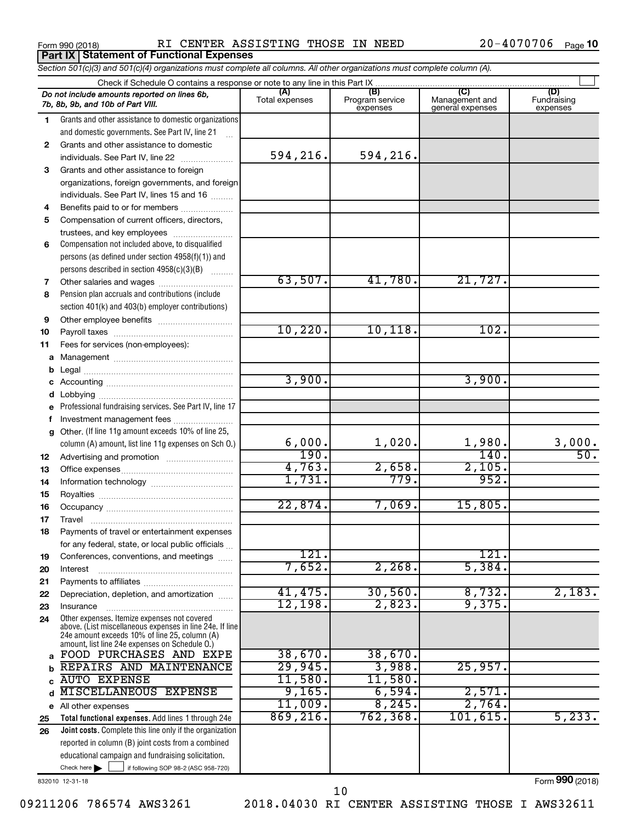**Part IX Statement of Functional Expenses**

Form 990 (2018) RI CENTER ASSISTING THOSE IN NEED 20-4070706 Page

20-4070706 Page 10

| Section 501(c)(3) and 501(c)(4) organizations must complete all columns. All other organizations must complete column (A). |                                                                                                 |                       |                                    |                                           |                                |  |  |  |  |  |  |
|----------------------------------------------------------------------------------------------------------------------------|-------------------------------------------------------------------------------------------------|-----------------------|------------------------------------|-------------------------------------------|--------------------------------|--|--|--|--|--|--|
|                                                                                                                            | Check if Schedule O contains a response or note to any line in this Part IX.                    |                       |                                    |                                           |                                |  |  |  |  |  |  |
|                                                                                                                            | Do not include amounts reported on lines 6b,<br>7b, 8b, 9b, and 10b of Part VIII.               | (A)<br>Total expenses | (B)<br>Program service<br>expenses | (C)<br>Management and<br>general expenses | (D)<br>Fundraising<br>expenses |  |  |  |  |  |  |
| 1                                                                                                                          | Grants and other assistance to domestic organizations                                           |                       |                                    |                                           |                                |  |  |  |  |  |  |
|                                                                                                                            | and domestic governments. See Part IV, line 21                                                  |                       |                                    |                                           |                                |  |  |  |  |  |  |
| 2                                                                                                                          | Grants and other assistance to domestic                                                         |                       |                                    |                                           |                                |  |  |  |  |  |  |
|                                                                                                                            | individuals. See Part IV, line 22                                                               | 594,216.              | 594,216.                           |                                           |                                |  |  |  |  |  |  |
| 3                                                                                                                          | Grants and other assistance to foreign                                                          |                       |                                    |                                           |                                |  |  |  |  |  |  |
|                                                                                                                            | organizations, foreign governments, and foreign                                                 |                       |                                    |                                           |                                |  |  |  |  |  |  |
|                                                                                                                            | individuals. See Part IV, lines 15 and 16                                                       |                       |                                    |                                           |                                |  |  |  |  |  |  |
| 4                                                                                                                          | Benefits paid to or for members                                                                 |                       |                                    |                                           |                                |  |  |  |  |  |  |
| 5                                                                                                                          | Compensation of current officers, directors,                                                    |                       |                                    |                                           |                                |  |  |  |  |  |  |
|                                                                                                                            | trustees, and key employees                                                                     |                       |                                    |                                           |                                |  |  |  |  |  |  |
| 6                                                                                                                          | Compensation not included above, to disqualified                                                |                       |                                    |                                           |                                |  |  |  |  |  |  |
|                                                                                                                            | persons (as defined under section 4958(f)(1)) and                                               |                       |                                    |                                           |                                |  |  |  |  |  |  |
|                                                                                                                            | persons described in section 4958(c)(3)(B)                                                      |                       |                                    |                                           |                                |  |  |  |  |  |  |
| 7                                                                                                                          | Other salaries and wages                                                                        | 63,507.               | 41,780.                            | 21,727.                                   |                                |  |  |  |  |  |  |
| 8                                                                                                                          | Pension plan accruals and contributions (include                                                |                       |                                    |                                           |                                |  |  |  |  |  |  |
|                                                                                                                            | section 401(k) and 403(b) employer contributions)                                               |                       |                                    |                                           |                                |  |  |  |  |  |  |
| 9                                                                                                                          |                                                                                                 |                       |                                    |                                           |                                |  |  |  |  |  |  |
| 10                                                                                                                         |                                                                                                 | 10,220.               | 10, 118.                           | 102.                                      |                                |  |  |  |  |  |  |
| 11                                                                                                                         | Fees for services (non-employees):                                                              |                       |                                    |                                           |                                |  |  |  |  |  |  |
|                                                                                                                            |                                                                                                 |                       |                                    |                                           |                                |  |  |  |  |  |  |
|                                                                                                                            |                                                                                                 |                       |                                    |                                           |                                |  |  |  |  |  |  |
|                                                                                                                            |                                                                                                 | 3,900.                |                                    | 3,900.                                    |                                |  |  |  |  |  |  |
|                                                                                                                            |                                                                                                 |                       |                                    |                                           |                                |  |  |  |  |  |  |
|                                                                                                                            | e Professional fundraising services. See Part IV, line 17                                       |                       |                                    |                                           |                                |  |  |  |  |  |  |
|                                                                                                                            | Investment management fees                                                                      |                       |                                    |                                           |                                |  |  |  |  |  |  |
| g                                                                                                                          | Other. (If line 11g amount exceeds 10% of line 25,                                              |                       |                                    |                                           |                                |  |  |  |  |  |  |
|                                                                                                                            | column (A) amount, list line 11g expenses on Sch O.)                                            | 6,000.<br>190.        | 1,020.                             | 1,980.<br>140.                            | $\frac{3,000}{50}$             |  |  |  |  |  |  |
| 12                                                                                                                         |                                                                                                 |                       |                                    |                                           |                                |  |  |  |  |  |  |
| 13                                                                                                                         |                                                                                                 | 4,763.<br>1,731.      | 2,658.<br>779.                     | 2,105.<br>952.                            |                                |  |  |  |  |  |  |
| 14                                                                                                                         |                                                                                                 |                       |                                    |                                           |                                |  |  |  |  |  |  |
| 15                                                                                                                         |                                                                                                 | 22,874.               | 7,069.                             | 15,805.                                   |                                |  |  |  |  |  |  |
| 16                                                                                                                         |                                                                                                 |                       |                                    |                                           |                                |  |  |  |  |  |  |
| 17                                                                                                                         |                                                                                                 |                       |                                    |                                           |                                |  |  |  |  |  |  |
| 18                                                                                                                         | Payments of travel or entertainment expenses                                                    |                       |                                    |                                           |                                |  |  |  |  |  |  |
|                                                                                                                            | for any federal, state, or local public officials                                               | 121.                  |                                    | 121.                                      |                                |  |  |  |  |  |  |
| 19                                                                                                                         | Conferences, conventions, and meetings                                                          | 7,652.                | 2,268.                             | 5,384.                                    |                                |  |  |  |  |  |  |
| 20                                                                                                                         | Interest                                                                                        |                       |                                    |                                           |                                |  |  |  |  |  |  |
| 21                                                                                                                         | Depreciation, depletion, and amortization                                                       | 41,475.               | 30,560.                            | 8,732.                                    | 2,183.                         |  |  |  |  |  |  |
| 22<br>23                                                                                                                   | Insurance                                                                                       | 12,198.               | 2,823.                             | 9,375.                                    |                                |  |  |  |  |  |  |
| 24                                                                                                                         | Other expenses. Itemize expenses not covered                                                    |                       |                                    |                                           |                                |  |  |  |  |  |  |
|                                                                                                                            | above. (List miscellaneous expenses in line 24e. If line                                        |                       |                                    |                                           |                                |  |  |  |  |  |  |
|                                                                                                                            | 24e amount exceeds 10% of line 25, column (A)<br>amount, list line 24e expenses on Schedule O.) |                       |                                    |                                           |                                |  |  |  |  |  |  |
| a                                                                                                                          | FOOD PURCHASES AND EXPE                                                                         | 38,670.               | 38,670.                            |                                           |                                |  |  |  |  |  |  |
| b                                                                                                                          | REPAIRS AND MAINTENANCE                                                                         | 29,945.               | 3,988.                             | 25,957.                                   |                                |  |  |  |  |  |  |
| C                                                                                                                          | <b>AUTO EXPENSE</b>                                                                             | 11,580.               | 11,580.                            |                                           |                                |  |  |  |  |  |  |
| d                                                                                                                          | <b>MISCELLANEOUS EXPENSE</b>                                                                    | 9,165.                | 6,594.                             | 2,571.                                    |                                |  |  |  |  |  |  |
|                                                                                                                            | e All other expenses                                                                            | 11,009.               | 8, 245.                            | 2,764.                                    |                                |  |  |  |  |  |  |
| 25                                                                                                                         | Total functional expenses. Add lines 1 through 24e                                              | 869, 216.             | 762, 368                           | 101, 615.                                 | 5, 233.                        |  |  |  |  |  |  |
| 26                                                                                                                         | Joint costs. Complete this line only if the organization                                        |                       |                                    |                                           |                                |  |  |  |  |  |  |
|                                                                                                                            | reported in column (B) joint costs from a combined                                              |                       |                                    |                                           |                                |  |  |  |  |  |  |
|                                                                                                                            | educational campaign and fundraising solicitation.                                              |                       |                                    |                                           |                                |  |  |  |  |  |  |
|                                                                                                                            | Check here $\blacktriangleright$<br>if following SOP 98-2 (ASC 958-720)                         |                       |                                    |                                           |                                |  |  |  |  |  |  |

832010 12-31-18

Form (2018) **990**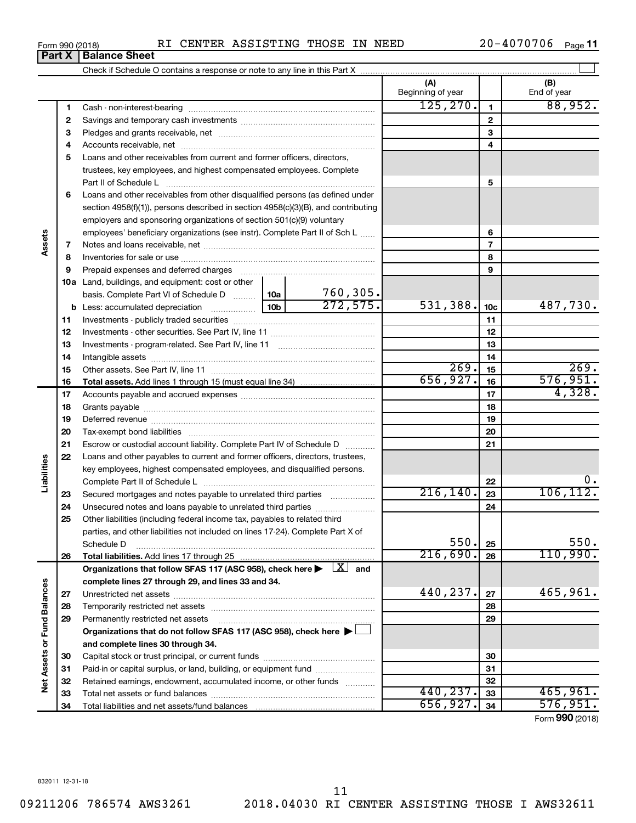| RI CENTER ASSISTING THOSE IN NEED<br>Form 990 (2018) |  |  |  |  |  | $20 - 4070706$ | Page 11 |
|------------------------------------------------------|--|--|--|--|--|----------------|---------|
|------------------------------------------------------|--|--|--|--|--|----------------|---------|

| (A)<br>(B)<br>Beginning of year<br>End of year<br>88,952.<br>125, 270.<br>1<br>1<br>2<br>$\mathbf{2}$<br>3<br>З<br>4<br>4<br>Loans and other receivables from current and former officers, directors,<br>5<br>trustees, key employees, and highest compensated employees. Complete<br>5<br>Part II of Schedule L<br>Loans and other receivables from other disqualified persons (as defined under<br>6<br>section $4958(f)(1)$ , persons described in section $4958(c)(3)(B)$ , and contributing<br>employers and sponsoring organizations of section 501(c)(9) voluntary<br>employees' beneficiary organizations (see instr). Complete Part II of Sch L<br>6<br>Assets<br>7<br>7<br>8<br>8<br>9<br>Prepaid expenses and deferred charges [11] [11] prepaid expenses and deferred charges [11] [11] presummation and the Prepaid expenses and deferred charges [11] and an amount of Prepaid experiment and the Prepaid experiment<br>9<br>10a Land, buildings, and equipment: cost or other<br>$\frac{760,305}{272,575}$<br>basis. Complete Part VI of Schedule D  10a  <br>531,388.<br>487,730.<br>10 <sub>c</sub><br>11<br>11<br>12<br>12<br>13<br>13<br>14<br>14<br>269.<br>269.<br>15<br>15<br>576,951.<br>656,927.<br>16<br>16<br>4,328.<br>17<br>17<br>18<br>18<br>19<br>19<br>20<br>20<br>21<br>Escrow or custodial account liability. Complete Part IV of Schedule D<br>21<br>22<br>Loans and other payables to current and former officers, directors, trustees,<br>Liabilities<br>key employees, highest compensated employees, and disqualified persons.<br>22<br>216, 140.<br>106, 112.<br>23<br>Secured mortgages and notes payable to unrelated third parties<br>23<br>24<br>24<br>Unsecured notes and loans payable to unrelated third parties<br>Other liabilities (including federal income tax, payables to related third<br>25<br>parties, and other liabilities not included on lines 17-24). Complete Part X of<br>550.<br>550.<br>25<br>Schedule D<br>110,990.<br>216,690.<br>Total liabilities. Add lines 17 through 25<br>26<br>26<br>Organizations that follow SFAS 117 (ASC 958), check here $\blacktriangleright \begin{array}{c} \boxed{X} \\ \end{array}$ and<br>complete lines 27 through 29, and lines 33 and 34.<br><b>Fund Balances</b><br>465,961.<br>440,237.<br>27<br>27<br>28<br>28<br>Permanently restricted net assets<br>29<br>29<br>Organizations that do not follow SFAS 117 (ASC 958), check here ▶ □<br>Net Assets or<br>and complete lines 30 through 34.<br>30<br>30<br>Paid-in or capital surplus, or land, building, or equipment fund<br>31<br>31<br>Retained earnings, endowment, accumulated income, or other funds<br>32<br>32<br>440, 237.<br>465,961.<br>33<br>33<br>656, 927.<br>576,951.<br>34<br>34 |  | Part X | <b>Balance Sheet</b> |  |  |  |  |                 |  |  |  |  |  |
|---------------------------------------------------------------------------------------------------------------------------------------------------------------------------------------------------------------------------------------------------------------------------------------------------------------------------------------------------------------------------------------------------------------------------------------------------------------------------------------------------------------------------------------------------------------------------------------------------------------------------------------------------------------------------------------------------------------------------------------------------------------------------------------------------------------------------------------------------------------------------------------------------------------------------------------------------------------------------------------------------------------------------------------------------------------------------------------------------------------------------------------------------------------------------------------------------------------------------------------------------------------------------------------------------------------------------------------------------------------------------------------------------------------------------------------------------------------------------------------------------------------------------------------------------------------------------------------------------------------------------------------------------------------------------------------------------------------------------------------------------------------------------------------------------------------------------------------------------------------------------------------------------------------------------------------------------------------------------------------------------------------------------------------------------------------------------------------------------------------------------------------------------------------------------------------------------------------------------------------------------------------------------------------------------------------------------------------------------------------------------------------------------------------------------------------------------------------------------------------------------------------------------------------------------------------------------------------------------------------------------------------------------------------------------------------------------------------------------------------------------------------|--|--------|----------------------|--|--|--|--|-----------------|--|--|--|--|--|
|                                                                                                                                                                                                                                                                                                                                                                                                                                                                                                                                                                                                                                                                                                                                                                                                                                                                                                                                                                                                                                                                                                                                                                                                                                                                                                                                                                                                                                                                                                                                                                                                                                                                                                                                                                                                                                                                                                                                                                                                                                                                                                                                                                                                                                                                                                                                                                                                                                                                                                                                                                                                                                                                                                                                                               |  |        |                      |  |  |  |  |                 |  |  |  |  |  |
|                                                                                                                                                                                                                                                                                                                                                                                                                                                                                                                                                                                                                                                                                                                                                                                                                                                                                                                                                                                                                                                                                                                                                                                                                                                                                                                                                                                                                                                                                                                                                                                                                                                                                                                                                                                                                                                                                                                                                                                                                                                                                                                                                                                                                                                                                                                                                                                                                                                                                                                                                                                                                                                                                                                                                               |  |        |                      |  |  |  |  |                 |  |  |  |  |  |
|                                                                                                                                                                                                                                                                                                                                                                                                                                                                                                                                                                                                                                                                                                                                                                                                                                                                                                                                                                                                                                                                                                                                                                                                                                                                                                                                                                                                                                                                                                                                                                                                                                                                                                                                                                                                                                                                                                                                                                                                                                                                                                                                                                                                                                                                                                                                                                                                                                                                                                                                                                                                                                                                                                                                                               |  |        |                      |  |  |  |  |                 |  |  |  |  |  |
|                                                                                                                                                                                                                                                                                                                                                                                                                                                                                                                                                                                                                                                                                                                                                                                                                                                                                                                                                                                                                                                                                                                                                                                                                                                                                                                                                                                                                                                                                                                                                                                                                                                                                                                                                                                                                                                                                                                                                                                                                                                                                                                                                                                                                                                                                                                                                                                                                                                                                                                                                                                                                                                                                                                                                               |  |        |                      |  |  |  |  |                 |  |  |  |  |  |
|                                                                                                                                                                                                                                                                                                                                                                                                                                                                                                                                                                                                                                                                                                                                                                                                                                                                                                                                                                                                                                                                                                                                                                                                                                                                                                                                                                                                                                                                                                                                                                                                                                                                                                                                                                                                                                                                                                                                                                                                                                                                                                                                                                                                                                                                                                                                                                                                                                                                                                                                                                                                                                                                                                                                                               |  |        |                      |  |  |  |  |                 |  |  |  |  |  |
|                                                                                                                                                                                                                                                                                                                                                                                                                                                                                                                                                                                                                                                                                                                                                                                                                                                                                                                                                                                                                                                                                                                                                                                                                                                                                                                                                                                                                                                                                                                                                                                                                                                                                                                                                                                                                                                                                                                                                                                                                                                                                                                                                                                                                                                                                                                                                                                                                                                                                                                                                                                                                                                                                                                                                               |  |        |                      |  |  |  |  |                 |  |  |  |  |  |
|                                                                                                                                                                                                                                                                                                                                                                                                                                                                                                                                                                                                                                                                                                                                                                                                                                                                                                                                                                                                                                                                                                                                                                                                                                                                                                                                                                                                                                                                                                                                                                                                                                                                                                                                                                                                                                                                                                                                                                                                                                                                                                                                                                                                                                                                                                                                                                                                                                                                                                                                                                                                                                                                                                                                                               |  |        |                      |  |  |  |  |                 |  |  |  |  |  |
|                                                                                                                                                                                                                                                                                                                                                                                                                                                                                                                                                                                                                                                                                                                                                                                                                                                                                                                                                                                                                                                                                                                                                                                                                                                                                                                                                                                                                                                                                                                                                                                                                                                                                                                                                                                                                                                                                                                                                                                                                                                                                                                                                                                                                                                                                                                                                                                                                                                                                                                                                                                                                                                                                                                                                               |  |        |                      |  |  |  |  |                 |  |  |  |  |  |
|                                                                                                                                                                                                                                                                                                                                                                                                                                                                                                                                                                                                                                                                                                                                                                                                                                                                                                                                                                                                                                                                                                                                                                                                                                                                                                                                                                                                                                                                                                                                                                                                                                                                                                                                                                                                                                                                                                                                                                                                                                                                                                                                                                                                                                                                                                                                                                                                                                                                                                                                                                                                                                                                                                                                                               |  |        |                      |  |  |  |  |                 |  |  |  |  |  |
|                                                                                                                                                                                                                                                                                                                                                                                                                                                                                                                                                                                                                                                                                                                                                                                                                                                                                                                                                                                                                                                                                                                                                                                                                                                                                                                                                                                                                                                                                                                                                                                                                                                                                                                                                                                                                                                                                                                                                                                                                                                                                                                                                                                                                                                                                                                                                                                                                                                                                                                                                                                                                                                                                                                                                               |  |        |                      |  |  |  |  |                 |  |  |  |  |  |
|                                                                                                                                                                                                                                                                                                                                                                                                                                                                                                                                                                                                                                                                                                                                                                                                                                                                                                                                                                                                                                                                                                                                                                                                                                                                                                                                                                                                                                                                                                                                                                                                                                                                                                                                                                                                                                                                                                                                                                                                                                                                                                                                                                                                                                                                                                                                                                                                                                                                                                                                                                                                                                                                                                                                                               |  |        |                      |  |  |  |  |                 |  |  |  |  |  |
|                                                                                                                                                                                                                                                                                                                                                                                                                                                                                                                                                                                                                                                                                                                                                                                                                                                                                                                                                                                                                                                                                                                                                                                                                                                                                                                                                                                                                                                                                                                                                                                                                                                                                                                                                                                                                                                                                                                                                                                                                                                                                                                                                                                                                                                                                                                                                                                                                                                                                                                                                                                                                                                                                                                                                               |  |        |                      |  |  |  |  |                 |  |  |  |  |  |
|                                                                                                                                                                                                                                                                                                                                                                                                                                                                                                                                                                                                                                                                                                                                                                                                                                                                                                                                                                                                                                                                                                                                                                                                                                                                                                                                                                                                                                                                                                                                                                                                                                                                                                                                                                                                                                                                                                                                                                                                                                                                                                                                                                                                                                                                                                                                                                                                                                                                                                                                                                                                                                                                                                                                                               |  |        |                      |  |  |  |  |                 |  |  |  |  |  |
|                                                                                                                                                                                                                                                                                                                                                                                                                                                                                                                                                                                                                                                                                                                                                                                                                                                                                                                                                                                                                                                                                                                                                                                                                                                                                                                                                                                                                                                                                                                                                                                                                                                                                                                                                                                                                                                                                                                                                                                                                                                                                                                                                                                                                                                                                                                                                                                                                                                                                                                                                                                                                                                                                                                                                               |  |        |                      |  |  |  |  |                 |  |  |  |  |  |
|                                                                                                                                                                                                                                                                                                                                                                                                                                                                                                                                                                                                                                                                                                                                                                                                                                                                                                                                                                                                                                                                                                                                                                                                                                                                                                                                                                                                                                                                                                                                                                                                                                                                                                                                                                                                                                                                                                                                                                                                                                                                                                                                                                                                                                                                                                                                                                                                                                                                                                                                                                                                                                                                                                                                                               |  |        |                      |  |  |  |  |                 |  |  |  |  |  |
|                                                                                                                                                                                                                                                                                                                                                                                                                                                                                                                                                                                                                                                                                                                                                                                                                                                                                                                                                                                                                                                                                                                                                                                                                                                                                                                                                                                                                                                                                                                                                                                                                                                                                                                                                                                                                                                                                                                                                                                                                                                                                                                                                                                                                                                                                                                                                                                                                                                                                                                                                                                                                                                                                                                                                               |  |        |                      |  |  |  |  |                 |  |  |  |  |  |
|                                                                                                                                                                                                                                                                                                                                                                                                                                                                                                                                                                                                                                                                                                                                                                                                                                                                                                                                                                                                                                                                                                                                                                                                                                                                                                                                                                                                                                                                                                                                                                                                                                                                                                                                                                                                                                                                                                                                                                                                                                                                                                                                                                                                                                                                                                                                                                                                                                                                                                                                                                                                                                                                                                                                                               |  |        |                      |  |  |  |  |                 |  |  |  |  |  |
|                                                                                                                                                                                                                                                                                                                                                                                                                                                                                                                                                                                                                                                                                                                                                                                                                                                                                                                                                                                                                                                                                                                                                                                                                                                                                                                                                                                                                                                                                                                                                                                                                                                                                                                                                                                                                                                                                                                                                                                                                                                                                                                                                                                                                                                                                                                                                                                                                                                                                                                                                                                                                                                                                                                                                               |  |        |                      |  |  |  |  |                 |  |  |  |  |  |
|                                                                                                                                                                                                                                                                                                                                                                                                                                                                                                                                                                                                                                                                                                                                                                                                                                                                                                                                                                                                                                                                                                                                                                                                                                                                                                                                                                                                                                                                                                                                                                                                                                                                                                                                                                                                                                                                                                                                                                                                                                                                                                                                                                                                                                                                                                                                                                                                                                                                                                                                                                                                                                                                                                                                                               |  |        |                      |  |  |  |  |                 |  |  |  |  |  |
|                                                                                                                                                                                                                                                                                                                                                                                                                                                                                                                                                                                                                                                                                                                                                                                                                                                                                                                                                                                                                                                                                                                                                                                                                                                                                                                                                                                                                                                                                                                                                                                                                                                                                                                                                                                                                                                                                                                                                                                                                                                                                                                                                                                                                                                                                                                                                                                                                                                                                                                                                                                                                                                                                                                                                               |  |        |                      |  |  |  |  |                 |  |  |  |  |  |
|                                                                                                                                                                                                                                                                                                                                                                                                                                                                                                                                                                                                                                                                                                                                                                                                                                                                                                                                                                                                                                                                                                                                                                                                                                                                                                                                                                                                                                                                                                                                                                                                                                                                                                                                                                                                                                                                                                                                                                                                                                                                                                                                                                                                                                                                                                                                                                                                                                                                                                                                                                                                                                                                                                                                                               |  |        |                      |  |  |  |  |                 |  |  |  |  |  |
|                                                                                                                                                                                                                                                                                                                                                                                                                                                                                                                                                                                                                                                                                                                                                                                                                                                                                                                                                                                                                                                                                                                                                                                                                                                                                                                                                                                                                                                                                                                                                                                                                                                                                                                                                                                                                                                                                                                                                                                                                                                                                                                                                                                                                                                                                                                                                                                                                                                                                                                                                                                                                                                                                                                                                               |  |        |                      |  |  |  |  |                 |  |  |  |  |  |
|                                                                                                                                                                                                                                                                                                                                                                                                                                                                                                                                                                                                                                                                                                                                                                                                                                                                                                                                                                                                                                                                                                                                                                                                                                                                                                                                                                                                                                                                                                                                                                                                                                                                                                                                                                                                                                                                                                                                                                                                                                                                                                                                                                                                                                                                                                                                                                                                                                                                                                                                                                                                                                                                                                                                                               |  |        |                      |  |  |  |  |                 |  |  |  |  |  |
|                                                                                                                                                                                                                                                                                                                                                                                                                                                                                                                                                                                                                                                                                                                                                                                                                                                                                                                                                                                                                                                                                                                                                                                                                                                                                                                                                                                                                                                                                                                                                                                                                                                                                                                                                                                                                                                                                                                                                                                                                                                                                                                                                                                                                                                                                                                                                                                                                                                                                                                                                                                                                                                                                                                                                               |  |        |                      |  |  |  |  |                 |  |  |  |  |  |
|                                                                                                                                                                                                                                                                                                                                                                                                                                                                                                                                                                                                                                                                                                                                                                                                                                                                                                                                                                                                                                                                                                                                                                                                                                                                                                                                                                                                                                                                                                                                                                                                                                                                                                                                                                                                                                                                                                                                                                                                                                                                                                                                                                                                                                                                                                                                                                                                                                                                                                                                                                                                                                                                                                                                                               |  |        |                      |  |  |  |  |                 |  |  |  |  |  |
|                                                                                                                                                                                                                                                                                                                                                                                                                                                                                                                                                                                                                                                                                                                                                                                                                                                                                                                                                                                                                                                                                                                                                                                                                                                                                                                                                                                                                                                                                                                                                                                                                                                                                                                                                                                                                                                                                                                                                                                                                                                                                                                                                                                                                                                                                                                                                                                                                                                                                                                                                                                                                                                                                                                                                               |  |        |                      |  |  |  |  |                 |  |  |  |  |  |
|                                                                                                                                                                                                                                                                                                                                                                                                                                                                                                                                                                                                                                                                                                                                                                                                                                                                                                                                                                                                                                                                                                                                                                                                                                                                                                                                                                                                                                                                                                                                                                                                                                                                                                                                                                                                                                                                                                                                                                                                                                                                                                                                                                                                                                                                                                                                                                                                                                                                                                                                                                                                                                                                                                                                                               |  |        |                      |  |  |  |  |                 |  |  |  |  |  |
|                                                                                                                                                                                                                                                                                                                                                                                                                                                                                                                                                                                                                                                                                                                                                                                                                                                                                                                                                                                                                                                                                                                                                                                                                                                                                                                                                                                                                                                                                                                                                                                                                                                                                                                                                                                                                                                                                                                                                                                                                                                                                                                                                                                                                                                                                                                                                                                                                                                                                                                                                                                                                                                                                                                                                               |  |        |                      |  |  |  |  |                 |  |  |  |  |  |
|                                                                                                                                                                                                                                                                                                                                                                                                                                                                                                                                                                                                                                                                                                                                                                                                                                                                                                                                                                                                                                                                                                                                                                                                                                                                                                                                                                                                                                                                                                                                                                                                                                                                                                                                                                                                                                                                                                                                                                                                                                                                                                                                                                                                                                                                                                                                                                                                                                                                                                                                                                                                                                                                                                                                                               |  |        |                      |  |  |  |  |                 |  |  |  |  |  |
|                                                                                                                                                                                                                                                                                                                                                                                                                                                                                                                                                                                                                                                                                                                                                                                                                                                                                                                                                                                                                                                                                                                                                                                                                                                                                                                                                                                                                                                                                                                                                                                                                                                                                                                                                                                                                                                                                                                                                                                                                                                                                                                                                                                                                                                                                                                                                                                                                                                                                                                                                                                                                                                                                                                                                               |  |        |                      |  |  |  |  |                 |  |  |  |  |  |
|                                                                                                                                                                                                                                                                                                                                                                                                                                                                                                                                                                                                                                                                                                                                                                                                                                                                                                                                                                                                                                                                                                                                                                                                                                                                                                                                                                                                                                                                                                                                                                                                                                                                                                                                                                                                                                                                                                                                                                                                                                                                                                                                                                                                                                                                                                                                                                                                                                                                                                                                                                                                                                                                                                                                                               |  |        |                      |  |  |  |  |                 |  |  |  |  |  |
|                                                                                                                                                                                                                                                                                                                                                                                                                                                                                                                                                                                                                                                                                                                                                                                                                                                                                                                                                                                                                                                                                                                                                                                                                                                                                                                                                                                                                                                                                                                                                                                                                                                                                                                                                                                                                                                                                                                                                                                                                                                                                                                                                                                                                                                                                                                                                                                                                                                                                                                                                                                                                                                                                                                                                               |  |        |                      |  |  |  |  |                 |  |  |  |  |  |
|                                                                                                                                                                                                                                                                                                                                                                                                                                                                                                                                                                                                                                                                                                                                                                                                                                                                                                                                                                                                                                                                                                                                                                                                                                                                                                                                                                                                                                                                                                                                                                                                                                                                                                                                                                                                                                                                                                                                                                                                                                                                                                                                                                                                                                                                                                                                                                                                                                                                                                                                                                                                                                                                                                                                                               |  |        |                      |  |  |  |  |                 |  |  |  |  |  |
|                                                                                                                                                                                                                                                                                                                                                                                                                                                                                                                                                                                                                                                                                                                                                                                                                                                                                                                                                                                                                                                                                                                                                                                                                                                                                                                                                                                                                                                                                                                                                                                                                                                                                                                                                                                                                                                                                                                                                                                                                                                                                                                                                                                                                                                                                                                                                                                                                                                                                                                                                                                                                                                                                                                                                               |  |        |                      |  |  |  |  |                 |  |  |  |  |  |
|                                                                                                                                                                                                                                                                                                                                                                                                                                                                                                                                                                                                                                                                                                                                                                                                                                                                                                                                                                                                                                                                                                                                                                                                                                                                                                                                                                                                                                                                                                                                                                                                                                                                                                                                                                                                                                                                                                                                                                                                                                                                                                                                                                                                                                                                                                                                                                                                                                                                                                                                                                                                                                                                                                                                                               |  |        |                      |  |  |  |  |                 |  |  |  |  |  |
|                                                                                                                                                                                                                                                                                                                                                                                                                                                                                                                                                                                                                                                                                                                                                                                                                                                                                                                                                                                                                                                                                                                                                                                                                                                                                                                                                                                                                                                                                                                                                                                                                                                                                                                                                                                                                                                                                                                                                                                                                                                                                                                                                                                                                                                                                                                                                                                                                                                                                                                                                                                                                                                                                                                                                               |  |        |                      |  |  |  |  |                 |  |  |  |  |  |
|                                                                                                                                                                                                                                                                                                                                                                                                                                                                                                                                                                                                                                                                                                                                                                                                                                                                                                                                                                                                                                                                                                                                                                                                                                                                                                                                                                                                                                                                                                                                                                                                                                                                                                                                                                                                                                                                                                                                                                                                                                                                                                                                                                                                                                                                                                                                                                                                                                                                                                                                                                                                                                                                                                                                                               |  |        |                      |  |  |  |  |                 |  |  |  |  |  |
|                                                                                                                                                                                                                                                                                                                                                                                                                                                                                                                                                                                                                                                                                                                                                                                                                                                                                                                                                                                                                                                                                                                                                                                                                                                                                                                                                                                                                                                                                                                                                                                                                                                                                                                                                                                                                                                                                                                                                                                                                                                                                                                                                                                                                                                                                                                                                                                                                                                                                                                                                                                                                                                                                                                                                               |  |        |                      |  |  |  |  |                 |  |  |  |  |  |
|                                                                                                                                                                                                                                                                                                                                                                                                                                                                                                                                                                                                                                                                                                                                                                                                                                                                                                                                                                                                                                                                                                                                                                                                                                                                                                                                                                                                                                                                                                                                                                                                                                                                                                                                                                                                                                                                                                                                                                                                                                                                                                                                                                                                                                                                                                                                                                                                                                                                                                                                                                                                                                                                                                                                                               |  |        |                      |  |  |  |  |                 |  |  |  |  |  |
|                                                                                                                                                                                                                                                                                                                                                                                                                                                                                                                                                                                                                                                                                                                                                                                                                                                                                                                                                                                                                                                                                                                                                                                                                                                                                                                                                                                                                                                                                                                                                                                                                                                                                                                                                                                                                                                                                                                                                                                                                                                                                                                                                                                                                                                                                                                                                                                                                                                                                                                                                                                                                                                                                                                                                               |  |        |                      |  |  |  |  |                 |  |  |  |  |  |
|                                                                                                                                                                                                                                                                                                                                                                                                                                                                                                                                                                                                                                                                                                                                                                                                                                                                                                                                                                                                                                                                                                                                                                                                                                                                                                                                                                                                                                                                                                                                                                                                                                                                                                                                                                                                                                                                                                                                                                                                                                                                                                                                                                                                                                                                                                                                                                                                                                                                                                                                                                                                                                                                                                                                                               |  |        |                      |  |  |  |  |                 |  |  |  |  |  |
|                                                                                                                                                                                                                                                                                                                                                                                                                                                                                                                                                                                                                                                                                                                                                                                                                                                                                                                                                                                                                                                                                                                                                                                                                                                                                                                                                                                                                                                                                                                                                                                                                                                                                                                                                                                                                                                                                                                                                                                                                                                                                                                                                                                                                                                                                                                                                                                                                                                                                                                                                                                                                                                                                                                                                               |  |        |                      |  |  |  |  |                 |  |  |  |  |  |
|                                                                                                                                                                                                                                                                                                                                                                                                                                                                                                                                                                                                                                                                                                                                                                                                                                                                                                                                                                                                                                                                                                                                                                                                                                                                                                                                                                                                                                                                                                                                                                                                                                                                                                                                                                                                                                                                                                                                                                                                                                                                                                                                                                                                                                                                                                                                                                                                                                                                                                                                                                                                                                                                                                                                                               |  |        |                      |  |  |  |  |                 |  |  |  |  |  |
|                                                                                                                                                                                                                                                                                                                                                                                                                                                                                                                                                                                                                                                                                                                                                                                                                                                                                                                                                                                                                                                                                                                                                                                                                                                                                                                                                                                                                                                                                                                                                                                                                                                                                                                                                                                                                                                                                                                                                                                                                                                                                                                                                                                                                                                                                                                                                                                                                                                                                                                                                                                                                                                                                                                                                               |  |        |                      |  |  |  |  |                 |  |  |  |  |  |
|                                                                                                                                                                                                                                                                                                                                                                                                                                                                                                                                                                                                                                                                                                                                                                                                                                                                                                                                                                                                                                                                                                                                                                                                                                                                                                                                                                                                                                                                                                                                                                                                                                                                                                                                                                                                                                                                                                                                                                                                                                                                                                                                                                                                                                                                                                                                                                                                                                                                                                                                                                                                                                                                                                                                                               |  |        |                      |  |  |  |  |                 |  |  |  |  |  |
|                                                                                                                                                                                                                                                                                                                                                                                                                                                                                                                                                                                                                                                                                                                                                                                                                                                                                                                                                                                                                                                                                                                                                                                                                                                                                                                                                                                                                                                                                                                                                                                                                                                                                                                                                                                                                                                                                                                                                                                                                                                                                                                                                                                                                                                                                                                                                                                                                                                                                                                                                                                                                                                                                                                                                               |  |        |                      |  |  |  |  |                 |  |  |  |  |  |
|                                                                                                                                                                                                                                                                                                                                                                                                                                                                                                                                                                                                                                                                                                                                                                                                                                                                                                                                                                                                                                                                                                                                                                                                                                                                                                                                                                                                                                                                                                                                                                                                                                                                                                                                                                                                                                                                                                                                                                                                                                                                                                                                                                                                                                                                                                                                                                                                                                                                                                                                                                                                                                                                                                                                                               |  |        |                      |  |  |  |  |                 |  |  |  |  |  |
|                                                                                                                                                                                                                                                                                                                                                                                                                                                                                                                                                                                                                                                                                                                                                                                                                                                                                                                                                                                                                                                                                                                                                                                                                                                                                                                                                                                                                                                                                                                                                                                                                                                                                                                                                                                                                                                                                                                                                                                                                                                                                                                                                                                                                                                                                                                                                                                                                                                                                                                                                                                                                                                                                                                                                               |  |        |                      |  |  |  |  |                 |  |  |  |  |  |
|                                                                                                                                                                                                                                                                                                                                                                                                                                                                                                                                                                                                                                                                                                                                                                                                                                                                                                                                                                                                                                                                                                                                                                                                                                                                                                                                                                                                                                                                                                                                                                                                                                                                                                                                                                                                                                                                                                                                                                                                                                                                                                                                                                                                                                                                                                                                                                                                                                                                                                                                                                                                                                                                                                                                                               |  |        |                      |  |  |  |  |                 |  |  |  |  |  |
|                                                                                                                                                                                                                                                                                                                                                                                                                                                                                                                                                                                                                                                                                                                                                                                                                                                                                                                                                                                                                                                                                                                                                                                                                                                                                                                                                                                                                                                                                                                                                                                                                                                                                                                                                                                                                                                                                                                                                                                                                                                                                                                                                                                                                                                                                                                                                                                                                                                                                                                                                                                                                                                                                                                                                               |  |        |                      |  |  |  |  |                 |  |  |  |  |  |
|                                                                                                                                                                                                                                                                                                                                                                                                                                                                                                                                                                                                                                                                                                                                                                                                                                                                                                                                                                                                                                                                                                                                                                                                                                                                                                                                                                                                                                                                                                                                                                                                                                                                                                                                                                                                                                                                                                                                                                                                                                                                                                                                                                                                                                                                                                                                                                                                                                                                                                                                                                                                                                                                                                                                                               |  |        |                      |  |  |  |  | Form 990 (2018) |  |  |  |  |  |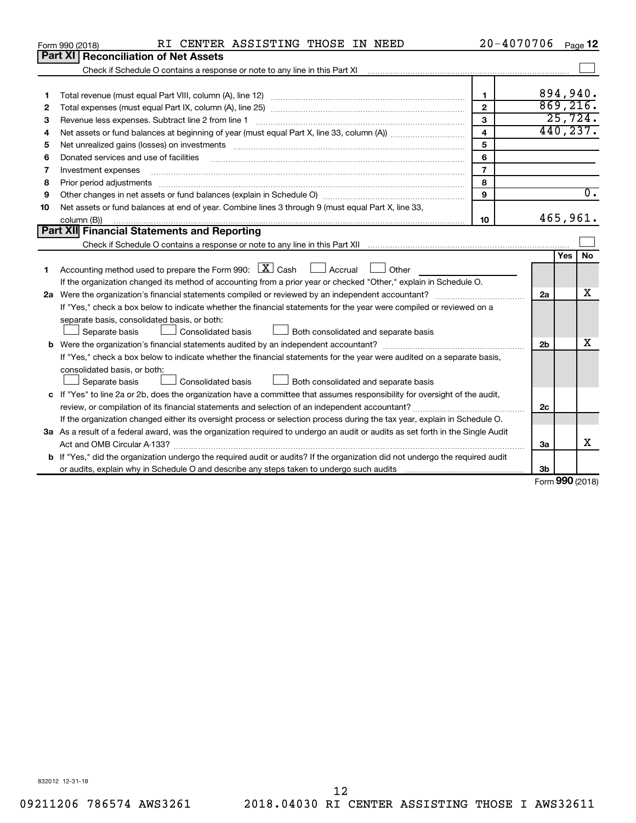|                                                                                                                                 | RI CENTER ASSISTING THOSE IN NEED<br>Form 990 (2018)                                                                                                              | 20-4070706              |          |                   | Page 12          |  |  |
|---------------------------------------------------------------------------------------------------------------------------------|-------------------------------------------------------------------------------------------------------------------------------------------------------------------|-------------------------|----------|-------------------|------------------|--|--|
|                                                                                                                                 | Part XI<br><b>Reconciliation of Net Assets</b>                                                                                                                    |                         |          |                   |                  |  |  |
|                                                                                                                                 | Check if Schedule O contains a response or note to any line in this Part XI [11] [12] Check if Schedule O contains a response or note to any line in this Part XI |                         |          |                   |                  |  |  |
|                                                                                                                                 |                                                                                                                                                                   |                         |          |                   |                  |  |  |
| 1                                                                                                                               |                                                                                                                                                                   | 1                       | 894,940. |                   |                  |  |  |
| 2                                                                                                                               |                                                                                                                                                                   | $\mathbf{2}$            |          |                   | 869,216.         |  |  |
| з                                                                                                                               | Revenue less expenses. Subtract line 2 from line 1                                                                                                                | $\mathbf{3}$            |          |                   | 25,724.          |  |  |
| 4                                                                                                                               |                                                                                                                                                                   | $\overline{\mathbf{4}}$ |          |                   | 440, 237.        |  |  |
| 5                                                                                                                               |                                                                                                                                                                   | 5                       |          |                   |                  |  |  |
| 6                                                                                                                               | Donated services and use of facilities                                                                                                                            | 6                       |          |                   |                  |  |  |
| 7                                                                                                                               | Investment expenses                                                                                                                                               | $\overline{7}$          |          |                   |                  |  |  |
| 8                                                                                                                               |                                                                                                                                                                   | 8                       |          |                   |                  |  |  |
| 9                                                                                                                               |                                                                                                                                                                   | 9                       |          |                   | $\overline{0}$ . |  |  |
| 10                                                                                                                              | Net assets or fund balances at end of year. Combine lines 3 through 9 (must equal Part X, line 33,                                                                |                         |          |                   |                  |  |  |
|                                                                                                                                 | column (B))                                                                                                                                                       | 10                      |          |                   | 465,961.         |  |  |
|                                                                                                                                 | Part XII Financial Statements and Reporting                                                                                                                       |                         |          |                   |                  |  |  |
|                                                                                                                                 |                                                                                                                                                                   |                         |          |                   |                  |  |  |
|                                                                                                                                 |                                                                                                                                                                   |                         |          | Yes               | <b>No</b>        |  |  |
| 1                                                                                                                               | Accounting method used to prepare the Form 990: $X \subset X$ Cash<br>$\Box$ Accrual<br>Other                                                                     |                         |          |                   |                  |  |  |
|                                                                                                                                 | If the organization changed its method of accounting from a prior year or checked "Other," explain in Schedule O.                                                 |                         |          |                   |                  |  |  |
|                                                                                                                                 |                                                                                                                                                                   |                         | 2a       |                   | x                |  |  |
|                                                                                                                                 | If "Yes," check a box below to indicate whether the financial statements for the year were compiled or reviewed on a                                              |                         |          |                   |                  |  |  |
|                                                                                                                                 | separate basis, consolidated basis, or both:                                                                                                                      |                         |          |                   |                  |  |  |
|                                                                                                                                 | Both consolidated and separate basis<br>Separate basis<br>Consolidated basis                                                                                      |                         |          |                   |                  |  |  |
|                                                                                                                                 | b Were the organization's financial statements audited by an independent accountant?                                                                              |                         | 2b       |                   | x                |  |  |
|                                                                                                                                 | If "Yes," check a box below to indicate whether the financial statements for the year were audited on a separate basis,                                           |                         |          |                   |                  |  |  |
|                                                                                                                                 | consolidated basis, or both:                                                                                                                                      |                         |          |                   |                  |  |  |
|                                                                                                                                 | Consolidated basis<br>Separate basis<br>Both consolidated and separate basis                                                                                      |                         |          |                   |                  |  |  |
|                                                                                                                                 | c If "Yes" to line 2a or 2b, does the organization have a committee that assumes responsibility for oversight of the audit,                                       |                         |          |                   |                  |  |  |
|                                                                                                                                 | review, or compilation of its financial statements and selection of an independent accountant?                                                                    |                         | 2c       |                   |                  |  |  |
| If the organization changed either its oversight process or selection process during the tax year, explain in Schedule O.       |                                                                                                                                                                   |                         |          |                   |                  |  |  |
| 3a As a result of a federal award, was the organization required to undergo an audit or audits as set forth in the Single Audit |                                                                                                                                                                   |                         |          |                   |                  |  |  |
|                                                                                                                                 |                                                                                                                                                                   |                         | 3a       |                   | x                |  |  |
|                                                                                                                                 | <b>b</b> If "Yes," did the organization undergo the required audit or audits? If the organization did not undergo the required audit                              |                         |          |                   |                  |  |  |
|                                                                                                                                 |                                                                                                                                                                   |                         | Зb       |                   |                  |  |  |
|                                                                                                                                 |                                                                                                                                                                   |                         |          | $000 \, \text{m}$ |                  |  |  |

Form (2018) **990**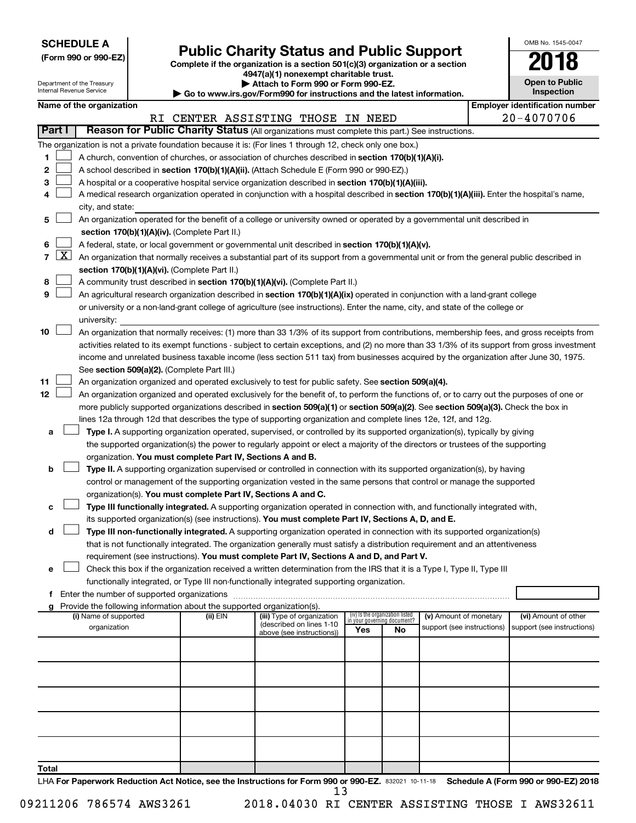| <b>SCHEDULE A</b> |  |
|-------------------|--|
|-------------------|--|

| (Form 990 or 990-EZ) |  |  |  |  |
|----------------------|--|--|--|--|
|----------------------|--|--|--|--|

# Form 990 or 990-EZ)<br>
Complete if the organization is a section 501(c)(3) organization or a section<br> **Public Charity Status and Public Support**

**4947(a)(1) nonexempt charitable trust.**

| OMB No 1545-0047                          |
|-------------------------------------------|
| N 1                                       |
| <b>Open to Public</b><br><b>isnaction</b> |

 $\Box$ 

| Department of the Treasury<br>Internal Revenue Service |                 |                                               |  | Attach to Form 990 or Form 990-EZ.<br>Go to www.irs.gov/Form990 for instructions and the latest information. |                                                                                                                                               |                                                                |    |                            |  |                                                     |  |  |  |
|--------------------------------------------------------|-----------------|-----------------------------------------------|--|--------------------------------------------------------------------------------------------------------------|-----------------------------------------------------------------------------------------------------------------------------------------------|----------------------------------------------------------------|----|----------------------------|--|-----------------------------------------------------|--|--|--|
|                                                        |                 | Name of the organization                      |  |                                                                                                              |                                                                                                                                               |                                                                |    |                            |  | Inspection<br><b>Employer identification number</b> |  |  |  |
|                                                        |                 |                                               |  |                                                                                                              | RI CENTER ASSISTING THOSE IN NEED                                                                                                             |                                                                |    |                            |  | 20-4070706                                          |  |  |  |
|                                                        | Part I          |                                               |  |                                                                                                              | Reason for Public Charity Status (All organizations must complete this part.) See instructions.                                               |                                                                |    |                            |  |                                                     |  |  |  |
|                                                        |                 |                                               |  |                                                                                                              | The organization is not a private foundation because it is: (For lines 1 through 12, check only one box.)                                     |                                                                |    |                            |  |                                                     |  |  |  |
| 1                                                      |                 |                                               |  |                                                                                                              | A church, convention of churches, or association of churches described in section 170(b)(1)(A)(i).                                            |                                                                |    |                            |  |                                                     |  |  |  |
| 2                                                      |                 |                                               |  |                                                                                                              | A school described in section 170(b)(1)(A)(ii). (Attach Schedule E (Form 990 or 990-EZ).)                                                     |                                                                |    |                            |  |                                                     |  |  |  |
| 3                                                      |                 |                                               |  |                                                                                                              | A hospital or a cooperative hospital service organization described in section 170(b)(1)(A)(iii).                                             |                                                                |    |                            |  |                                                     |  |  |  |
| 4                                                      |                 |                                               |  |                                                                                                              | A medical research organization operated in conjunction with a hospital described in section 170(b)(1)(A)(iii). Enter the hospital's name,    |                                                                |    |                            |  |                                                     |  |  |  |
|                                                        |                 | city, and state:                              |  |                                                                                                              |                                                                                                                                               |                                                                |    |                            |  |                                                     |  |  |  |
| 5                                                      |                 |                                               |  |                                                                                                              | An organization operated for the benefit of a college or university owned or operated by a governmental unit described in                     |                                                                |    |                            |  |                                                     |  |  |  |
|                                                        |                 | section 170(b)(1)(A)(iv). (Complete Part II.) |  |                                                                                                              |                                                                                                                                               |                                                                |    |                            |  |                                                     |  |  |  |
| 6                                                      |                 |                                               |  |                                                                                                              | A federal, state, or local government or governmental unit described in section 170(b)(1)(A)(v).                                              |                                                                |    |                            |  |                                                     |  |  |  |
|                                                        | $7 \mid X \mid$ |                                               |  |                                                                                                              | An organization that normally receives a substantial part of its support from a governmental unit or from the general public described in     |                                                                |    |                            |  |                                                     |  |  |  |
|                                                        |                 |                                               |  | section 170(b)(1)(A)(vi). (Complete Part II.)                                                                |                                                                                                                                               |                                                                |    |                            |  |                                                     |  |  |  |
| 8                                                      |                 |                                               |  |                                                                                                              | A community trust described in section 170(b)(1)(A)(vi). (Complete Part II.)                                                                  |                                                                |    |                            |  |                                                     |  |  |  |
| 9                                                      |                 |                                               |  |                                                                                                              | An agricultural research organization described in section 170(b)(1)(A)(ix) operated in conjunction with a land-grant college                 |                                                                |    |                            |  |                                                     |  |  |  |
|                                                        |                 |                                               |  |                                                                                                              | or university or a non-land-grant college of agriculture (see instructions). Enter the name, city, and state of the college or                |                                                                |    |                            |  |                                                     |  |  |  |
|                                                        |                 | university:                                   |  |                                                                                                              |                                                                                                                                               |                                                                |    |                            |  |                                                     |  |  |  |
| 10                                                     |                 |                                               |  |                                                                                                              | An organization that normally receives: (1) more than 33 1/3% of its support from contributions, membership fees, and gross receipts from     |                                                                |    |                            |  |                                                     |  |  |  |
|                                                        |                 |                                               |  |                                                                                                              | activities related to its exempt functions - subject to certain exceptions, and (2) no more than 33 1/3% of its support from gross investment |                                                                |    |                            |  |                                                     |  |  |  |
|                                                        |                 |                                               |  |                                                                                                              | income and unrelated business taxable income (less section 511 tax) from businesses acquired by the organization after June 30, 1975.         |                                                                |    |                            |  |                                                     |  |  |  |
|                                                        |                 |                                               |  | See section 509(a)(2). (Complete Part III.)                                                                  |                                                                                                                                               |                                                                |    |                            |  |                                                     |  |  |  |
| 11                                                     |                 |                                               |  |                                                                                                              | An organization organized and operated exclusively to test for public safety. See section 509(a)(4).                                          |                                                                |    |                            |  |                                                     |  |  |  |
| 12                                                     |                 |                                               |  |                                                                                                              | An organization organized and operated exclusively for the benefit of, to perform the functions of, or to carry out the purposes of one or    |                                                                |    |                            |  |                                                     |  |  |  |
|                                                        |                 |                                               |  |                                                                                                              | more publicly supported organizations described in section 509(a)(1) or section 509(a)(2). See section 509(a)(3). Check the box in            |                                                                |    |                            |  |                                                     |  |  |  |
|                                                        |                 |                                               |  |                                                                                                              | lines 12a through 12d that describes the type of supporting organization and complete lines 12e, 12f, and 12g.                                |                                                                |    |                            |  |                                                     |  |  |  |
| а                                                      |                 |                                               |  |                                                                                                              | Type I. A supporting organization operated, supervised, or controlled by its supported organization(s), typically by giving                   |                                                                |    |                            |  |                                                     |  |  |  |
|                                                        |                 |                                               |  |                                                                                                              | the supported organization(s) the power to regularly appoint or elect a majority of the directors or trustees of the supporting               |                                                                |    |                            |  |                                                     |  |  |  |
|                                                        |                 |                                               |  | organization. You must complete Part IV, Sections A and B.                                                   |                                                                                                                                               |                                                                |    |                            |  |                                                     |  |  |  |
| b                                                      |                 |                                               |  |                                                                                                              | Type II. A supporting organization supervised or controlled in connection with its supported organization(s), by having                       |                                                                |    |                            |  |                                                     |  |  |  |
|                                                        |                 |                                               |  | organization(s). You must complete Part IV, Sections A and C.                                                | control or management of the supporting organization vested in the same persons that control or manage the supported                          |                                                                |    |                            |  |                                                     |  |  |  |
| с                                                      |                 |                                               |  |                                                                                                              | Type III functionally integrated. A supporting organization operated in connection with, and functionally integrated with,                    |                                                                |    |                            |  |                                                     |  |  |  |
|                                                        |                 |                                               |  |                                                                                                              | its supported organization(s) (see instructions). You must complete Part IV, Sections A, D, and E.                                            |                                                                |    |                            |  |                                                     |  |  |  |
| d                                                      |                 |                                               |  |                                                                                                              | Type III non-functionally integrated. A supporting organization operated in connection with its supported organization(s)                     |                                                                |    |                            |  |                                                     |  |  |  |
|                                                        |                 |                                               |  |                                                                                                              | that is not functionally integrated. The organization generally must satisfy a distribution requirement and an attentiveness                  |                                                                |    |                            |  |                                                     |  |  |  |
|                                                        |                 |                                               |  |                                                                                                              | requirement (see instructions). You must complete Part IV, Sections A and D, and Part V.                                                      |                                                                |    |                            |  |                                                     |  |  |  |
| е                                                      |                 |                                               |  |                                                                                                              | Check this box if the organization received a written determination from the IRS that it is a Type I, Type II, Type III                       |                                                                |    |                            |  |                                                     |  |  |  |
|                                                        |                 |                                               |  |                                                                                                              | functionally integrated, or Type III non-functionally integrated supporting organization.                                                     |                                                                |    |                            |  |                                                     |  |  |  |
|                                                        |                 |                                               |  |                                                                                                              |                                                                                                                                               |                                                                |    |                            |  |                                                     |  |  |  |
| g                                                      |                 |                                               |  | Provide the following information about the supported organization(s).                                       |                                                                                                                                               |                                                                |    |                            |  |                                                     |  |  |  |
|                                                        |                 | (i) Name of supported                         |  | (ii) EIN                                                                                                     | (iii) Type of organization<br>(described on lines 1-10                                                                                        | (iv) Is the organization listed<br>in your governing document? |    | (v) Amount of monetary     |  | (vi) Amount of other                                |  |  |  |
|                                                        |                 | organization                                  |  |                                                                                                              | above (see instructions))                                                                                                                     | Yes                                                            | No | support (see instructions) |  | support (see instructions)                          |  |  |  |
|                                                        |                 |                                               |  |                                                                                                              |                                                                                                                                               |                                                                |    |                            |  |                                                     |  |  |  |
|                                                        |                 |                                               |  |                                                                                                              |                                                                                                                                               |                                                                |    |                            |  |                                                     |  |  |  |
|                                                        |                 |                                               |  |                                                                                                              |                                                                                                                                               |                                                                |    |                            |  |                                                     |  |  |  |
|                                                        |                 |                                               |  |                                                                                                              |                                                                                                                                               |                                                                |    |                            |  |                                                     |  |  |  |
|                                                        |                 |                                               |  |                                                                                                              |                                                                                                                                               |                                                                |    |                            |  |                                                     |  |  |  |
|                                                        |                 |                                               |  |                                                                                                              |                                                                                                                                               |                                                                |    |                            |  |                                                     |  |  |  |
|                                                        |                 |                                               |  |                                                                                                              |                                                                                                                                               |                                                                |    |                            |  |                                                     |  |  |  |
|                                                        |                 |                                               |  |                                                                                                              |                                                                                                                                               |                                                                |    |                            |  |                                                     |  |  |  |
|                                                        |                 |                                               |  |                                                                                                              |                                                                                                                                               |                                                                |    |                            |  |                                                     |  |  |  |
|                                                        |                 |                                               |  |                                                                                                              |                                                                                                                                               |                                                                |    |                            |  |                                                     |  |  |  |
| Total                                                  |                 |                                               |  |                                                                                                              |                                                                                                                                               |                                                                |    |                            |  |                                                     |  |  |  |

LHA For Paperwork Reduction Act Notice, see the Instructions for Form 990 or 990-EZ. 832021 10-11-18 Schedule A (Form 990 or 990-EZ) 2018 13

09211206 786574 AWS3261 2018.04030 RI CENTER ASSISTING THOSE I AWS32611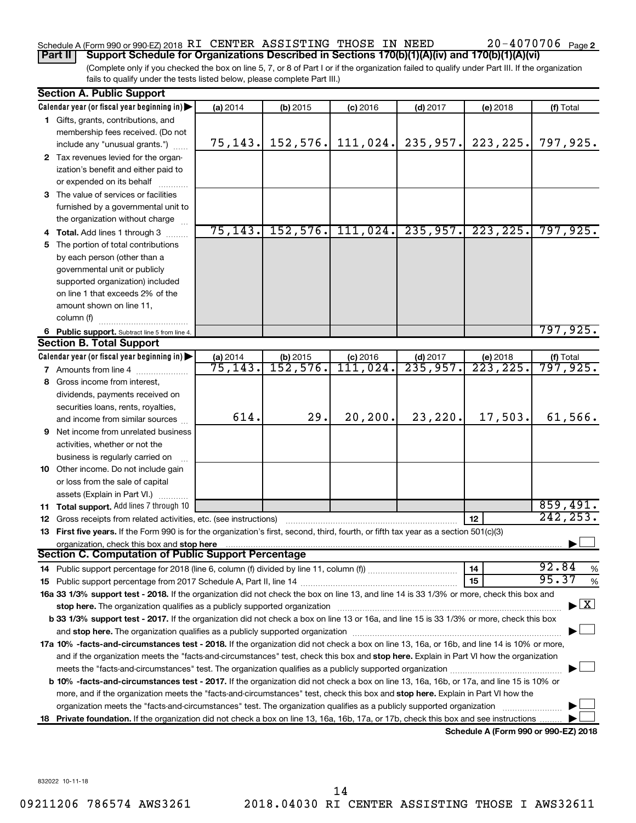#### Schedule A (Form 990 or 990-EZ) 2018 RI CENTER ASSISTING THOSE IN NEED  $20-4070706$  Page **Part II Support Schedule for Organizations Described in Sections 170(b)(1)(A)(iv) and 170(b)(1)(A)(vi)**

(Complete only if you checked the box on line 5, 7, or 8 of Part I or if the organization failed to qualify under Part III. If the organization fails to qualify under the tests listed below, please complete Part III.)

|    | <b>Section A. Public Support</b>                                                                                                                                                                                               |          |            |            |            |                                      |                  |
|----|--------------------------------------------------------------------------------------------------------------------------------------------------------------------------------------------------------------------------------|----------|------------|------------|------------|--------------------------------------|------------------|
|    | Calendar year (or fiscal year beginning in)                                                                                                                                                                                    | (a) 2014 | $(b)$ 2015 | $(c)$ 2016 | $(d)$ 2017 | (e) 2018                             | (f) Total        |
|    | 1 Gifts, grants, contributions, and                                                                                                                                                                                            |          |            |            |            |                                      |                  |
|    | membership fees received. (Do not                                                                                                                                                                                              |          |            |            |            |                                      |                  |
|    | include any "unusual grants.")                                                                                                                                                                                                 | 75, 143. | 152, 576.  | 111,024.   | 235,957.   | 223, 225.                            | 797,925.         |
|    | 2 Tax revenues levied for the organ-                                                                                                                                                                                           |          |            |            |            |                                      |                  |
|    | ization's benefit and either paid to                                                                                                                                                                                           |          |            |            |            |                                      |                  |
|    | or expended on its behalf                                                                                                                                                                                                      |          |            |            |            |                                      |                  |
|    | 3 The value of services or facilities                                                                                                                                                                                          |          |            |            |            |                                      |                  |
|    | furnished by a governmental unit to                                                                                                                                                                                            |          |            |            |            |                                      |                  |
|    | the organization without charge                                                                                                                                                                                                |          |            |            |            |                                      |                  |
|    | 4 Total. Add lines 1 through 3                                                                                                                                                                                                 | 75, 143. | 152, 576.  | 111,024.   | 235, 957.  | 223, 225.                            | 797,925.         |
| 5. | The portion of total contributions                                                                                                                                                                                             |          |            |            |            |                                      |                  |
|    | by each person (other than a                                                                                                                                                                                                   |          |            |            |            |                                      |                  |
|    | governmental unit or publicly                                                                                                                                                                                                  |          |            |            |            |                                      |                  |
|    | supported organization) included                                                                                                                                                                                               |          |            |            |            |                                      |                  |
|    | on line 1 that exceeds 2% of the                                                                                                                                                                                               |          |            |            |            |                                      |                  |
|    | amount shown on line 11,                                                                                                                                                                                                       |          |            |            |            |                                      |                  |
|    | column (f)                                                                                                                                                                                                                     |          |            |            |            |                                      |                  |
|    | 6 Public support. Subtract line 5 from line 4.                                                                                                                                                                                 |          |            |            |            |                                      | 797,925.         |
|    | <b>Section B. Total Support</b>                                                                                                                                                                                                |          |            |            |            |                                      |                  |
|    | Calendar year (or fiscal year beginning in)                                                                                                                                                                                    | (a) 2014 | (b) 2015   | $(c)$ 2016 | $(d)$ 2017 | (e) 2018                             | (f) Total        |
|    | <b>7</b> Amounts from line 4                                                                                                                                                                                                   | 75,143.  | 152,576.   | 111,024.   | 235,957.   | 223, 225.                            | 797,925 <b>.</b> |
|    | 8 Gross income from interest,                                                                                                                                                                                                  |          |            |            |            |                                      |                  |
|    | dividends, payments received on                                                                                                                                                                                                |          |            |            |            |                                      |                  |
|    | securities loans, rents, royalties,                                                                                                                                                                                            |          |            |            |            |                                      |                  |
|    | and income from similar sources                                                                                                                                                                                                | 614.     | 29.        | 20, 200.   | 23,220.    | 17,503.                              | 61,566.          |
|    | 9 Net income from unrelated business                                                                                                                                                                                           |          |            |            |            |                                      |                  |
|    | activities, whether or not the                                                                                                                                                                                                 |          |            |            |            |                                      |                  |
|    | business is regularly carried on                                                                                                                                                                                               |          |            |            |            |                                      |                  |
|    | 10 Other income. Do not include gain                                                                                                                                                                                           |          |            |            |            |                                      |                  |
|    | or loss from the sale of capital                                                                                                                                                                                               |          |            |            |            |                                      |                  |
|    | assets (Explain in Part VI.)                                                                                                                                                                                                   |          |            |            |            |                                      |                  |
|    | 11 Total support. Add lines 7 through 10                                                                                                                                                                                       |          |            |            |            |                                      | 859,491.         |
|    | <b>12</b> Gross receipts from related activities, etc. (see instructions)                                                                                                                                                      |          |            |            |            | 12                                   | 242, 253.        |
|    | 13 First five years. If the Form 990 is for the organization's first, second, third, fourth, or fifth tax year as a section 501(c)(3)                                                                                          |          |            |            |            |                                      |                  |
|    | organization, check this box and stop here                                                                                                                                                                                     |          |            |            |            |                                      |                  |
|    | Section C. Computation of Public Support Percentage                                                                                                                                                                            |          |            |            |            |                                      |                  |
|    |                                                                                                                                                                                                                                |          |            |            |            | 14                                   | 92.84<br>$\%$    |
|    |                                                                                                                                                                                                                                |          |            |            |            | 15                                   | 95.37<br>$\%$    |
|    | 16a 33 1/3% support test - 2018. If the organization did not check the box on line 13, and line 14 is 33 1/3% or more, check this box and                                                                                      |          |            |            |            |                                      |                  |
|    | stop here. The organization qualifies as a publicly supported organization manufaction manufacture or manufacture or the organization manufacture or the organization of the state of the state of the state of the state or m |          |            |            |            |                                      | $\mathbf{X}$     |
|    | b 33 1/3% support test - 2017. If the organization did not check a box on line 13 or 16a, and line 15 is 33 1/3% or more, check this box                                                                                       |          |            |            |            |                                      |                  |
|    | and stop here. The organization qualifies as a publicly supported organization [11,111] and stop here. The organization [11] and stop here. The organization [11] and stop here. The organization [11] and stop here is a publ |          |            |            |            |                                      |                  |
|    | 17a 10% -facts-and-circumstances test - 2018. If the organization did not check a box on line 13, 16a, or 16b, and line 14 is 10% or more,                                                                                     |          |            |            |            |                                      |                  |
|    | and if the organization meets the "facts-and-circumstances" test, check this box and stop here. Explain in Part VI how the organization                                                                                        |          |            |            |            |                                      |                  |
|    |                                                                                                                                                                                                                                |          |            |            |            |                                      |                  |
|    | b 10% -facts-and-circumstances test - 2017. If the organization did not check a box on line 13, 16a, 16b, or 17a, and line 15 is 10% or                                                                                        |          |            |            |            |                                      |                  |
|    | more, and if the organization meets the "facts-and-circumstances" test, check this box and stop here. Explain in Part VI how the                                                                                               |          |            |            |            |                                      |                  |
|    | organization meets the "facts-and-circumstances" test. The organization qualifies as a publicly supported organization                                                                                                         |          |            |            |            |                                      |                  |
|    | 18 Private foundation. If the organization did not check a box on line 13, 16a, 16b, 17a, or 17b, check this box and see instructions                                                                                          |          |            |            |            |                                      |                  |
|    |                                                                                                                                                                                                                                |          |            |            |            | Schedule A (Form 990 or 990-F7) 2018 |                  |

**Schedule A (Form 990 or 990-EZ) 2018**

832022 10-11-18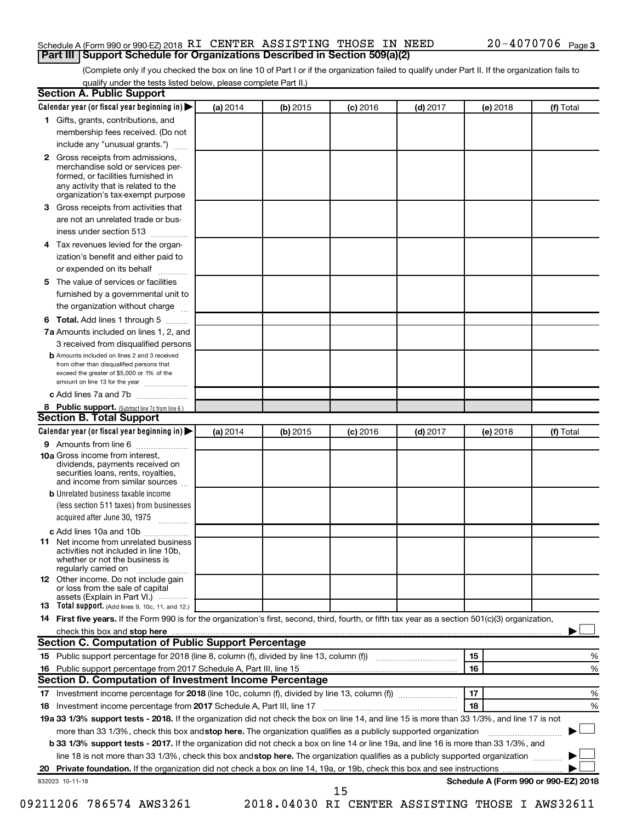#### Schedule A (Form 990 or 990-EZ) 2018 RI CENTER ASSISTING THOSE IN NEED  $20-4070706$  Page **Part III Support Schedule for Organizations Described in Section 509(a)(2)**

(Complete only if you checked the box on line 10 of Part I or if the organization failed to qualify under Part II. If the organization fails to qualify under the tests listed below, please complete Part II.)

| <b>Section A. Public Support</b>                                                                                                                                                         |          |          |            |            |          |                                      |
|------------------------------------------------------------------------------------------------------------------------------------------------------------------------------------------|----------|----------|------------|------------|----------|--------------------------------------|
| Calendar year (or fiscal year beginning in)                                                                                                                                              | (a) 2014 | (b) 2015 | $(c)$ 2016 | $(d)$ 2017 | (e) 2018 | (f) Total                            |
| 1 Gifts, grants, contributions, and                                                                                                                                                      |          |          |            |            |          |                                      |
| membership fees received. (Do not                                                                                                                                                        |          |          |            |            |          |                                      |
| include any "unusual grants.")                                                                                                                                                           |          |          |            |            |          |                                      |
| 2 Gross receipts from admissions,<br>merchandise sold or services per-<br>formed, or facilities furnished in<br>any activity that is related to the<br>organization's tax-exempt purpose |          |          |            |            |          |                                      |
| 3 Gross receipts from activities that                                                                                                                                                    |          |          |            |            |          |                                      |
| are not an unrelated trade or bus-                                                                                                                                                       |          |          |            |            |          |                                      |
| iness under section 513                                                                                                                                                                  |          |          |            |            |          |                                      |
| 4 Tax revenues levied for the organ-                                                                                                                                                     |          |          |            |            |          |                                      |
| ization's benefit and either paid to                                                                                                                                                     |          |          |            |            |          |                                      |
| or expended on its behalf<br>.                                                                                                                                                           |          |          |            |            |          |                                      |
| 5 The value of services or facilities                                                                                                                                                    |          |          |            |            |          |                                      |
| furnished by a governmental unit to                                                                                                                                                      |          |          |            |            |          |                                      |
| the organization without charge                                                                                                                                                          |          |          |            |            |          |                                      |
| 6 Total. Add lines 1 through 5                                                                                                                                                           |          |          |            |            |          |                                      |
| 7a Amounts included on lines 1, 2, and                                                                                                                                                   |          |          |            |            |          |                                      |
| 3 received from disqualified persons                                                                                                                                                     |          |          |            |            |          |                                      |
| <b>b</b> Amounts included on lines 2 and 3 received<br>from other than disqualified persons that<br>exceed the greater of \$5,000 or 1% of the<br>amount on line 13 for the year         |          |          |            |            |          |                                      |
| c Add lines 7a and 7b                                                                                                                                                                    |          |          |            |            |          |                                      |
| 8 Public support. (Subtract line 7c from line 6.)                                                                                                                                        |          |          |            |            |          |                                      |
| <b>Section B. Total Support</b>                                                                                                                                                          |          |          |            |            |          |                                      |
| Calendar year (or fiscal year beginning in)                                                                                                                                              | (a) 2014 | (b) 2015 | $(c)$ 2016 | $(d)$ 2017 | (e) 2018 | (f) Total                            |
| <b>9</b> Amounts from line 6                                                                                                                                                             |          |          |            |            |          |                                      |
| <b>10a</b> Gross income from interest,<br>dividends, payments received on<br>securities loans, rents, royalties,<br>and income from similar sources                                      |          |          |            |            |          |                                      |
| <b>b</b> Unrelated business taxable income                                                                                                                                               |          |          |            |            |          |                                      |
| (less section 511 taxes) from businesses                                                                                                                                                 |          |          |            |            |          |                                      |
| acquired after June 30, 1975                                                                                                                                                             |          |          |            |            |          |                                      |
| c Add lines 10a and 10b                                                                                                                                                                  |          |          |            |            |          |                                      |
| 11 Net income from unrelated business<br>activities not included in line 10b.<br>whether or not the business is<br>regularly carried on                                                  |          |          |            |            |          |                                      |
| <b>12</b> Other income. Do not include gain<br>or loss from the sale of capital<br>assets (Explain in Part VI.)                                                                          |          |          |            |            |          |                                      |
| <b>13</b> Total support. (Add lines 9, 10c, 11, and 12.)                                                                                                                                 |          |          |            |            |          |                                      |
| 14 First five years. If the Form 990 is for the organization's first, second, third, fourth, or fifth tax year as a section 501(c)(3) organization,                                      |          |          |            |            |          |                                      |
|                                                                                                                                                                                          |          |          |            |            |          |                                      |
| Section C. Computation of Public Support Percentage                                                                                                                                      |          |          |            |            |          |                                      |
| 15 Public support percentage for 2018 (line 8, column (f), divided by line 13, column (f) <i>manumeronominimal</i>                                                                       |          |          |            |            | 15       | ℅                                    |
| 16 Public support percentage from 2017 Schedule A, Part III, line 15                                                                                                                     |          |          |            |            | 16       | %                                    |
| Section D. Computation of Investment Income Percentage                                                                                                                                   |          |          |            |            |          |                                      |
|                                                                                                                                                                                          |          |          |            |            | 17       | %                                    |
| 18 Investment income percentage from 2017 Schedule A, Part III, line 17                                                                                                                  |          |          |            |            | 18       | %                                    |
| 19a 33 1/3% support tests - 2018. If the organization did not check the box on line 14, and line 15 is more than 33 1/3%, and line 17 is not                                             |          |          |            |            |          |                                      |
| more than 33 1/3%, check this box and stop here. The organization qualifies as a publicly supported organization                                                                         |          |          |            |            |          |                                      |
| b 33 1/3% support tests - 2017. If the organization did not check a box on line 14 or line 19a, and line 16 is more than 33 1/3%, and                                                    |          |          |            |            |          |                                      |
| line 18 is not more than 33 1/3%, check this box and stop here. The organization qualifies as a publicly supported organization                                                          |          |          |            |            |          |                                      |
|                                                                                                                                                                                          |          |          |            |            |          |                                      |
| 832023 10-11-18                                                                                                                                                                          |          |          |            |            |          | Schedule A (Form 990 or 990-EZ) 2018 |
|                                                                                                                                                                                          |          |          | 15         |            |          |                                      |

09211206 786574 AWS3261 2018.04030 RI CENTER ASSISTING THOSE I AWS32611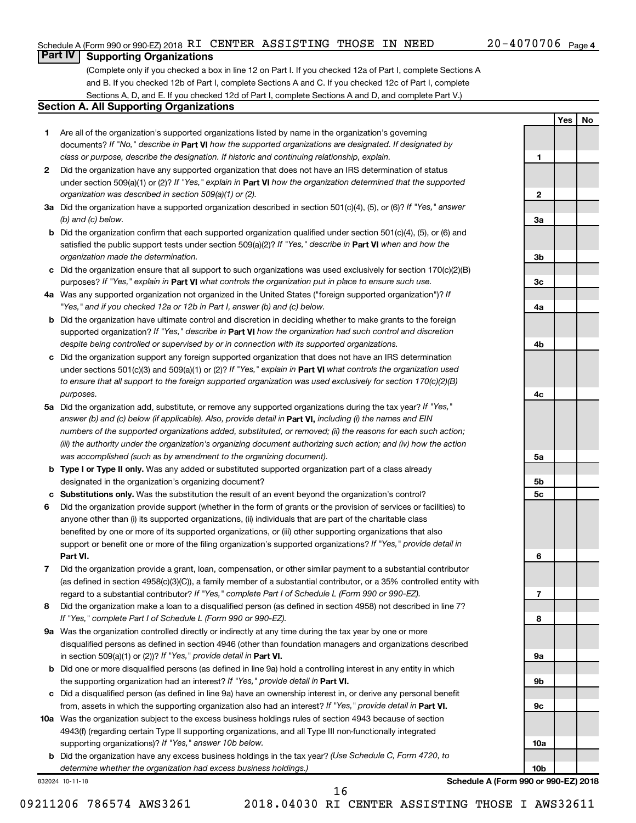**1**

**2**

**3a**

**3b**

**3c**

**4a**

**4b**

**4c**

**5a**

**5b 5c**

**6**

**7**

**8**

**9a**

**9b**

**9c**

**10a**

**10b**

**Yes No**

### **Part IV Supporting Organizations**

(Complete only if you checked a box in line 12 on Part I. If you checked 12a of Part I, complete Sections A and B. If you checked 12b of Part I, complete Sections A and C. If you checked 12c of Part I, complete Sections A, D, and E. If you checked 12d of Part I, complete Sections A and D, and complete Part V.)

#### **Section A. All Supporting Organizations**

- **1** Are all of the organization's supported organizations listed by name in the organization's governing documents? If "No," describe in Part VI how the supported organizations are designated. If designated by *class or purpose, describe the designation. If historic and continuing relationship, explain.*
- **2** Did the organization have any supported organization that does not have an IRS determination of status under section 509(a)(1) or (2)? If "Yes," explain in Part **VI** how the organization determined that the supported *organization was described in section 509(a)(1) or (2).*
- **3a** Did the organization have a supported organization described in section 501(c)(4), (5), or (6)? If "Yes," answer *(b) and (c) below.*
- **b** Did the organization confirm that each supported organization qualified under section 501(c)(4), (5), or (6) and satisfied the public support tests under section 509(a)(2)? If "Yes," describe in Part VI when and how the *organization made the determination.*
- **c** Did the organization ensure that all support to such organizations was used exclusively for section 170(c)(2)(B) purposes? If "Yes," explain in Part VI what controls the organization put in place to ensure such use.
- **4 a** *If* Was any supported organization not organized in the United States ("foreign supported organization")? *"Yes," and if you checked 12a or 12b in Part I, answer (b) and (c) below.*
- **b** Did the organization have ultimate control and discretion in deciding whether to make grants to the foreign supported organization? If "Yes," describe in Part VI how the organization had such control and discretion *despite being controlled or supervised by or in connection with its supported organizations.*
- **c** Did the organization support any foreign supported organization that does not have an IRS determination under sections 501(c)(3) and 509(a)(1) or (2)? If "Yes," explain in Part VI what controls the organization used *to ensure that all support to the foreign supported organization was used exclusively for section 170(c)(2)(B) purposes.*
- **5a** Did the organization add, substitute, or remove any supported organizations during the tax year? If "Yes," answer (b) and (c) below (if applicable). Also, provide detail in **Part VI,** including (i) the names and EIN *numbers of the supported organizations added, substituted, or removed; (ii) the reasons for each such action; (iii) the authority under the organization's organizing document authorizing such action; and (iv) how the action was accomplished (such as by amendment to the organizing document).*
- **b Type I or Type II only.** Was any added or substituted supported organization part of a class already designated in the organization's organizing document?
- **c Substitutions only.**  Was the substitution the result of an event beyond the organization's control?
- **6** Did the organization provide support (whether in the form of grants or the provision of services or facilities) to **Part VI.** support or benefit one or more of the filing organization's supported organizations? If "Yes," provide detail in anyone other than (i) its supported organizations, (ii) individuals that are part of the charitable class benefited by one or more of its supported organizations, or (iii) other supporting organizations that also
- **7** Did the organization provide a grant, loan, compensation, or other similar payment to a substantial contributor regard to a substantial contributor? If "Yes," complete Part I of Schedule L (Form 990 or 990-EZ). (as defined in section 4958(c)(3)(C)), a family member of a substantial contributor, or a 35% controlled entity with
- **8** Did the organization make a loan to a disqualified person (as defined in section 4958) not described in line 7? *If "Yes," complete Part I of Schedule L (Form 990 or 990-EZ).*
- **9 a** Was the organization controlled directly or indirectly at any time during the tax year by one or more in section 509(a)(1) or (2))? If "Yes," provide detail in **Part VI.** disqualified persons as defined in section 4946 (other than foundation managers and organizations described
- **b** Did one or more disqualified persons (as defined in line 9a) hold a controlling interest in any entity in which the supporting organization had an interest? If "Yes," provide detail in Part VI.
- **c** Did a disqualified person (as defined in line 9a) have an ownership interest in, or derive any personal benefit from, assets in which the supporting organization also had an interest? If "Yes," provide detail in Part VI.
- **10 a** Was the organization subject to the excess business holdings rules of section 4943 because of section supporting organizations)? If "Yes," answer 10b below. 4943(f) (regarding certain Type II supporting organizations, and all Type III non-functionally integrated
	- **b** Did the organization have any excess business holdings in the tax year? (Use Schedule C, Form 4720, to *determine whether the organization had excess business holdings.)*

832024 10-11-18

**Schedule A (Form 990 or 990-EZ) 2018**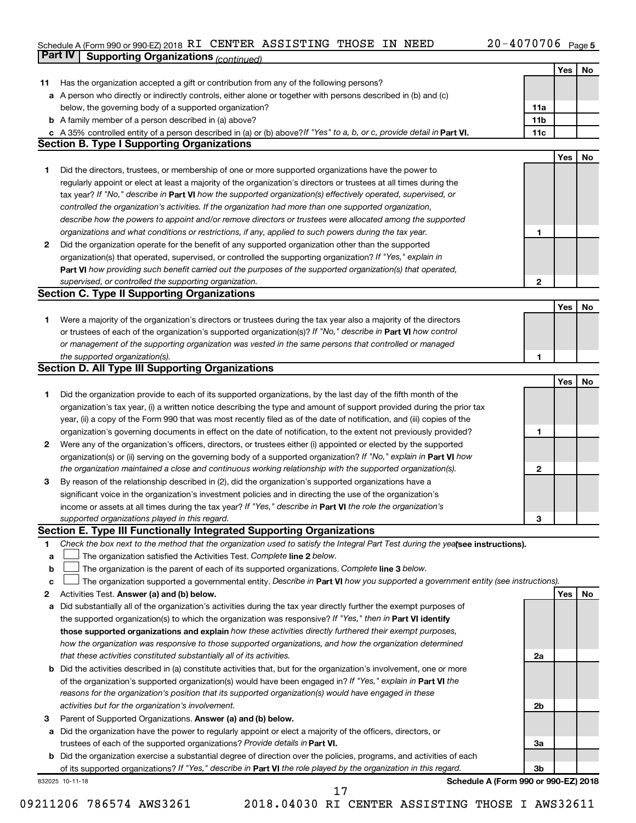#### Schedule A (Form 990 or 990-EZ) 2018 RT CENTER ASSISTING THOSE IN NEED  $ZU - 4U / U / U6$  Page **Part IV Supporting Organizations** *(continued)* RI CENTER ASSISTING THOSE IN NEED 20-4070706

|    |                                                                                                                                 |     | Yes | No |
|----|---------------------------------------------------------------------------------------------------------------------------------|-----|-----|----|
|    |                                                                                                                                 |     |     |    |
| 11 | Has the organization accepted a gift or contribution from any of the following persons?                                         |     |     |    |
| a  | A person who directly or indirectly controls, either alone or together with persons described in (b) and (c)                    |     |     |    |
|    | below, the governing body of a supported organization?                                                                          | 11a |     |    |
|    | <b>b</b> A family member of a person described in (a) above?                                                                    | 11b |     |    |
|    | c A 35% controlled entity of a person described in (a) or (b) above? If "Yes" to a, b, or c, provide detail in Part VI.         | 11c |     |    |
|    | <b>Section B. Type I Supporting Organizations</b>                                                                               |     |     |    |
|    |                                                                                                                                 |     | Yes | No |
| 1. | Did the directors, trustees, or membership of one or more supported organizations have the power to                             |     |     |    |
|    | regularly appoint or elect at least a majority of the organization's directors or trustees at all times during the              |     |     |    |
|    | tax year? If "No," describe in Part VI how the supported organization(s) effectively operated, supervised, or                   |     |     |    |
|    | controlled the organization's activities. If the organization had more than one supported organization,                         |     |     |    |
|    | describe how the powers to appoint and/or remove directors or trustees were allocated among the supported                       |     |     |    |
|    | organizations and what conditions or restrictions, if any, applied to such powers during the tax year.                          | 1   |     |    |
| 2  | Did the organization operate for the benefit of any supported organization other than the supported                             |     |     |    |
|    | organization(s) that operated, supervised, or controlled the supporting organization? If "Yes," explain in                      |     |     |    |
|    | Part VI how providing such benefit carried out the purposes of the supported organization(s) that operated,                     |     |     |    |
|    | supervised, or controlled the supporting organization.                                                                          | 2   |     |    |
|    | <b>Section C. Type II Supporting Organizations</b>                                                                              |     |     |    |
|    |                                                                                                                                 |     | Yes | No |
| 1. | Were a majority of the organization's directors or trustees during the tax year also a majority of the directors                |     |     |    |
|    | or trustees of each of the organization's supported organization(s)? If "No," describe in Part VI how control                   |     |     |    |
|    | or management of the supporting organization was vested in the same persons that controlled or managed                          |     |     |    |
|    | the supported organization(s).                                                                                                  | 1   |     |    |
|    | Section D. All Type III Supporting Organizations                                                                                |     |     |    |
|    |                                                                                                                                 |     | Yes | No |
| 1. | Did the organization provide to each of its supported organizations, by the last day of the fifth month of the                  |     |     |    |
|    | organization's tax year, (i) a written notice describing the type and amount of support provided during the prior tax           |     |     |    |
|    | year, (ii) a copy of the Form 990 that was most recently filed as of the date of notification, and (iii) copies of the          |     |     |    |
|    | organization's governing documents in effect on the date of notification, to the extent not previously provided?                | 1   |     |    |
| 2  | Were any of the organization's officers, directors, or trustees either (i) appointed or elected by the supported                |     |     |    |
|    | organization(s) or (ii) serving on the governing body of a supported organization? If "No," explain in Part VI how              |     |     |    |
|    | the organization maintained a close and continuous working relationship with the supported organization(s).                     | 2   |     |    |
| 3  | By reason of the relationship described in (2), did the organization's supported organizations have a                           |     |     |    |
|    | significant voice in the organization's investment policies and in directing the use of the organization's                      |     |     |    |
|    | income or assets at all times during the tax year? If "Yes," describe in Part VI the role the organization's                    |     |     |    |
|    | supported organizations played in this regard.                                                                                  | З   |     |    |
|    | Section E. Type III Functionally Integrated Supporting Organizations                                                            |     |     |    |
| 1  | Check the box next to the method that the organization used to satisfy the Integral Part Test during the yealsee instructions). |     |     |    |
| а  | The organization satisfied the Activities Test. Complete line 2 below.                                                          |     |     |    |
| b  | The organization is the parent of each of its supported organizations. Complete line 3 below.                                   |     |     |    |
| с  | The organization supported a governmental entity. Describe in Part VI how you supported a government entity (see instructions). |     |     |    |
| 2  | Activities Test. Answer (a) and (b) below.                                                                                      |     | Yes | No |
| а  | Did substantially all of the organization's activities during the tax year directly further the exempt purposes of              |     |     |    |
|    | the supported organization(s) to which the organization was responsive? If "Yes," then in Part VI identify                      |     |     |    |
|    | those supported organizations and explain how these activities directly furthered their exempt purposes,                        |     |     |    |
|    | how the organization was responsive to those supported organizations, and how the organization determined                       |     |     |    |
|    | that these activities constituted substantially all of its activities.                                                          | 2a  |     |    |
|    | <b>b</b> Did the activities described in (a) constitute activities that, but for the organization's involvement, one or more    |     |     |    |
|    | of the organization's supported organization(s) would have been engaged in? If "Yes," explain in Part VI the                    |     |     |    |
|    | reasons for the organization's position that its supported organization(s) would have engaged in these                          |     |     |    |
|    | activities but for the organization's involvement.                                                                              | 2b  |     |    |
| З  | Parent of Supported Organizations. Answer (a) and (b) below.                                                                    |     |     |    |
|    | a Did the organization have the power to regularly appoint or elect a majority of the officers, directors, or                   |     |     |    |
|    | trustees of each of the supported organizations? Provide details in Part VI.                                                    | 3a  |     |    |
|    | <b>b</b> Did the organization exercise a substantial degree of direction over the policies, programs, and activities of each    |     |     |    |
|    | of its supported organizations? If "Yes," describe in Part VI the role played by the organization in this regard.               | 3b  |     |    |
|    | Schedule A (Form 990 or 990-EZ) 2018<br>832025 10-11-18<br>17                                                                   |     |     |    |
|    |                                                                                                                                 |     |     |    |

09211206 786574 AWS3261 2018.04030 RI CENTER ASSISTING THOSE I AWS32611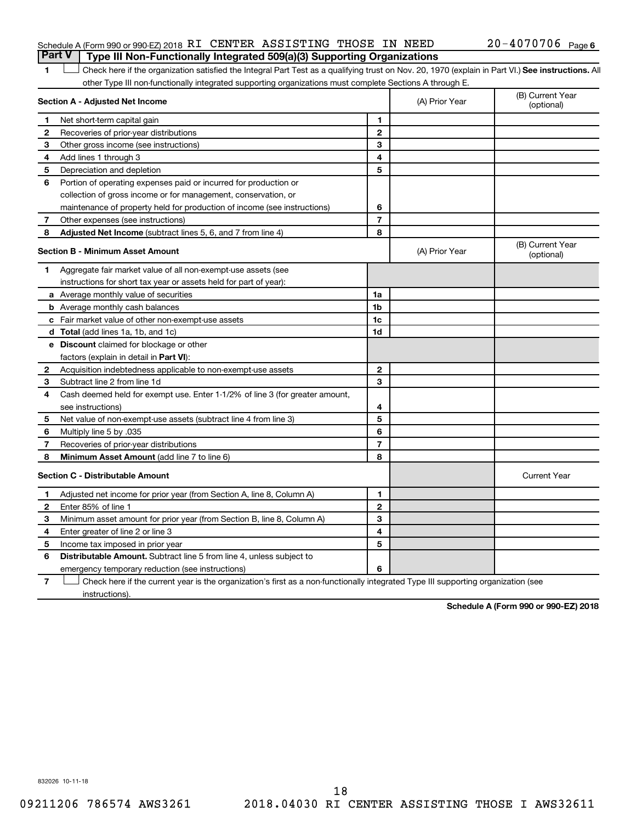#### Schedule A (Form 990 or 990-EZ) 2018 RI CENTER ASSISTING THOSE IN NEED  $20-4070706$  Page **Part V Type III Non-Functionally Integrated 509(a)(3) Supporting Organizations**

1 **Letter See instructions.** All Check here if the organization satisfied the Integral Part Test as a qualifying trust on Nov. 20, 1970 (explain in Part VI.) See instructions. All other Type III non-functionally integrated supporting organizations must complete Sections A through E.

|              | Section A - Adjusted Net Income                                              |                | (A) Prior Year | (B) Current Year<br>(optional) |
|--------------|------------------------------------------------------------------------------|----------------|----------------|--------------------------------|
| 1            | Net short-term capital gain                                                  | 1              |                |                                |
| 2            | Recoveries of prior-year distributions                                       | $\mathbf{2}$   |                |                                |
| 3            | Other gross income (see instructions)                                        | 3              |                |                                |
| 4            | Add lines 1 through 3                                                        | 4              |                |                                |
| 5            | Depreciation and depletion                                                   | 5              |                |                                |
| 6            | Portion of operating expenses paid or incurred for production or             |                |                |                                |
|              | collection of gross income or for management, conservation, or               |                |                |                                |
|              | maintenance of property held for production of income (see instructions)     | 6              |                |                                |
| 7            | Other expenses (see instructions)                                            | $\overline{7}$ |                |                                |
| 8            | Adjusted Net Income (subtract lines 5, 6, and 7 from line 4)                 | 8              |                |                                |
|              | <b>Section B - Minimum Asset Amount</b>                                      |                | (A) Prior Year | (B) Current Year<br>(optional) |
| 1.           | Aggregate fair market value of all non-exempt-use assets (see                |                |                |                                |
|              | instructions for short tax year or assets held for part of year):            |                |                |                                |
|              | a Average monthly value of securities                                        | 1a             |                |                                |
|              | <b>b</b> Average monthly cash balances                                       | 1 <sub>b</sub> |                |                                |
|              | c Fair market value of other non-exempt-use assets                           | 1c             |                |                                |
|              | d Total (add lines 1a, 1b, and 1c)                                           | 1 <sub>d</sub> |                |                                |
|              | e Discount claimed for blockage or other                                     |                |                |                                |
|              | factors (explain in detail in <b>Part VI</b> ):                              |                |                |                                |
| 2            | Acquisition indebtedness applicable to non-exempt-use assets                 | $\mathbf{2}$   |                |                                |
| З            | Subtract line 2 from line 1d                                                 | 3              |                |                                |
| 4            | Cash deemed held for exempt use. Enter 1-1/2% of line 3 (for greater amount, |                |                |                                |
|              | see instructions)                                                            | 4              |                |                                |
| 5            | Net value of non-exempt-use assets (subtract line 4 from line 3)             | 5              |                |                                |
| 6            | Multiply line 5 by .035                                                      | 6              |                |                                |
| 7            | Recoveries of prior-year distributions                                       | $\overline{7}$ |                |                                |
| 8            | Minimum Asset Amount (add line 7 to line 6)                                  | 8              |                |                                |
|              | <b>Section C - Distributable Amount</b>                                      |                |                | <b>Current Year</b>            |
| 1            | Adjusted net income for prior year (from Section A, line 8, Column A)        | 1              |                |                                |
| $\mathbf{2}$ | Enter 85% of line 1                                                          | $\mathbf{2}$   |                |                                |
| 3            | Minimum asset amount for prior year (from Section B, line 8, Column A)       | 3              |                |                                |
| 4            | Enter greater of line 2 or line 3                                            | 4              |                |                                |
| 5            | Income tax imposed in prior year                                             | 5              |                |                                |
| 6            | Distributable Amount. Subtract line 5 from line 4, unless subject to         |                |                |                                |
|              | emergency temporary reduction (see instructions)                             | 6              |                |                                |
|              |                                                                              |                |                |                                |

**7** Check here if the current year is the organization's first as a non-functionally integrated Type III supporting organization (see † instructions).

**Schedule A (Form 990 or 990-EZ) 2018**

832026 10-11-18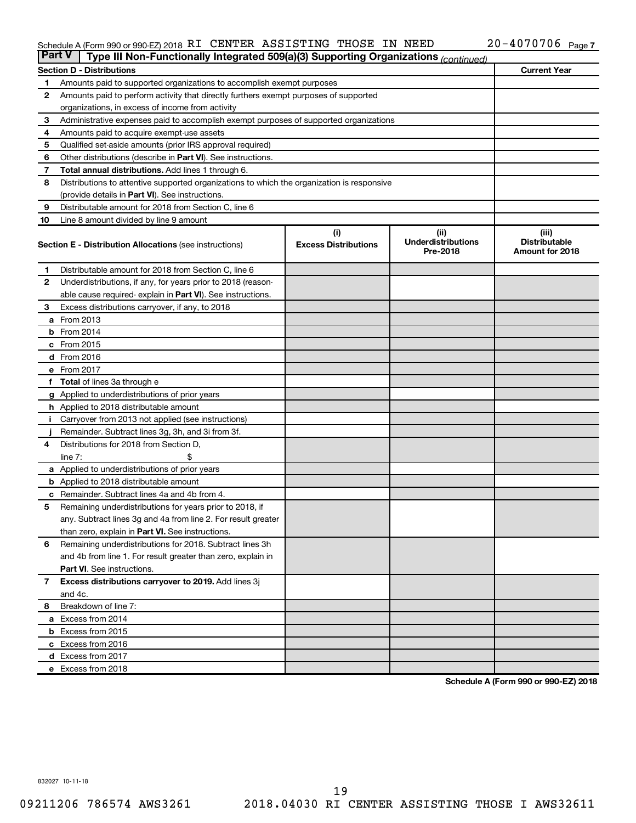#### Schedule A (Form 990 or 990-EZ) 2018 RT CENTER ASSISTING THOSE IN NEED  $ZU - 4U / U / U6$  Page RI CENTER ASSISTING THOSE IN NEED 20-4070706

| <b>Part V</b> | Type III Non-Functionally Integrated 509(a)(3) Supporting Organizations (continued)        |                                    |                                               |                                                  |
|---------------|--------------------------------------------------------------------------------------------|------------------------------------|-----------------------------------------------|--------------------------------------------------|
|               | <b>Section D - Distributions</b>                                                           |                                    |                                               | <b>Current Year</b>                              |
| 1             | Amounts paid to supported organizations to accomplish exempt purposes                      |                                    |                                               |                                                  |
| $\mathbf{2}$  | Amounts paid to perform activity that directly furthers exempt purposes of supported       |                                    |                                               |                                                  |
|               | organizations, in excess of income from activity                                           |                                    |                                               |                                                  |
| 3             | Administrative expenses paid to accomplish exempt purposes of supported organizations      |                                    |                                               |                                                  |
| 4             | Amounts paid to acquire exempt-use assets                                                  |                                    |                                               |                                                  |
| 5             | Qualified set-aside amounts (prior IRS approval required)                                  |                                    |                                               |                                                  |
| 6             | Other distributions (describe in <b>Part VI</b> ). See instructions.                       |                                    |                                               |                                                  |
| 7             | <b>Total annual distributions.</b> Add lines 1 through 6.                                  |                                    |                                               |                                                  |
| 8             | Distributions to attentive supported organizations to which the organization is responsive |                                    |                                               |                                                  |
|               | (provide details in Part VI). See instructions.                                            |                                    |                                               |                                                  |
| 9             | Distributable amount for 2018 from Section C, line 6                                       |                                    |                                               |                                                  |
| 10            | Line 8 amount divided by line 9 amount                                                     |                                    |                                               |                                                  |
|               | <b>Section E - Distribution Allocations (see instructions)</b>                             | (i)<br><b>Excess Distributions</b> | (ii)<br><b>Underdistributions</b><br>Pre-2018 | (iii)<br><b>Distributable</b><br>Amount for 2018 |
| 1             | Distributable amount for 2018 from Section C, line 6                                       |                                    |                                               |                                                  |
| 2             | Underdistributions, if any, for years prior to 2018 (reason-                               |                                    |                                               |                                                  |
|               | able cause required-explain in Part VI). See instructions.                                 |                                    |                                               |                                                  |
| 3             | Excess distributions carryover, if any, to 2018                                            |                                    |                                               |                                                  |
|               | <b>a</b> From 2013                                                                         |                                    |                                               |                                                  |
|               | $b$ From 2014                                                                              |                                    |                                               |                                                  |
|               | c From 2015                                                                                |                                    |                                               |                                                  |
|               | d From 2016                                                                                |                                    |                                               |                                                  |
|               | e From 2017                                                                                |                                    |                                               |                                                  |
|               | f Total of lines 3a through e                                                              |                                    |                                               |                                                  |
|               | <b>g</b> Applied to underdistributions of prior years                                      |                                    |                                               |                                                  |
|               | <b>h</b> Applied to 2018 distributable amount                                              |                                    |                                               |                                                  |
| Ť.            | Carryover from 2013 not applied (see instructions)                                         |                                    |                                               |                                                  |
|               | Remainder. Subtract lines 3g, 3h, and 3i from 3f.                                          |                                    |                                               |                                                  |
| 4             | Distributions for 2018 from Section D,                                                     |                                    |                                               |                                                  |
|               | line $7:$                                                                                  |                                    |                                               |                                                  |
|               | a Applied to underdistributions of prior years                                             |                                    |                                               |                                                  |
|               | <b>b</b> Applied to 2018 distributable amount                                              |                                    |                                               |                                                  |
| c             | Remainder. Subtract lines 4a and 4b from 4.                                                |                                    |                                               |                                                  |
| 5             | Remaining underdistributions for years prior to 2018, if                                   |                                    |                                               |                                                  |
|               | any. Subtract lines 3g and 4a from line 2. For result greater                              |                                    |                                               |                                                  |
|               | than zero, explain in Part VI. See instructions.                                           |                                    |                                               |                                                  |
| 6             | Remaining underdistributions for 2018. Subtract lines 3h                                   |                                    |                                               |                                                  |
|               | and 4b from line 1. For result greater than zero, explain in                               |                                    |                                               |                                                  |
|               | <b>Part VI.</b> See instructions.                                                          |                                    |                                               |                                                  |
| $\mathbf{7}$  | Excess distributions carryover to 2019. Add lines 3j                                       |                                    |                                               |                                                  |
|               | and 4c.                                                                                    |                                    |                                               |                                                  |
| 8             | Breakdown of line 7:                                                                       |                                    |                                               |                                                  |
|               | a Excess from 2014                                                                         |                                    |                                               |                                                  |
|               | <b>b</b> Excess from 2015                                                                  |                                    |                                               |                                                  |
|               | c Excess from 2016                                                                         |                                    |                                               |                                                  |
|               | d Excess from 2017                                                                         |                                    |                                               |                                                  |
|               | e Excess from 2018                                                                         |                                    |                                               |                                                  |

**Schedule A (Form 990 or 990-EZ) 2018**

832027 10-11-18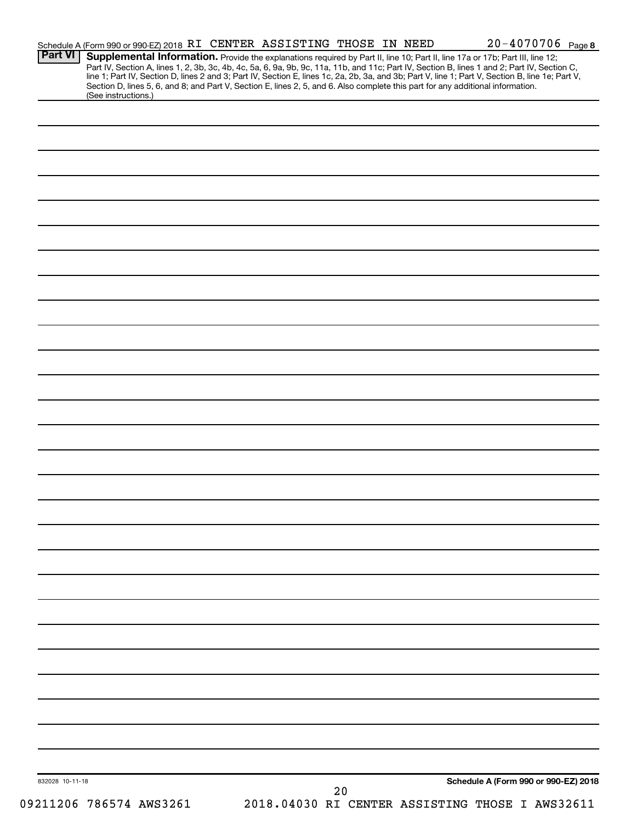| <b>Part VI</b>  | Schedule A (Form 990 or 990-EZ) 2018 RI CENTER ASSISTING THOSE IN NEED<br>Supplemental Information. Provide the explanations required by Part II, line 10; Part II, line 17a or 17b; Part III, line 12;                       |  |    |  |                                                 | $20 - 4070706$ Page 8 |
|-----------------|-------------------------------------------------------------------------------------------------------------------------------------------------------------------------------------------------------------------------------|--|----|--|-------------------------------------------------|-----------------------|
|                 |                                                                                                                                                                                                                               |  |    |  |                                                 |                       |
|                 | Part IV, Section A, lines 1, 2, 3b, 3c, 4b, 4c, 5a, 6, 9a, 9b, 9c, 11a, 11b, and 11c; Part IV, Section B, lines 1 and 2; Part IV, Section C, line 1; Part IV, Section D, lines 2 and 3; Part IV, Section E, lines 1c, 2a, 2b, |  |    |  |                                                 |                       |
|                 | Section D, lines 5, 6, and 8; and Part V, Section E, lines 2, 5, and 6. Also complete this part for any additional information.                                                                                               |  |    |  |                                                 |                       |
|                 | (See instructions.)                                                                                                                                                                                                           |  |    |  |                                                 |                       |
|                 |                                                                                                                                                                                                                               |  |    |  |                                                 |                       |
|                 |                                                                                                                                                                                                                               |  |    |  |                                                 |                       |
|                 |                                                                                                                                                                                                                               |  |    |  |                                                 |                       |
|                 |                                                                                                                                                                                                                               |  |    |  |                                                 |                       |
|                 |                                                                                                                                                                                                                               |  |    |  |                                                 |                       |
|                 |                                                                                                                                                                                                                               |  |    |  |                                                 |                       |
|                 |                                                                                                                                                                                                                               |  |    |  |                                                 |                       |
|                 |                                                                                                                                                                                                                               |  |    |  |                                                 |                       |
|                 |                                                                                                                                                                                                                               |  |    |  |                                                 |                       |
|                 |                                                                                                                                                                                                                               |  |    |  |                                                 |                       |
|                 |                                                                                                                                                                                                                               |  |    |  |                                                 |                       |
|                 |                                                                                                                                                                                                                               |  |    |  |                                                 |                       |
|                 |                                                                                                                                                                                                                               |  |    |  |                                                 |                       |
|                 |                                                                                                                                                                                                                               |  |    |  |                                                 |                       |
|                 |                                                                                                                                                                                                                               |  |    |  |                                                 |                       |
|                 |                                                                                                                                                                                                                               |  |    |  |                                                 |                       |
|                 |                                                                                                                                                                                                                               |  |    |  |                                                 |                       |
|                 |                                                                                                                                                                                                                               |  |    |  |                                                 |                       |
|                 |                                                                                                                                                                                                                               |  |    |  |                                                 |                       |
|                 |                                                                                                                                                                                                                               |  |    |  |                                                 |                       |
|                 |                                                                                                                                                                                                                               |  |    |  |                                                 |                       |
|                 |                                                                                                                                                                                                                               |  |    |  |                                                 |                       |
|                 |                                                                                                                                                                                                                               |  |    |  |                                                 |                       |
|                 |                                                                                                                                                                                                                               |  |    |  |                                                 |                       |
|                 |                                                                                                                                                                                                                               |  |    |  |                                                 |                       |
|                 |                                                                                                                                                                                                                               |  |    |  |                                                 |                       |
|                 |                                                                                                                                                                                                                               |  |    |  |                                                 |                       |
|                 |                                                                                                                                                                                                                               |  |    |  |                                                 |                       |
|                 |                                                                                                                                                                                                                               |  |    |  |                                                 |                       |
|                 |                                                                                                                                                                                                                               |  |    |  |                                                 |                       |
|                 |                                                                                                                                                                                                                               |  |    |  |                                                 |                       |
|                 |                                                                                                                                                                                                                               |  |    |  |                                                 |                       |
|                 |                                                                                                                                                                                                                               |  |    |  |                                                 |                       |
|                 |                                                                                                                                                                                                                               |  |    |  |                                                 |                       |
|                 |                                                                                                                                                                                                                               |  |    |  |                                                 |                       |
|                 |                                                                                                                                                                                                                               |  |    |  |                                                 |                       |
|                 |                                                                                                                                                                                                                               |  |    |  |                                                 |                       |
|                 |                                                                                                                                                                                                                               |  |    |  |                                                 |                       |
|                 |                                                                                                                                                                                                                               |  |    |  |                                                 |                       |
|                 |                                                                                                                                                                                                                               |  |    |  |                                                 |                       |
|                 |                                                                                                                                                                                                                               |  |    |  |                                                 |                       |
|                 |                                                                                                                                                                                                                               |  |    |  |                                                 |                       |
|                 |                                                                                                                                                                                                                               |  |    |  |                                                 |                       |
|                 |                                                                                                                                                                                                                               |  |    |  |                                                 |                       |
|                 |                                                                                                                                                                                                                               |  |    |  |                                                 |                       |
|                 |                                                                                                                                                                                                                               |  |    |  |                                                 |                       |
|                 |                                                                                                                                                                                                                               |  |    |  |                                                 |                       |
|                 |                                                                                                                                                                                                                               |  |    |  |                                                 |                       |
|                 |                                                                                                                                                                                                                               |  |    |  |                                                 |                       |
|                 |                                                                                                                                                                                                                               |  |    |  |                                                 |                       |
|                 |                                                                                                                                                                                                                               |  |    |  |                                                 |                       |
|                 |                                                                                                                                                                                                                               |  |    |  |                                                 |                       |
|                 |                                                                                                                                                                                                                               |  |    |  |                                                 |                       |
|                 |                                                                                                                                                                                                                               |  |    |  |                                                 |                       |
|                 |                                                                                                                                                                                                                               |  |    |  |                                                 |                       |
| 832028 10-11-18 |                                                                                                                                                                                                                               |  | 20 |  | Schedule A (Form 990 or 990-EZ) 2018            |                       |
|                 | 09211206 786574 AWS3261                                                                                                                                                                                                       |  |    |  | 2018.04030 RI CENTER ASSISTING THOSE I AWS32611 |                       |
|                 |                                                                                                                                                                                                                               |  |    |  |                                                 |                       |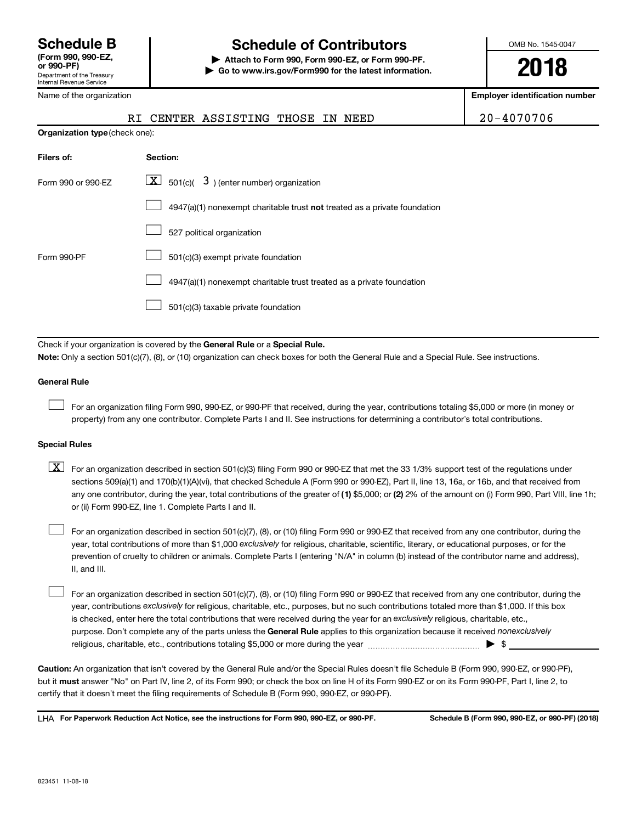## **Schedule B Schedule of Contributors**

**or 990-PF) | Attach to Form 990, Form 990-EZ, or Form 990-PF. | Go to www.irs.gov/Form990 for the latest information.** OMB No. 1545-0047

**2018**

**Employer identification number**

| .<br>Department of the Treasury<br>Internal Revenue Service |  |
|-------------------------------------------------------------|--|
| Name of the organization                                    |  |

|  | RI CENTER ASSISTING THOSE IN NEED |  | 20-4070706 |
|--|-----------------------------------|--|------------|
|  |                                   |  |            |

| <b>Organization type (check one):</b>                                              |
|------------------------------------------------------------------------------------|
| Section:                                                                           |
| $\lfloor x \rfloor$ 501(c)( 3) (enter number) organization                         |
| $4947(a)(1)$ nonexempt charitable trust <b>not</b> treated as a private foundation |
| 527 political organization                                                         |
| 501(c)(3) exempt private foundation                                                |
| 4947(a)(1) nonexempt charitable trust treated as a private foundation              |
| 501(c)(3) taxable private foundation                                               |
|                                                                                    |

Check if your organization is covered by the General Rule or a Special Rule.

**Note:**  Only a section 501(c)(7), (8), or (10) organization can check boxes for both the General Rule and a Special Rule. See instructions.

#### **General Rule**

 $\Box$ 

For an organization filing Form 990, 990-EZ, or 990-PF that received, during the year, contributions totaling \$5,000 or more (in money or property) from any one contributor. Complete Parts I and II. See instructions for determining a contributor's total contributions.

#### **Special Rules**

any one contributor, during the year, total contributions of the greater of (1) \$5,000; or (2) 2% of the amount on (i) Form 990, Part VIII, line 1h;  $\boxed{\text{X}}$  For an organization described in section 501(c)(3) filing Form 990 or 990-EZ that met the 33 1/3% support test of the regulations under sections 509(a)(1) and 170(b)(1)(A)(vi), that checked Schedule A (Form 990 or 990-EZ), Part II, line 13, 16a, or 16b, and that received from or (ii) Form 990-EZ, line 1. Complete Parts I and II.

year, total contributions of more than \$1,000 *exclusively* for religious, charitable, scientific, literary, or educational purposes, or for the For an organization described in section 501(c)(7), (8), or (10) filing Form 990 or 990-EZ that received from any one contributor, during the prevention of cruelty to children or animals. Complete Parts I (entering "N/A" in column (b) instead of the contributor name and address), II, and III.  $\Box$ 

purpose. Don't complete any of the parts unless the General Rule applies to this organization because it received nonexclusively year, contributions exclusively for religious, charitable, etc., purposes, but no such contributions totaled more than \$1,000. If this box is checked, enter here the total contributions that were received during the year for an exclusively religious, charitable, etc., For an organization described in section 501(c)(7), (8), or (10) filing Form 990 or 990-EZ that received from any one contributor, during the religious, charitable, etc., contributions totaling \$5,000 or more during the year  $~\ldots\ldots\ldots\ldots\ldots\ldots\ldots\ldots\ldots\blacktriangleright~$ \$  $\Box$ 

**Caution:**  An organization that isn't covered by the General Rule and/or the Special Rules doesn't file Schedule B (Form 990, 990-EZ, or 990-PF),  **must** but it answer "No" on Part IV, line 2, of its Form 990; or check the box on line H of its Form 990-EZ or on its Form 990-PF, Part I, line 2, to certify that it doesn't meet the filing requirements of Schedule B (Form 990, 990-EZ, or 990-PF).

**For Paperwork Reduction Act Notice, see the instructions for Form 990, 990-EZ, or 990-PF. Schedule B (Form 990, 990-EZ, or 990-PF) (2018)** LHA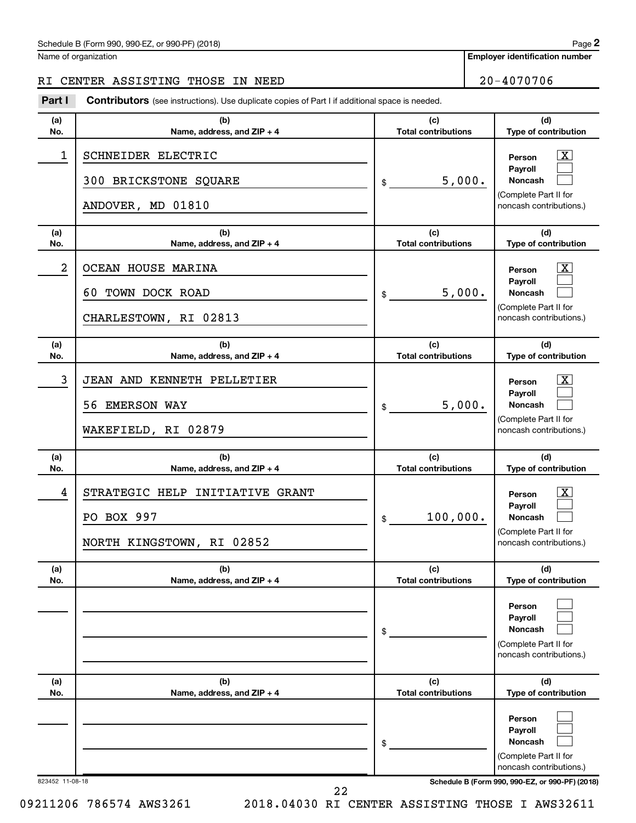#### Schedule B (Form 990, 990-EZ, or 990-PF) (2018)

Name of organization

#### RI CENTER ASSISTING THOSE IN NEED 20-4070706

**Part I** Contributors (see instructions). Use duplicate copies of Part I if additional space is needed.

| (b)<br>Name, address, and ZIP + 4                                          | (c)<br><b>Total contributions</b> | (d)                                                                                                                                 |
|----------------------------------------------------------------------------|-----------------------------------|-------------------------------------------------------------------------------------------------------------------------------------|
|                                                                            |                                   | Type of contribution                                                                                                                |
| SCHNEIDER ELECTRIC<br>300 BRICKSTONE SQUARE<br>ANDOVER, MD 01810           | 5,000.<br>\$                      | $\mathbf{x}$<br>Person<br>Payroll<br><b>Noncash</b><br>(Complete Part II for<br>noncash contributions.)                             |
| (b)<br>Name, address, and ZIP + 4                                          | (c)<br><b>Total contributions</b> | (d)<br>Type of contribution                                                                                                         |
| OCEAN HOUSE MARINA<br>60 TOWN DOCK ROAD<br>CHARLESTOWN, RI 02813           | 5,000.<br>\$                      | x<br>Person<br>Payroll<br><b>Noncash</b><br>(Complete Part II for<br>noncash contributions.)                                        |
| (b)<br>Name, address, and ZIP + 4                                          | (c)<br><b>Total contributions</b> | (d)<br>Type of contribution                                                                                                         |
| JEAN AND KENNETH PELLETIER<br>56 EMERSON WAY<br>WAKEFIELD, RI 02879        | 5,000.<br>\$                      | x<br>Person<br>Payroll<br><b>Noncash</b><br>(Complete Part II for<br>noncash contributions.)                                        |
| (b)<br>Name, address, and ZIP + 4                                          | (c)<br><b>Total contributions</b> | (d)<br>Type of contribution                                                                                                         |
| STRATEGIC HELP INITIATIVE GRANT<br>PO BOX 997<br>NORTH KINGSTOWN, RI 02852 | 100,000.<br>\$                    | x<br>Person<br>Payroll<br><b>Noncash</b><br>(Complete Part II for<br>noncash contributions.)                                        |
| (b)<br>Name, address, and ZIP + 4                                          | (c)<br><b>Total contributions</b> | (d)<br>Type of contribution                                                                                                         |
|                                                                            | \$                                | Person<br>Payroll<br><b>Noncash</b><br>(Complete Part II for<br>noncash contributions.)                                             |
| (b)<br>Name, address, and ZIP + 4                                          | <b>Total contributions</b>        | (d)<br>Type of contribution                                                                                                         |
|                                                                            | \$                                | Person<br>Payroll<br>Noncash<br>(Complete Part II for<br>noncash contributions.)<br>Schedule B (Form 990, 990-EZ, or 990-PF) (2018) |
|                                                                            | 823452 11-08-18                   | (c)                                                                                                                                 |

22

09211206 786574 AWS3261 2018.04030 RI CENTER ASSISTING THOSE I AWS32611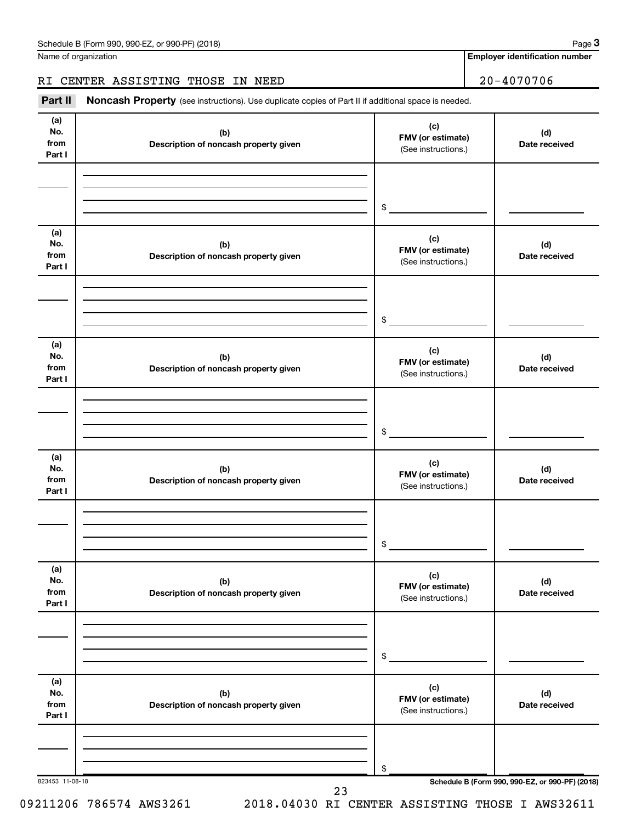Name of organization

**Employer identification number**

#### RI CENTER ASSISTING THOSE IN NEED 20-4070706

Part II Noncash Property (see instructions). Use duplicate copies of Part II if additional space is needed.

| (a)<br>No.<br>from<br>Part I | (b)<br>Description of noncash property given | (c)<br>FMV (or estimate)<br>(See instructions.) | (d)<br>Date received                            |
|------------------------------|----------------------------------------------|-------------------------------------------------|-------------------------------------------------|
|                              |                                              | \$                                              |                                                 |
| (a)<br>No.<br>from<br>Part I | (b)<br>Description of noncash property given | (c)<br>FMV (or estimate)<br>(See instructions.) | (d)<br>Date received                            |
|                              |                                              | \$                                              |                                                 |
| (a)<br>No.<br>from<br>Part I | (b)<br>Description of noncash property given | (c)<br>FMV (or estimate)<br>(See instructions.) | (d)<br>Date received                            |
|                              |                                              | \$                                              |                                                 |
| (a)<br>No.<br>from<br>Part I | (b)<br>Description of noncash property given | (c)<br>FMV (or estimate)<br>(See instructions.) | (d)<br>Date received                            |
|                              |                                              | \$                                              |                                                 |
| (a)<br>No.<br>from<br>Part I | (b)<br>Description of noncash property given | (c)<br>FMV (or estimate)<br>(See instructions.) | (d)<br>Date received                            |
|                              |                                              | \$                                              |                                                 |
| (a)<br>No.<br>from<br>Part I | (b)<br>Description of noncash property given | (c)<br>FMV (or estimate)<br>(See instructions.) | (d)<br>Date received                            |
| 823453 11-08-18              |                                              | \$                                              | Schedule B (Form 990, 990-EZ, or 990-PF) (2018) |

09211206 786574 AWS3261 2018.04030 RI CENTER ASSISTING THOSE I AWS32611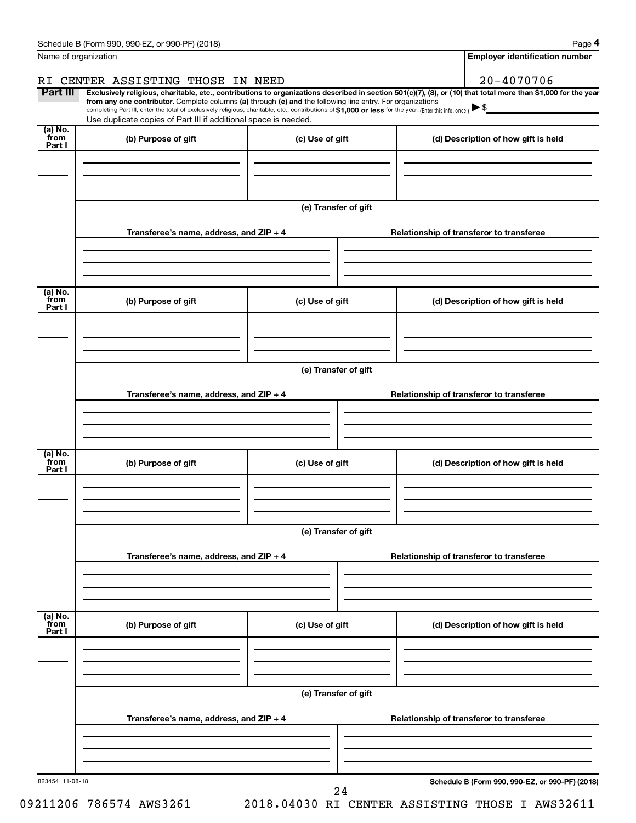| Name of organization      |                                                                                                                                                                                                                                                                              |                      |                                          | <b>Employer identification number</b>           |                                                                                                                      |  |  |  |
|---------------------------|------------------------------------------------------------------------------------------------------------------------------------------------------------------------------------------------------------------------------------------------------------------------------|----------------------|------------------------------------------|-------------------------------------------------|----------------------------------------------------------------------------------------------------------------------|--|--|--|
|                           | RI CENTER ASSISTING THOSE IN NEED                                                                                                                                                                                                                                            |                      |                                          | $20 - 4070706$                                  |                                                                                                                      |  |  |  |
| Part III                  | Exclusively religious, charitable, etc., contributions to organizations described in section 501(c)(7), (8), or (10) that total more than \$1,000 for the year<br>from any one contributor. Complete columns (a) through (e) and the following line entry. For organizations |                      |                                          |                                                 |                                                                                                                      |  |  |  |
|                           | completing Part III, enter the total of exclusively religious, charitable, etc., contributions of \$1,000 or less for the year. (Enterthis info. once.)<br>Use duplicate copies of Part III if additional space is needed.                                                   |                      |                                          |                                                 | <u> 1980 - Jan Jawa Barat, prima prima prima prima prima prima prima prima prima prima prima prima prima prima p</u> |  |  |  |
| (a) No.<br>`from          | (b) Purpose of gift                                                                                                                                                                                                                                                          | (c) Use of gift      |                                          | (d) Description of how gift is held             |                                                                                                                      |  |  |  |
| Part I                    |                                                                                                                                                                                                                                                                              |                      |                                          |                                                 |                                                                                                                      |  |  |  |
|                           |                                                                                                                                                                                                                                                                              |                      |                                          |                                                 |                                                                                                                      |  |  |  |
|                           |                                                                                                                                                                                                                                                                              |                      |                                          |                                                 |                                                                                                                      |  |  |  |
|                           |                                                                                                                                                                                                                                                                              | (e) Transfer of gift |                                          |                                                 |                                                                                                                      |  |  |  |
|                           |                                                                                                                                                                                                                                                                              |                      |                                          |                                                 |                                                                                                                      |  |  |  |
|                           | Transferee's name, address, and $ZIP + 4$                                                                                                                                                                                                                                    |                      | Relationship of transferor to transferee |                                                 |                                                                                                                      |  |  |  |
|                           |                                                                                                                                                                                                                                                                              |                      |                                          |                                                 |                                                                                                                      |  |  |  |
|                           |                                                                                                                                                                                                                                                                              |                      |                                          |                                                 |                                                                                                                      |  |  |  |
| (a) No.<br>`from          |                                                                                                                                                                                                                                                                              |                      |                                          |                                                 |                                                                                                                      |  |  |  |
| Part I                    | (b) Purpose of gift<br>(c) Use of gift                                                                                                                                                                                                                                       |                      |                                          | (d) Description of how gift is held             |                                                                                                                      |  |  |  |
|                           |                                                                                                                                                                                                                                                                              |                      |                                          |                                                 |                                                                                                                      |  |  |  |
|                           |                                                                                                                                                                                                                                                                              |                      |                                          |                                                 |                                                                                                                      |  |  |  |
|                           | (e) Transfer of gift                                                                                                                                                                                                                                                         |                      |                                          |                                                 |                                                                                                                      |  |  |  |
|                           |                                                                                                                                                                                                                                                                              |                      |                                          |                                                 |                                                                                                                      |  |  |  |
|                           | Transferee's name, address, and $ZIP + 4$                                                                                                                                                                                                                                    |                      |                                          | Relationship of transferor to transferee        |                                                                                                                      |  |  |  |
|                           |                                                                                                                                                                                                                                                                              |                      |                                          |                                                 |                                                                                                                      |  |  |  |
|                           |                                                                                                                                                                                                                                                                              |                      |                                          |                                                 |                                                                                                                      |  |  |  |
| (a) No.<br>`from          | (b) Purpose of gift                                                                                                                                                                                                                                                          | (c) Use of gift      |                                          | (d) Description of how gift is held             |                                                                                                                      |  |  |  |
| Part I                    |                                                                                                                                                                                                                                                                              |                      |                                          |                                                 |                                                                                                                      |  |  |  |
|                           |                                                                                                                                                                                                                                                                              |                      |                                          |                                                 |                                                                                                                      |  |  |  |
|                           |                                                                                                                                                                                                                                                                              |                      |                                          |                                                 |                                                                                                                      |  |  |  |
|                           | (e) Transfer of gift                                                                                                                                                                                                                                                         |                      |                                          |                                                 |                                                                                                                      |  |  |  |
|                           | Transferee's name, address, and ZIP + 4                                                                                                                                                                                                                                      |                      |                                          | Relationship of transferor to transferee        |                                                                                                                      |  |  |  |
|                           |                                                                                                                                                                                                                                                                              |                      |                                          |                                                 |                                                                                                                      |  |  |  |
|                           |                                                                                                                                                                                                                                                                              |                      |                                          |                                                 |                                                                                                                      |  |  |  |
|                           |                                                                                                                                                                                                                                                                              |                      |                                          |                                                 |                                                                                                                      |  |  |  |
| (a) No.<br>from<br>Part I | (b) Purpose of gift                                                                                                                                                                                                                                                          | (c) Use of gift      |                                          | (d) Description of how gift is held             |                                                                                                                      |  |  |  |
|                           |                                                                                                                                                                                                                                                                              |                      |                                          |                                                 |                                                                                                                      |  |  |  |
|                           |                                                                                                                                                                                                                                                                              |                      |                                          |                                                 |                                                                                                                      |  |  |  |
|                           |                                                                                                                                                                                                                                                                              |                      |                                          |                                                 |                                                                                                                      |  |  |  |
|                           | (e) Transfer of gift                                                                                                                                                                                                                                                         |                      |                                          |                                                 |                                                                                                                      |  |  |  |
|                           | Transferee's name, address, and $ZIP + 4$                                                                                                                                                                                                                                    |                      |                                          | Relationship of transferor to transferee        |                                                                                                                      |  |  |  |
|                           |                                                                                                                                                                                                                                                                              |                      |                                          |                                                 |                                                                                                                      |  |  |  |
|                           |                                                                                                                                                                                                                                                                              |                      |                                          |                                                 |                                                                                                                      |  |  |  |
|                           |                                                                                                                                                                                                                                                                              |                      |                                          |                                                 |                                                                                                                      |  |  |  |
| 823454 11-08-18           |                                                                                                                                                                                                                                                                              | 24                   |                                          | Schedule B (Form 990, 990-EZ, or 990-PF) (2018) |                                                                                                                      |  |  |  |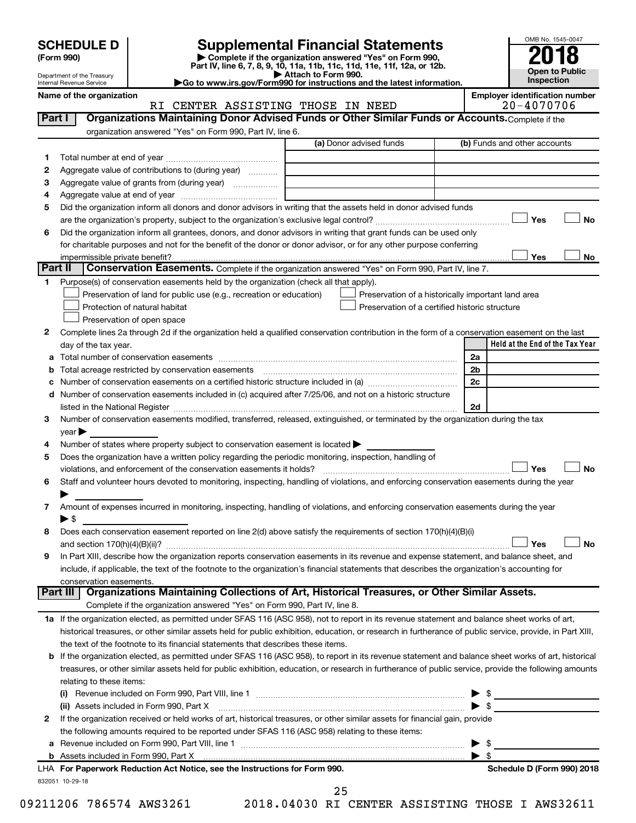| (Form 990) |  |
|------------|--|
|------------|--|

# **SCHEDULE D Supplemental Financial Statements**<br> **Form 990 2018**<br> **Part IV** line 6.7.8.9.10, 11a, 11b, 11d, 11d, 11d, 11d, 11d, 12a, 0r, 12b

**(Form 990) | Complete if the organization answered "Yes" on Form 990, Part IV, line 6, 7, 8, 9, 10, 11a, 11b, 11c, 11d, 11e, 11f, 12a, or 12b.**

**| Attach to Form 990. |Go to www.irs.gov/Form990 for instructions and the latest information.**



Department of the Treasury Internal Revenue Service

**Name of the organization**<br>**REMOVER OF A GENERE REGIST OF A GENERE REGISTION CONFIDENTIAL SOLUTION** TOMING MILOCH IN NE

| Part I  | RI CENTER ASSISTING THOSE IN NEED<br>Organizations Maintaining Donor Advised Funds or Other Similar Funds or Accounts. Complete if the                     |                                                | $20 - 401010$                                                                     |
|---------|------------------------------------------------------------------------------------------------------------------------------------------------------------|------------------------------------------------|-----------------------------------------------------------------------------------|
|         |                                                                                                                                                            |                                                |                                                                                   |
|         | organization answered "Yes" on Form 990, Part IV, line 6.                                                                                                  |                                                |                                                                                   |
|         |                                                                                                                                                            | (a) Donor advised funds                        | (b) Funds and other accounts                                                      |
| 1.      |                                                                                                                                                            |                                                |                                                                                   |
| 2       | Aggregate value of contributions to (during year)                                                                                                          |                                                |                                                                                   |
| з       | Aggregate value of grants from (during year)                                                                                                               |                                                |                                                                                   |
| 4       |                                                                                                                                                            |                                                |                                                                                   |
| 5       | Did the organization inform all donors and donor advisors in writing that the assets held in donor advised funds                                           |                                                |                                                                                   |
|         |                                                                                                                                                            |                                                | Yes<br><b>No</b>                                                                  |
| 6       | Did the organization inform all grantees, donors, and donor advisors in writing that grant funds can be used only                                          |                                                |                                                                                   |
|         | for charitable purposes and not for the benefit of the donor or donor advisor, or for any other purpose conferring                                         |                                                |                                                                                   |
|         | impermissible private benefit?                                                                                                                             |                                                | Yes<br>No                                                                         |
| Part II | <b>Conservation Easements.</b> Complete if the organization answered "Yes" on Form 990, Part IV, line 7.                                                   |                                                |                                                                                   |
| 1       | Purpose(s) of conservation easements held by the organization (check all that apply).                                                                      |                                                |                                                                                   |
|         | Preservation of land for public use (e.g., recreation or education)                                                                                        |                                                | Preservation of a historically important land area                                |
|         | Protection of natural habitat                                                                                                                              | Preservation of a certified historic structure |                                                                                   |
|         | Preservation of open space                                                                                                                                 |                                                |                                                                                   |
| 2       | Complete lines 2a through 2d if the organization held a qualified conservation contribution in the form of a conservation easement on the last             |                                                |                                                                                   |
|         | day of the tax year.                                                                                                                                       |                                                | Held at the End of the Tax Year                                                   |
| а       | Total number of conservation easements                                                                                                                     |                                                | 2a                                                                                |
| b       |                                                                                                                                                            |                                                | 2b                                                                                |
| с       |                                                                                                                                                            |                                                | 2c                                                                                |
| d       | Number of conservation easements included in (c) acquired after 7/25/06, and not on a historic structure                                                   |                                                |                                                                                   |
|         |                                                                                                                                                            |                                                | 2d                                                                                |
| 3       | Number of conservation easements modified, transferred, released, extinguished, or terminated by the organization during the tax                           |                                                |                                                                                   |
|         | $year \rightarrow$                                                                                                                                         |                                                |                                                                                   |
| 4       | Number of states where property subject to conservation easement is located $\blacktriangleright$                                                          |                                                |                                                                                   |
| 5       | Does the organization have a written policy regarding the periodic monitoring, inspection, handling of                                                     |                                                |                                                                                   |
|         | violations, and enforcement of the conservation easements it holds?                                                                                        |                                                | Yes<br><b>No</b>                                                                  |
| 6       | Staff and volunteer hours devoted to monitoring, inspecting, handling of violations, and enforcing conservation easements during the year                  |                                                |                                                                                   |
|         |                                                                                                                                                            |                                                |                                                                                   |
| 7       | Amount of expenses incurred in monitoring, inspecting, handling of violations, and enforcing conservation easements during the year                        |                                                |                                                                                   |
|         | $\blacktriangleright$ \$                                                                                                                                   |                                                |                                                                                   |
| 8       | Does each conservation easement reported on line 2(d) above satisfy the requirements of section 170(h)(4)(B)(i)                                            |                                                |                                                                                   |
|         |                                                                                                                                                            |                                                | <b>No</b><br>Yes                                                                  |
| 9       | In Part XIII, describe how the organization reports conservation easements in its revenue and expense statement, and balance sheet, and                    |                                                |                                                                                   |
|         | include, if applicable, the text of the footnote to the organization's financial statements that describes the organization's accounting for               |                                                |                                                                                   |
|         | conservation easements.                                                                                                                                    |                                                |                                                                                   |
|         | Organizations Maintaining Collections of Art, Historical Treasures, or Other Similar Assets.<br>Part III                                                   |                                                |                                                                                   |
|         | Complete if the organization answered "Yes" on Form 990, Part IV, line 8.                                                                                  |                                                |                                                                                   |
|         | 1a If the organization elected, as permitted under SFAS 116 (ASC 958), not to report in its revenue statement and balance sheet works of art,              |                                                |                                                                                   |
|         | historical treasures, or other similar assets held for public exhibition, education, or research in furtherance of public service, provide, in Part XIII,  |                                                |                                                                                   |
|         | the text of the footnote to its financial statements that describes these items.                                                                           |                                                |                                                                                   |
|         |                                                                                                                                                            |                                                |                                                                                   |
|         | <b>b</b> If the organization elected, as permitted under SFAS 116 (ASC 958), to report in its revenue statement and balance sheet works of art, historical |                                                |                                                                                   |
|         | treasures, or other similar assets held for public exhibition, education, or research in furtherance of public service, provide the following amounts      |                                                |                                                                                   |
|         | relating to these items:                                                                                                                                   |                                                |                                                                                   |
|         |                                                                                                                                                            |                                                | $\blacktriangleright$ s<br><u> 1990 - John Stein, markin film fan it ferstjer</u> |
|         | (ii) Assets included in Form 990, Part X                                                                                                                   |                                                | $\blacktriangleright$ \$                                                          |
| 2       | If the organization received or held works of art, historical treasures, or other similar assets for financial gain, provide                               |                                                |                                                                                   |
|         | the following amounts required to be reported under SFAS 116 (ASC 958) relating to these items:                                                            |                                                |                                                                                   |
| а       |                                                                                                                                                            |                                                | \$                                                                                |
|         |                                                                                                                                                            |                                                | $\blacktriangleright$ s                                                           |
|         | LHA For Paperwork Reduction Act Notice, see the Instructions for Form 990.                                                                                 |                                                | Schedule D (Form 990) 2018                                                        |

25

832051 10-29-18

09211206 786574 AWS3261 2018.04030 RI CENTER ASSISTING THOSE I AWS32611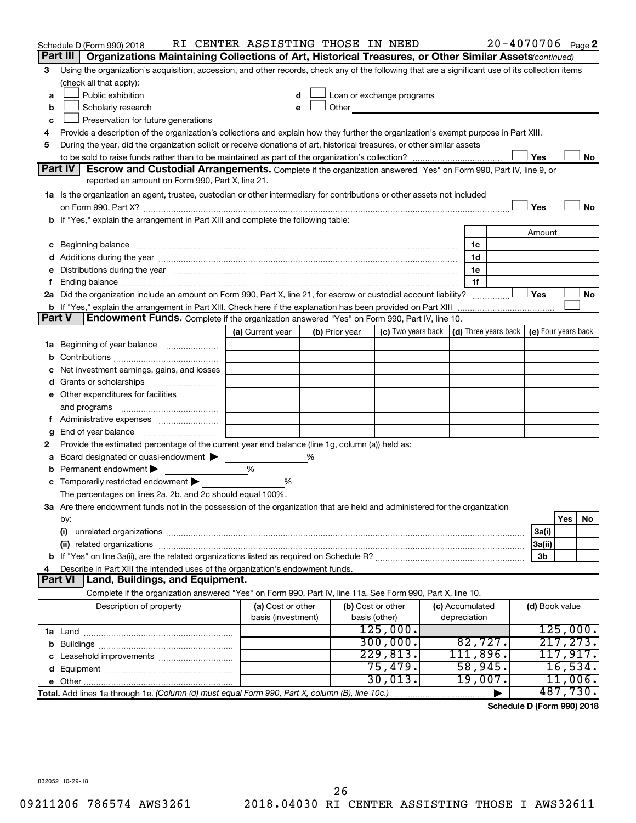|               | Schedule D (Form 990) 2018                                                                                                                                                                                                     | RI CENTER ASSISTING THOSE IN NEED       |   |                |                                    |                                                                                                                                                                                                                               |                                 | $20 - 4070706$ Page 2                                    |                |           |    |
|---------------|--------------------------------------------------------------------------------------------------------------------------------------------------------------------------------------------------------------------------------|-----------------------------------------|---|----------------|------------------------------------|-------------------------------------------------------------------------------------------------------------------------------------------------------------------------------------------------------------------------------|---------------------------------|----------------------------------------------------------|----------------|-----------|----|
|               | Part III   Organizations Maintaining Collections of Art, Historical Treasures, or Other Similar Assets (continued)                                                                                                             |                                         |   |                |                                    |                                                                                                                                                                                                                               |                                 |                                                          |                |           |    |
| 3             | Using the organization's acquisition, accession, and other records, check any of the following that are a significant use of its collection items                                                                              |                                         |   |                |                                    |                                                                                                                                                                                                                               |                                 |                                                          |                |           |    |
|               | (check all that apply):                                                                                                                                                                                                        |                                         |   |                |                                    |                                                                                                                                                                                                                               |                                 |                                                          |                |           |    |
| a             | Public exhibition                                                                                                                                                                                                              | d                                       |   |                |                                    | Loan or exchange programs                                                                                                                                                                                                     |                                 |                                                          |                |           |    |
| b             | Scholarly research                                                                                                                                                                                                             |                                         |   |                |                                    | Other and the contract of the contract of the contract of the contract of the contract of the contract of the contract of the contract of the contract of the contract of the contract of the contract of the contract of the |                                 |                                                          |                |           |    |
| c             | Preservation for future generations                                                                                                                                                                                            |                                         |   |                |                                    |                                                                                                                                                                                                                               |                                 |                                                          |                |           |    |
| 4             | Provide a description of the organization's collections and explain how they further the organization's exempt purpose in Part XIII.                                                                                           |                                         |   |                |                                    |                                                                                                                                                                                                                               |                                 |                                                          |                |           |    |
| 5             | During the year, did the organization solicit or receive donations of art, historical treasures, or other similar assets                                                                                                       |                                         |   |                |                                    |                                                                                                                                                                                                                               |                                 |                                                          |                |           |    |
|               |                                                                                                                                                                                                                                |                                         |   |                |                                    |                                                                                                                                                                                                                               |                                 |                                                          | Yes            |           | No |
|               | <b>Part IV</b><br>Escrow and Custodial Arrangements. Complete if the organization answered "Yes" on Form 990, Part IV, line 9, or                                                                                              |                                         |   |                |                                    |                                                                                                                                                                                                                               |                                 |                                                          |                |           |    |
|               | reported an amount on Form 990, Part X, line 21.                                                                                                                                                                               |                                         |   |                |                                    |                                                                                                                                                                                                                               |                                 |                                                          |                |           |    |
|               | 1a Is the organization an agent, trustee, custodian or other intermediary for contributions or other assets not included                                                                                                       |                                         |   |                |                                    |                                                                                                                                                                                                                               |                                 |                                                          |                |           |    |
|               |                                                                                                                                                                                                                                |                                         |   |                |                                    |                                                                                                                                                                                                                               |                                 |                                                          | Yes            |           | No |
|               | <b>b</b> If "Yes," explain the arrangement in Part XIII and complete the following table:                                                                                                                                      |                                         |   |                |                                    |                                                                                                                                                                                                                               |                                 |                                                          |                |           |    |
|               |                                                                                                                                                                                                                                |                                         |   |                |                                    |                                                                                                                                                                                                                               |                                 |                                                          | Amount         |           |    |
| c             | Beginning balance measurements and contain a series of the series of the series of the series of the series of the series of the series of the series of the series of the series of the series of the series of the series of |                                         |   |                |                                    |                                                                                                                                                                                                                               |                                 | 1c                                                       |                |           |    |
|               |                                                                                                                                                                                                                                |                                         |   |                |                                    |                                                                                                                                                                                                                               |                                 | 1d                                                       |                |           |    |
|               | Distributions during the year manufactured and an account of the year manufactured and the year manufactured and the year manufactured and the year manufactured and the year manufactured and the year manufactured and the y |                                         |   |                |                                    |                                                                                                                                                                                                                               |                                 | 1e                                                       |                |           |    |
|               |                                                                                                                                                                                                                                |                                         |   |                |                                    |                                                                                                                                                                                                                               |                                 | 1f                                                       | Yes            |           | No |
|               | 2a Did the organization include an amount on Form 990, Part X, line 21, for escrow or custodial account liability?                                                                                                             |                                         |   |                |                                    |                                                                                                                                                                                                                               |                                 | .                                                        |                |           |    |
| <b>Part V</b> | Endowment Funds. Complete if the organization answered "Yes" on Form 990, Part IV, line 10.                                                                                                                                    |                                         |   |                |                                    |                                                                                                                                                                                                                               |                                 |                                                          |                |           |    |
|               |                                                                                                                                                                                                                                | (a) Current year                        |   | (b) Prior year |                                    | (c) Two years back                                                                                                                                                                                                            |                                 | $\vert$ (d) Three years back $\vert$ (e) Four years back |                |           |    |
| ٦а            | Beginning of year balance                                                                                                                                                                                                      |                                         |   |                |                                    |                                                                                                                                                                                                                               |                                 |                                                          |                |           |    |
|               |                                                                                                                                                                                                                                |                                         |   |                |                                    |                                                                                                                                                                                                                               |                                 |                                                          |                |           |    |
|               | Net investment earnings, gains, and losses                                                                                                                                                                                     |                                         |   |                |                                    |                                                                                                                                                                                                                               |                                 |                                                          |                |           |    |
|               | Grants or scholarships                                                                                                                                                                                                         |                                         |   |                |                                    |                                                                                                                                                                                                                               |                                 |                                                          |                |           |    |
|               | e Other expenditures for facilities                                                                                                                                                                                            |                                         |   |                |                                    |                                                                                                                                                                                                                               |                                 |                                                          |                |           |    |
|               | and programs                                                                                                                                                                                                                   |                                         |   |                |                                    |                                                                                                                                                                                                                               |                                 |                                                          |                |           |    |
|               |                                                                                                                                                                                                                                |                                         |   |                |                                    |                                                                                                                                                                                                                               |                                 |                                                          |                |           |    |
|               | End of year balance                                                                                                                                                                                                            |                                         |   |                |                                    |                                                                                                                                                                                                                               |                                 |                                                          |                |           |    |
| 2             | Provide the estimated percentage of the current year end balance (line 1g, column (a)) held as:                                                                                                                                |                                         |   |                |                                    |                                                                                                                                                                                                                               |                                 |                                                          |                |           |    |
|               | Board designated or quasi-endowment                                                                                                                                                                                            |                                         | % |                |                                    |                                                                                                                                                                                                                               |                                 |                                                          |                |           |    |
|               | Permanent endowment                                                                                                                                                                                                            | %                                       |   |                |                                    |                                                                                                                                                                                                                               |                                 |                                                          |                |           |    |
| с             | Temporarily restricted endowment                                                                                                                                                                                               | ℅                                       |   |                |                                    |                                                                                                                                                                                                                               |                                 |                                                          |                |           |    |
|               | The percentages on lines 2a, 2b, and 2c should equal 100%.                                                                                                                                                                     |                                         |   |                |                                    |                                                                                                                                                                                                                               |                                 |                                                          |                |           |    |
|               | 3a Are there endowment funds not in the possession of the organization that are held and administered for the organization                                                                                                     |                                         |   |                |                                    |                                                                                                                                                                                                                               |                                 |                                                          |                |           |    |
|               | by:                                                                                                                                                                                                                            |                                         |   |                |                                    |                                                                                                                                                                                                                               |                                 |                                                          |                | Yes       | No |
|               | (i)                                                                                                                                                                                                                            |                                         |   |                |                                    |                                                                                                                                                                                                                               |                                 |                                                          | 3a(i)          |           |    |
|               | (ii) related organizations                                                                                                                                                                                                     |                                         |   |                |                                    |                                                                                                                                                                                                                               |                                 |                                                          | 3a(ii)         |           |    |
|               |                                                                                                                                                                                                                                |                                         |   |                |                                    |                                                                                                                                                                                                                               |                                 |                                                          | 3b             |           |    |
|               | Describe in Part XIII the intended uses of the organization's endowment funds.                                                                                                                                                 |                                         |   |                |                                    |                                                                                                                                                                                                                               |                                 |                                                          |                |           |    |
|               | Land, Buildings, and Equipment.<br><b>Part VI</b>                                                                                                                                                                              |                                         |   |                |                                    |                                                                                                                                                                                                                               |                                 |                                                          |                |           |    |
|               | Complete if the organization answered "Yes" on Form 990, Part IV, line 11a. See Form 990, Part X, line 10.                                                                                                                     |                                         |   |                |                                    |                                                                                                                                                                                                                               |                                 |                                                          |                |           |    |
|               | Description of property                                                                                                                                                                                                        | (a) Cost or other<br>basis (investment) |   |                | (b) Cost or other<br>basis (other) |                                                                                                                                                                                                                               | (c) Accumulated<br>depreciation |                                                          | (d) Book value |           |    |
|               |                                                                                                                                                                                                                                |                                         |   |                |                                    | 125,000.                                                                                                                                                                                                                      |                                 |                                                          |                | 125,000.  |    |
| b             |                                                                                                                                                                                                                                |                                         |   |                |                                    | 300,000.                                                                                                                                                                                                                      |                                 | 82,727.                                                  |                | 217, 273. |    |
|               | Leasehold improvements                                                                                                                                                                                                         |                                         |   |                |                                    | 229,813.                                                                                                                                                                                                                      |                                 | 111,896.                                                 |                | 117,917.  |    |
|               |                                                                                                                                                                                                                                |                                         |   |                |                                    | 75,479.                                                                                                                                                                                                                       |                                 | 58,945.                                                  |                | 16,534.   |    |
|               |                                                                                                                                                                                                                                |                                         |   |                |                                    | 30,013.                                                                                                                                                                                                                       |                                 | 19,007.                                                  |                | 11,006.   |    |
|               | Total. Add lines 1a through 1e. (Column (d) must equal Form 990, Part X, column (B), line 10c.)                                                                                                                                |                                         |   |                |                                    |                                                                                                                                                                                                                               |                                 |                                                          |                | 487,730.  |    |

**Schedule D (Form 990) 2018**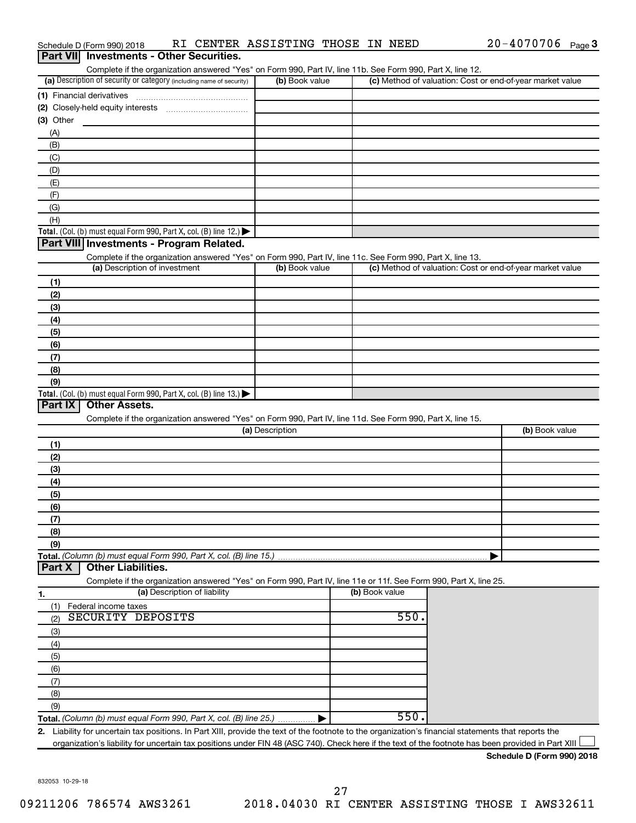|                  | Schedule D (Form 990) 2018                                                                                                                           | RI CENTER ASSISTING THOSE IN NEED                                                                                 |                 |                |                                                           | $20 - 4070706$ Page 3 |  |
|------------------|------------------------------------------------------------------------------------------------------------------------------------------------------|-------------------------------------------------------------------------------------------------------------------|-----------------|----------------|-----------------------------------------------------------|-----------------------|--|
| <b>Part VIII</b> | <b>Investments - Other Securities.</b>                                                                                                               |                                                                                                                   |                 |                |                                                           |                       |  |
|                  |                                                                                                                                                      | Complete if the organization answered "Yes" on Form 990, Part IV, line 11b. See Form 990, Part X, line 12.        |                 |                |                                                           |                       |  |
|                  | (a) Description of security or category (including name of security)                                                                                 |                                                                                                                   | (b) Book value  |                | (c) Method of valuation: Cost or end-of-year market value |                       |  |
|                  | (1) Financial derivatives                                                                                                                            |                                                                                                                   |                 |                |                                                           |                       |  |
|                  |                                                                                                                                                      |                                                                                                                   |                 |                |                                                           |                       |  |
| $(3)$ Other      |                                                                                                                                                      |                                                                                                                   |                 |                |                                                           |                       |  |
| (A)<br>(B)       |                                                                                                                                                      |                                                                                                                   |                 |                |                                                           |                       |  |
| (C)              |                                                                                                                                                      |                                                                                                                   |                 |                |                                                           |                       |  |
| (D)              |                                                                                                                                                      |                                                                                                                   |                 |                |                                                           |                       |  |
| (E)              |                                                                                                                                                      |                                                                                                                   |                 |                |                                                           |                       |  |
| (F)              |                                                                                                                                                      |                                                                                                                   |                 |                |                                                           |                       |  |
| (G)              |                                                                                                                                                      |                                                                                                                   |                 |                |                                                           |                       |  |
| (H)              |                                                                                                                                                      |                                                                                                                   |                 |                |                                                           |                       |  |
|                  | Total. (Col. (b) must equal Form 990, Part X, col. (B) line 12.)                                                                                     |                                                                                                                   |                 |                |                                                           |                       |  |
|                  | Part VIII Investments - Program Related.                                                                                                             |                                                                                                                   |                 |                |                                                           |                       |  |
|                  |                                                                                                                                                      | Complete if the organization answered "Yes" on Form 990, Part IV, line 11c. See Form 990, Part X, line 13.        |                 |                |                                                           |                       |  |
|                  | (a) Description of investment                                                                                                                        |                                                                                                                   | (b) Book value  |                | (c) Method of valuation: Cost or end-of-year market value |                       |  |
| (1)              |                                                                                                                                                      |                                                                                                                   |                 |                |                                                           |                       |  |
| (2)              |                                                                                                                                                      |                                                                                                                   |                 |                |                                                           |                       |  |
| (3)              |                                                                                                                                                      |                                                                                                                   |                 |                |                                                           |                       |  |
| (4)              |                                                                                                                                                      |                                                                                                                   |                 |                |                                                           |                       |  |
| (5)              |                                                                                                                                                      |                                                                                                                   |                 |                |                                                           |                       |  |
| (6)<br>(7)       |                                                                                                                                                      |                                                                                                                   |                 |                |                                                           |                       |  |
| (8)              |                                                                                                                                                      |                                                                                                                   |                 |                |                                                           |                       |  |
| (9)              |                                                                                                                                                      |                                                                                                                   |                 |                |                                                           |                       |  |
|                  | Total. (Col. (b) must equal Form 990, Part X, col. (B) line 13.) $\blacktriangleright$                                                               |                                                                                                                   |                 |                |                                                           |                       |  |
| Part IX          | <b>Other Assets.</b>                                                                                                                                 |                                                                                                                   |                 |                |                                                           |                       |  |
|                  |                                                                                                                                                      | Complete if the organization answered "Yes" on Form 990, Part IV, line 11d. See Form 990, Part X, line 15.        |                 |                |                                                           |                       |  |
|                  |                                                                                                                                                      |                                                                                                                   | (a) Description |                |                                                           | (b) Book value        |  |
| (1)              |                                                                                                                                                      |                                                                                                                   |                 |                |                                                           |                       |  |
| (2)              |                                                                                                                                                      |                                                                                                                   |                 |                |                                                           |                       |  |
| (3)              |                                                                                                                                                      |                                                                                                                   |                 |                |                                                           |                       |  |
| (4)              |                                                                                                                                                      |                                                                                                                   |                 |                |                                                           |                       |  |
| (5)              |                                                                                                                                                      |                                                                                                                   |                 |                |                                                           |                       |  |
| (6)              |                                                                                                                                                      |                                                                                                                   |                 |                |                                                           |                       |  |
| (7)              |                                                                                                                                                      |                                                                                                                   |                 |                |                                                           |                       |  |
| (8)              |                                                                                                                                                      |                                                                                                                   |                 |                |                                                           |                       |  |
| (9)              |                                                                                                                                                      |                                                                                                                   |                 |                |                                                           |                       |  |
| Part X           | Total. (Column (b) must equal Form 990, Part X, col. (B) line 15.)<br><b>Other Liabilities.</b>                                                      |                                                                                                                   |                 |                |                                                           |                       |  |
|                  |                                                                                                                                                      | Complete if the organization answered "Yes" on Form 990, Part IV, line 11e or 11f. See Form 990, Part X, line 25. |                 |                |                                                           |                       |  |
| 1.               |                                                                                                                                                      | (a) Description of liability                                                                                      |                 | (b) Book value |                                                           |                       |  |
| (1)              | Federal income taxes                                                                                                                                 |                                                                                                                   |                 |                |                                                           |                       |  |
| (2)              | <b>SECURITY DEPOSITS</b>                                                                                                                             |                                                                                                                   |                 | 550.           |                                                           |                       |  |
| (3)              |                                                                                                                                                      |                                                                                                                   |                 |                |                                                           |                       |  |
| (4)              |                                                                                                                                                      |                                                                                                                   |                 |                |                                                           |                       |  |
| (5)              |                                                                                                                                                      |                                                                                                                   |                 |                |                                                           |                       |  |
| (6)              |                                                                                                                                                      |                                                                                                                   |                 |                |                                                           |                       |  |
| (7)              |                                                                                                                                                      |                                                                                                                   |                 |                |                                                           |                       |  |
| (8)              |                                                                                                                                                      |                                                                                                                   |                 |                |                                                           |                       |  |
| (9)              |                                                                                                                                                      |                                                                                                                   |                 |                |                                                           |                       |  |
|                  | Total. (Column (b) must equal Form 990, Part X, col. (B) line 25.)                                                                                   |                                                                                                                   |                 | 550.           |                                                           |                       |  |
|                  | 2. Liability for uncertain tax positions. In Part XIII, provide the text of the footnote to the organization's financial statements that reports the |                                                                                                                   |                 |                |                                                           |                       |  |
|                  | organization's liability for uncertain tax positions under FIN 48 (ASC 740). Check here if the text of the footnote has been provided in Part XIII   |                                                                                                                   |                 |                |                                                           |                       |  |

832053 10-29-18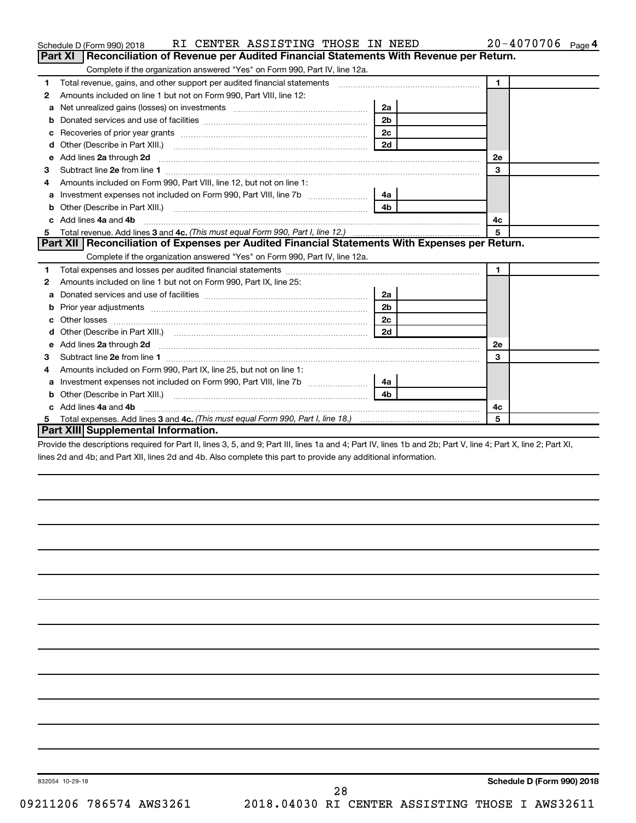|   | RI CENTER ASSISTING THOSE IN NEED<br>Schedule D (Form 990) 2018                                                                                                                                                                     |                | 20-4070706 Page 4 |
|---|-------------------------------------------------------------------------------------------------------------------------------------------------------------------------------------------------------------------------------------|----------------|-------------------|
|   | Part XI   Reconciliation of Revenue per Audited Financial Statements With Revenue per Return.                                                                                                                                       |                |                   |
|   | Complete if the organization answered "Yes" on Form 990, Part IV, line 12a.                                                                                                                                                         |                |                   |
| 1 | Total revenue, gains, and other support per audited financial statements [11] [11] Total revenue, gains, and other support per audited financial statements                                                                         |                | $\mathbf{1}$      |
| 2 | Amounts included on line 1 but not on Form 990, Part VIII, line 12:                                                                                                                                                                 |                |                   |
| a | Net unrealized gains (losses) on investments [111] [12] matter was uncontracted and was alleged and was uncontrolled to the uncontrolled and was uncontrolled and was uncontrolled and was uncontrolled and was uncontrolled a      | 2a             |                   |
| b |                                                                                                                                                                                                                                     | 2 <sub>b</sub> |                   |
| c |                                                                                                                                                                                                                                     | 2c             |                   |
| d |                                                                                                                                                                                                                                     | 2d             |                   |
| е | Add lines 2a through 2d <b>[10]</b> University contracts and the set of the set of the set of the set of the set of the set of the set of the set of the set of the set of the set of the set of the set of the set of the set of t |                | <b>2e</b>         |
| 3 |                                                                                                                                                                                                                                     |                | 3                 |
|   | Amounts included on Form 990, Part VIII, line 12, but not on line 1:                                                                                                                                                                |                |                   |
| a | Investment expenses not included on Form 990, Part VIII, line 7b                                                                                                                                                                    | 4a             |                   |
| b |                                                                                                                                                                                                                                     | 4 <sub>b</sub> |                   |
|   | Add lines 4a and 4b                                                                                                                                                                                                                 |                | 4с                |
| 5 |                                                                                                                                                                                                                                     |                | 5                 |
|   | Part XII Reconciliation of Expenses per Audited Financial Statements With Expenses per Return.                                                                                                                                      |                |                   |
|   | Complete if the organization answered "Yes" on Form 990, Part IV, line 12a.                                                                                                                                                         |                |                   |
| 1 |                                                                                                                                                                                                                                     |                | $\mathbf{1}$      |
| 2 | Amounts included on line 1 but not on Form 990, Part IX, line 25:                                                                                                                                                                   |                |                   |
| a |                                                                                                                                                                                                                                     | 2a             |                   |
| b |                                                                                                                                                                                                                                     | 2 <sub>b</sub> |                   |
|   |                                                                                                                                                                                                                                     | 2c             |                   |
|   |                                                                                                                                                                                                                                     | 2d             |                   |
| e | Add lines 2a through 2d <b>manufactures</b> in the contract of the state of the state of the state of the state of the state of the state of the state of the state of the state of the state of the state of the state of the stat |                | 2е                |
| З |                                                                                                                                                                                                                                     |                | 3                 |
| 4 | Amounts included on Form 990, Part IX, line 25, but not on line 1:                                                                                                                                                                  |                |                   |
| a |                                                                                                                                                                                                                                     | 4a             |                   |
|   |                                                                                                                                                                                                                                     | 4 <sub>h</sub> |                   |
|   | c Add lines 4a and 4b                                                                                                                                                                                                               |                | 4с                |
|   |                                                                                                                                                                                                                                     |                | 5                 |
|   | Part XIII Supplemental Information.                                                                                                                                                                                                 |                |                   |

Provide the descriptions required for Part II, lines 3, 5, and 9; Part III, lines 1a and 4; Part IV, lines 1b and 2b; Part V, line 4; Part X, line 2; Part XI, lines 2d and 4b; and Part XII, lines 2d and 4b. Also complete this part to provide any additional information.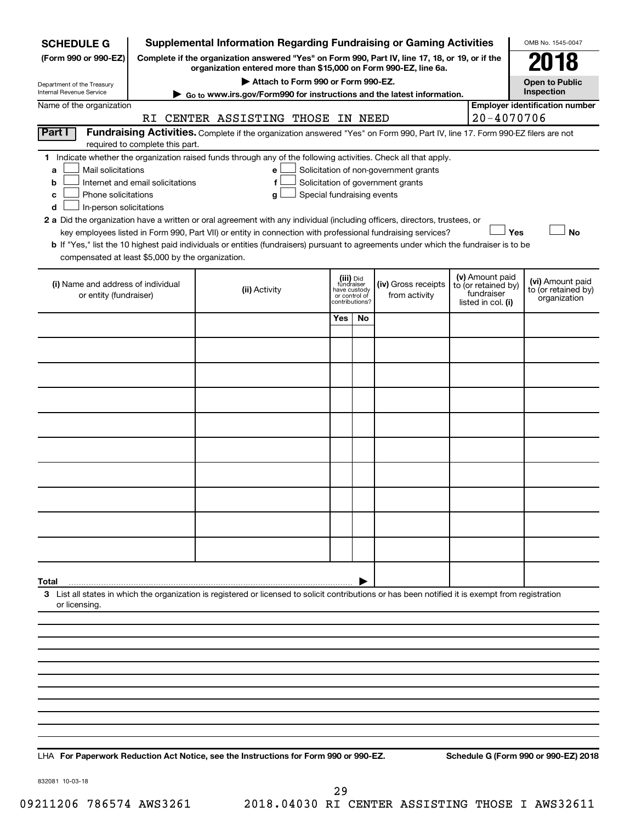| <b>SCHEDULE G</b>                                            |                                                                                                                                                                                                                                                                                                                                 | <b>Supplemental Information Regarding Fundraising or Gaming Activities</b>                                                                         |                                                                            |    |                                      |                                                                            |                | OMB No. 1545-0047                                       |  |
|--------------------------------------------------------------|---------------------------------------------------------------------------------------------------------------------------------------------------------------------------------------------------------------------------------------------------------------------------------------------------------------------------------|----------------------------------------------------------------------------------------------------------------------------------------------------|----------------------------------------------------------------------------|----|--------------------------------------|----------------------------------------------------------------------------|----------------|---------------------------------------------------------|--|
| (Form 990 or 990-EZ)                                         | Complete if the organization answered "Yes" on Form 990, Part IV, line 17, 18, or 19, or if the<br>organization entered more than \$15,000 on Form 990-EZ, line 6a.                                                                                                                                                             |                                                                                                                                                    |                                                                            |    |                                      |                                                                            |                |                                                         |  |
| Department of the Treasury                                   | 18<br>Attach to Form 990 or Form 990-EZ.<br><b>Open to Public</b>                                                                                                                                                                                                                                                               |                                                                                                                                                    |                                                                            |    |                                      |                                                                            |                |                                                         |  |
| Internal Revenue Service                                     |                                                                                                                                                                                                                                                                                                                                 | Go to www.irs.gov/Form990 for instructions and the latest information.                                                                             |                                                                            |    |                                      |                                                                            |                | Inspection                                              |  |
| Name of the organization                                     |                                                                                                                                                                                                                                                                                                                                 | RI CENTER ASSISTING THOSE IN NEED                                                                                                                  |                                                                            |    |                                      |                                                                            | $20 - 4070706$ | <b>Employer identification number</b>                   |  |
| <b>Part I</b>                                                |                                                                                                                                                                                                                                                                                                                                 | Fundraising Activities. Complete if the organization answered "Yes" on Form 990, Part IV, line 17. Form 990-EZ filers are not                      |                                                                            |    |                                      |                                                                            |                |                                                         |  |
| required to complete this part.                              |                                                                                                                                                                                                                                                                                                                                 |                                                                                                                                                    |                                                                            |    |                                      |                                                                            |                |                                                         |  |
| a<br>b<br>с                                                  | Indicate whether the organization raised funds through any of the following activities. Check all that apply.<br>1.<br>Mail solicitations<br>Solicitation of non-government grants<br>e<br>Internet and email solicitations<br>Solicitation of government grants<br>f<br>Phone solicitations<br>Special fundraising events<br>g |                                                                                                                                                    |                                                                            |    |                                      |                                                                            |                |                                                         |  |
| In-person solicitations<br>d                                 |                                                                                                                                                                                                                                                                                                                                 | 2 a Did the organization have a written or oral agreement with any individual (including officers, directors, trustees, or                         |                                                                            |    |                                      |                                                                            |                |                                                         |  |
|                                                              |                                                                                                                                                                                                                                                                                                                                 | key employees listed in Form 990, Part VII) or entity in connection with professional fundraising services?                                        |                                                                            |    |                                      |                                                                            | Yes            | <b>No</b>                                               |  |
| compensated at least \$5,000 by the organization.            |                                                                                                                                                                                                                                                                                                                                 | b If "Yes," list the 10 highest paid individuals or entities (fundraisers) pursuant to agreements under which the fundraiser is to be              |                                                                            |    |                                      |                                                                            |                |                                                         |  |
| (i) Name and address of individual<br>or entity (fundraiser) |                                                                                                                                                                                                                                                                                                                                 | (ii) Activity                                                                                                                                      | (iii) Did<br>fundraiser<br>have custody<br>or control of<br>contributions? |    | (iv) Gross receipts<br>from activity | (v) Amount paid<br>to (or retained by)<br>fundraiser<br>listed in col. (i) |                | (vi) Amount paid<br>to (or retained by)<br>organization |  |
|                                                              |                                                                                                                                                                                                                                                                                                                                 |                                                                                                                                                    | Yes                                                                        | No |                                      |                                                                            |                |                                                         |  |
|                                                              |                                                                                                                                                                                                                                                                                                                                 |                                                                                                                                                    |                                                                            |    |                                      |                                                                            |                |                                                         |  |
|                                                              |                                                                                                                                                                                                                                                                                                                                 |                                                                                                                                                    |                                                                            |    |                                      |                                                                            |                |                                                         |  |
|                                                              |                                                                                                                                                                                                                                                                                                                                 |                                                                                                                                                    |                                                                            |    |                                      |                                                                            |                |                                                         |  |
|                                                              |                                                                                                                                                                                                                                                                                                                                 |                                                                                                                                                    |                                                                            |    |                                      |                                                                            |                |                                                         |  |
|                                                              |                                                                                                                                                                                                                                                                                                                                 |                                                                                                                                                    |                                                                            |    |                                      |                                                                            |                |                                                         |  |
|                                                              |                                                                                                                                                                                                                                                                                                                                 |                                                                                                                                                    |                                                                            |    |                                      |                                                                            |                |                                                         |  |
|                                                              |                                                                                                                                                                                                                                                                                                                                 |                                                                                                                                                    |                                                                            |    |                                      |                                                                            |                |                                                         |  |
|                                                              |                                                                                                                                                                                                                                                                                                                                 |                                                                                                                                                    |                                                                            |    |                                      |                                                                            |                |                                                         |  |
|                                                              |                                                                                                                                                                                                                                                                                                                                 |                                                                                                                                                    |                                                                            |    |                                      |                                                                            |                |                                                         |  |
|                                                              |                                                                                                                                                                                                                                                                                                                                 |                                                                                                                                                    |                                                                            |    |                                      |                                                                            |                |                                                         |  |
|                                                              |                                                                                                                                                                                                                                                                                                                                 |                                                                                                                                                    |                                                                            |    |                                      |                                                                            |                |                                                         |  |
| Total                                                        |                                                                                                                                                                                                                                                                                                                                 | 3 List all states in which the organization is registered or licensed to solicit contributions or has been notified it is exempt from registration |                                                                            |    |                                      |                                                                            |                |                                                         |  |
| or licensing.                                                |                                                                                                                                                                                                                                                                                                                                 |                                                                                                                                                    |                                                                            |    |                                      |                                                                            |                |                                                         |  |
|                                                              |                                                                                                                                                                                                                                                                                                                                 |                                                                                                                                                    |                                                                            |    |                                      |                                                                            |                |                                                         |  |
|                                                              |                                                                                                                                                                                                                                                                                                                                 |                                                                                                                                                    |                                                                            |    |                                      |                                                                            |                |                                                         |  |
|                                                              |                                                                                                                                                                                                                                                                                                                                 |                                                                                                                                                    |                                                                            |    |                                      |                                                                            |                |                                                         |  |
|                                                              |                                                                                                                                                                                                                                                                                                                                 |                                                                                                                                                    |                                                                            |    |                                      |                                                                            |                |                                                         |  |
|                                                              |                                                                                                                                                                                                                                                                                                                                 |                                                                                                                                                    |                                                                            |    |                                      |                                                                            |                |                                                         |  |
|                                                              |                                                                                                                                                                                                                                                                                                                                 |                                                                                                                                                    |                                                                            |    |                                      |                                                                            |                |                                                         |  |
|                                                              |                                                                                                                                                                                                                                                                                                                                 |                                                                                                                                                    |                                                                            |    |                                      |                                                                            |                |                                                         |  |

**For Paperwork Reduction Act Notice, see the Instructions for Form 990 or 990-EZ. Schedule G (Form 990 or 990-EZ) 2018** LHA

832081 10-03-18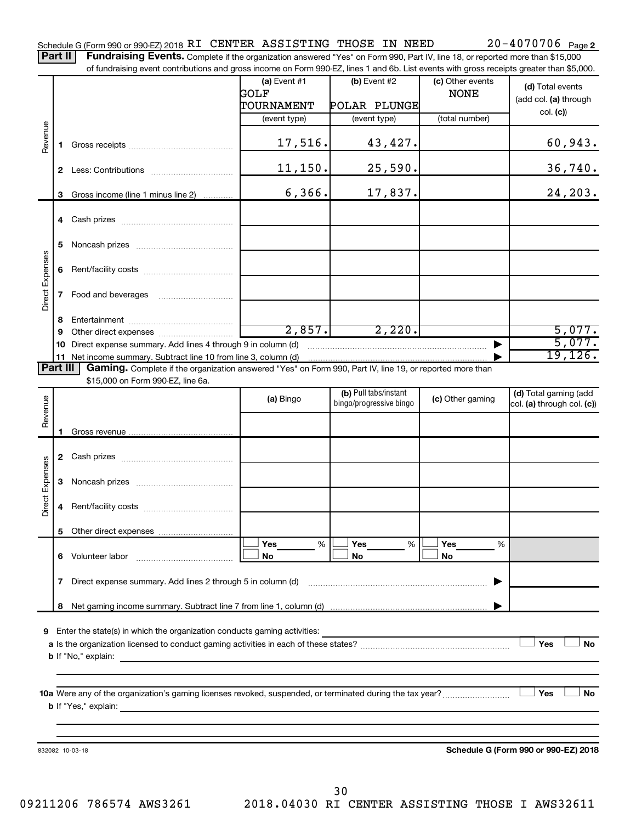Part II | Fundraising Events. Complete if the organization answered "Yes" on Form 990, Part IV, line 18, or reported more than \$15,000 of fundraising event contributions and gross income on Form 990-EZ, lines 1 and 6b. List events with gross receipts greater than \$5,000.

|                        |              | OF fundraising event contributions and gross income on Form 990-EZ, lines T and 6D. Elst events with gross receipts greater than \$5,000. |                |                                                  |                  |                                                     |
|------------------------|--------------|-------------------------------------------------------------------------------------------------------------------------------------------|----------------|--------------------------------------------------|------------------|-----------------------------------------------------|
|                        |              |                                                                                                                                           | (a) Event $#1$ | $(b)$ Event #2                                   | (c) Other events | (d) Total events                                    |
|                        |              |                                                                                                                                           | GOLF           |                                                  | <b>NONE</b>      | (add col. (a) through                               |
|                        |              |                                                                                                                                           | TOURNAMENT     | POLAR PLUNGE                                     |                  | col. (c)                                            |
|                        |              |                                                                                                                                           | (event type)   | (event type)                                     | (total number)   |                                                     |
| Revenue                | 1.           |                                                                                                                                           | 17,516.        | 43,427.                                          |                  | 60,943.                                             |
|                        |              |                                                                                                                                           | 11,150.        | 25,590.                                          |                  | 36,740.                                             |
|                        |              |                                                                                                                                           |                |                                                  |                  |                                                     |
|                        | 3            | Gross income (line 1 minus line 2)                                                                                                        | 6, 366.        | 17,837.                                          |                  | 24,203.                                             |
|                        |              |                                                                                                                                           |                |                                                  |                  |                                                     |
|                        | 5.           |                                                                                                                                           |                |                                                  |                  |                                                     |
|                        | 6            |                                                                                                                                           |                |                                                  |                  |                                                     |
| Direct Expenses        |              |                                                                                                                                           |                |                                                  |                  |                                                     |
|                        | 8            |                                                                                                                                           |                |                                                  |                  |                                                     |
|                        | 9            |                                                                                                                                           | 2,857.         | 2,220.                                           |                  | 5,077.                                              |
|                        | 10           | Direct expense summary. Add lines 4 through 9 in column (d)                                                                               |                |                                                  |                  | 5,077.                                              |
|                        |              |                                                                                                                                           |                |                                                  |                  | 19, 126.                                            |
| Part III               |              | Gaming. Complete if the organization answered "Yes" on Form 990, Part IV, line 19, or reported more than                                  |                |                                                  |                  |                                                     |
|                        |              | \$15,000 on Form 990-EZ, line 6a.                                                                                                         |                |                                                  |                  |                                                     |
| Revenue                |              |                                                                                                                                           | (a) Bingo      | (b) Pull tabs/instant<br>bingo/progressive bingo | (c) Other gaming | (d) Total gaming (add<br>col. (a) through col. (c)) |
|                        |              |                                                                                                                                           |                |                                                  |                  |                                                     |
|                        | 1.           |                                                                                                                                           |                |                                                  |                  |                                                     |
|                        |              |                                                                                                                                           |                |                                                  |                  |                                                     |
| <b>Direct Expenses</b> | 3            |                                                                                                                                           |                |                                                  |                  |                                                     |
|                        | 4            |                                                                                                                                           |                |                                                  |                  |                                                     |
|                        | 5.           |                                                                                                                                           |                |                                                  |                  |                                                     |
|                        |              |                                                                                                                                           | Yes<br>%       | Yes<br>%                                         | Yes<br>%         |                                                     |
|                        |              | 6 Volunteer labor                                                                                                                         | No             | No                                               | No               |                                                     |
|                        | $\mathbf{7}$ | Direct expense summary. Add lines 2 through 5 in column (d)                                                                               |                |                                                  |                  |                                                     |
|                        | 8            |                                                                                                                                           |                |                                                  |                  |                                                     |
|                        |              |                                                                                                                                           |                |                                                  |                  |                                                     |
| 9                      |              | Enter the state(s) in which the organization conducts gaming activities:                                                                  |                |                                                  |                  |                                                     |
|                        |              |                                                                                                                                           |                |                                                  |                  | Yes<br>No                                           |
|                        |              | <b>b</b> If "No," explain:                                                                                                                |                |                                                  |                  |                                                     |
|                        |              |                                                                                                                                           |                |                                                  |                  |                                                     |
|                        |              |                                                                                                                                           |                |                                                  |                  |                                                     |
|                        |              |                                                                                                                                           |                |                                                  |                  | Yes<br>No                                           |
|                        |              | <b>b</b> If "Yes," explain:                                                                                                               |                |                                                  |                  |                                                     |
|                        |              |                                                                                                                                           |                |                                                  |                  |                                                     |
|                        |              |                                                                                                                                           |                |                                                  |                  |                                                     |
|                        |              | 832082 10-03-18                                                                                                                           |                |                                                  |                  | Schedule G (Form 990 or 990-EZ) 2018                |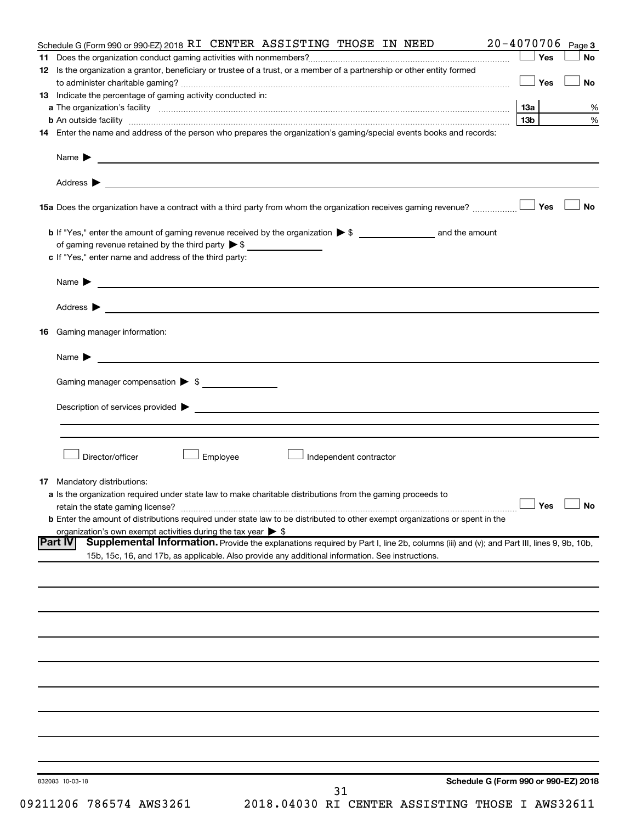|                | Schedule G (Form 990 or 990-EZ) 2018 RI CENTER ASSISTING THOSE IN NEED                                                                                                                                                                     | $20 - 4070706$  | Page 3               |
|----------------|--------------------------------------------------------------------------------------------------------------------------------------------------------------------------------------------------------------------------------------------|-----------------|----------------------|
|                |                                                                                                                                                                                                                                            | Yes             | <b>No</b>            |
|                | 12 Is the organization a grantor, beneficiary or trustee of a trust, or a member of a partnership or other entity formed                                                                                                                   | Yes             | <b>No</b>            |
|                | 13 Indicate the percentage of gaming activity conducted in:                                                                                                                                                                                |                 |                      |
|                |                                                                                                                                                                                                                                            | 13а             | %                    |
|                | <b>b</b> An outside facility <i>www.communicality.communicality.communicality www.communicality.communicality.communicality</i>                                                                                                            | 13 <sub>b</sub> | %                    |
|                | 14 Enter the name and address of the person who prepares the organization's gaming/special events books and records:                                                                                                                       |                 |                      |
|                | Name $\blacktriangleright$<br><u> 1989 - Johann John Stein, fransk politik (f. 1989)</u>                                                                                                                                                   |                 |                      |
|                |                                                                                                                                                                                                                                            |                 |                      |
|                |                                                                                                                                                                                                                                            |                 | <b>No</b>            |
|                |                                                                                                                                                                                                                                            |                 |                      |
|                | c If "Yes," enter name and address of the third party:                                                                                                                                                                                     |                 |                      |
|                |                                                                                                                                                                                                                                            |                 |                      |
|                | <u>and the control of the control of the control of the control of the control of the control of</u><br>Name $\blacktriangleright$                                                                                                         |                 |                      |
|                |                                                                                                                                                                                                                                            |                 |                      |
| 16             | Gaming manager information:                                                                                                                                                                                                                |                 |                      |
|                | <u> 1989 - Johann Barbara, martin da basar a shekara 1989 - An tsaran a shekara 1989 - An tsara 1989 - An tsara</u><br>Name $\blacktriangleright$                                                                                          |                 |                      |
|                | Gaming manager compensation > \$                                                                                                                                                                                                           |                 |                      |
|                |                                                                                                                                                                                                                                            |                 |                      |
|                |                                                                                                                                                                                                                                            |                 |                      |
|                |                                                                                                                                                                                                                                            |                 |                      |
|                | Director/officer<br>Employee<br>Independent contractor                                                                                                                                                                                     |                 |                      |
|                | <b>17</b> Mandatory distributions:                                                                                                                                                                                                         |                 |                      |
|                | a Is the organization required under state law to make charitable distributions from the gaming proceeds to                                                                                                                                |                 |                      |
|                | retain the state gaming license?                                                                                                                                                                                                           |                 | $\Box$ Yes $\Box$ No |
|                | <b>b</b> Enter the amount of distributions required under state law to be distributed to other exempt organizations or spent in the                                                                                                        |                 |                      |
|                | organization's own exempt activities during the tax year $\triangleright$ \$                                                                                                                                                               |                 |                      |
| <b>Part IV</b> | Supplemental Information. Provide the explanations required by Part I, line 2b, columns (iii) and (v); and Part III, lines 9, 9b, 10b,<br>15b, 15c, 16, and 17b, as applicable. Also provide any additional information. See instructions. |                 |                      |
|                |                                                                                                                                                                                                                                            |                 |                      |
|                |                                                                                                                                                                                                                                            |                 |                      |
|                |                                                                                                                                                                                                                                            |                 |                      |
|                |                                                                                                                                                                                                                                            |                 |                      |
|                |                                                                                                                                                                                                                                            |                 |                      |
|                |                                                                                                                                                                                                                                            |                 |                      |
|                |                                                                                                                                                                                                                                            |                 |                      |
|                |                                                                                                                                                                                                                                            |                 |                      |
|                |                                                                                                                                                                                                                                            |                 |                      |
|                |                                                                                                                                                                                                                                            |                 |                      |
|                | Schedule G (Form 990 or 990-EZ) 2018<br>832083 10-03-18<br>31                                                                                                                                                                              |                 |                      |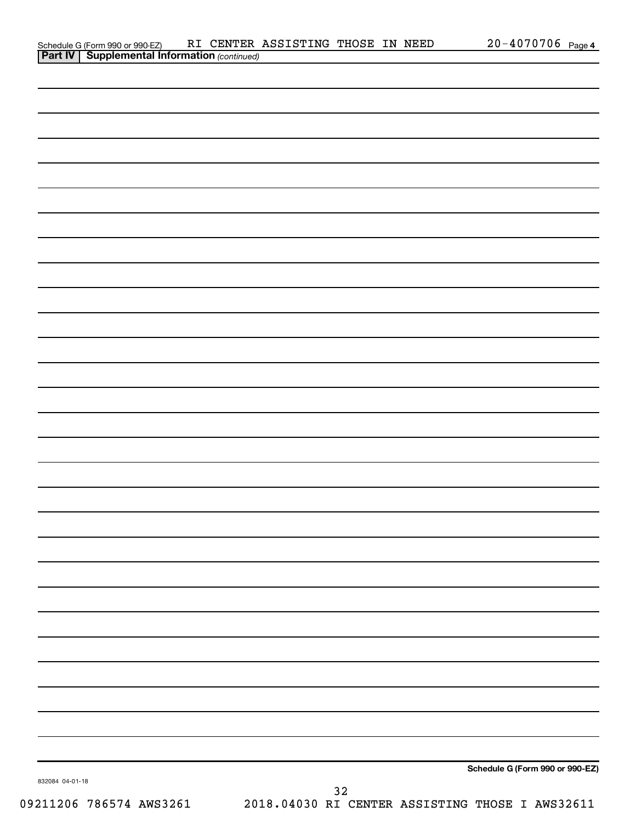| <b>Part IV   Supplemental Information (continued)</b> |    |                                 |
|-------------------------------------------------------|----|---------------------------------|
|                                                       |    |                                 |
|                                                       |    |                                 |
|                                                       |    |                                 |
|                                                       |    |                                 |
|                                                       |    |                                 |
|                                                       |    |                                 |
|                                                       |    |                                 |
|                                                       |    |                                 |
|                                                       |    |                                 |
|                                                       |    |                                 |
|                                                       |    |                                 |
|                                                       |    |                                 |
|                                                       |    |                                 |
|                                                       |    |                                 |
|                                                       |    |                                 |
|                                                       |    |                                 |
|                                                       |    |                                 |
|                                                       |    |                                 |
|                                                       |    |                                 |
|                                                       |    |                                 |
|                                                       |    |                                 |
|                                                       |    |                                 |
|                                                       |    |                                 |
|                                                       |    |                                 |
|                                                       |    |                                 |
|                                                       |    |                                 |
|                                                       |    |                                 |
|                                                       |    |                                 |
|                                                       |    | Schedule G (Form 990 or 990-EZ) |
| 832084 04-01-18                                       | 32 |                                 |

Schedule G (Form 990 or 990-EZ) RI CENTER ASSISTING THOSE IN NEED 20-4070706 page

20-4070706 Page 4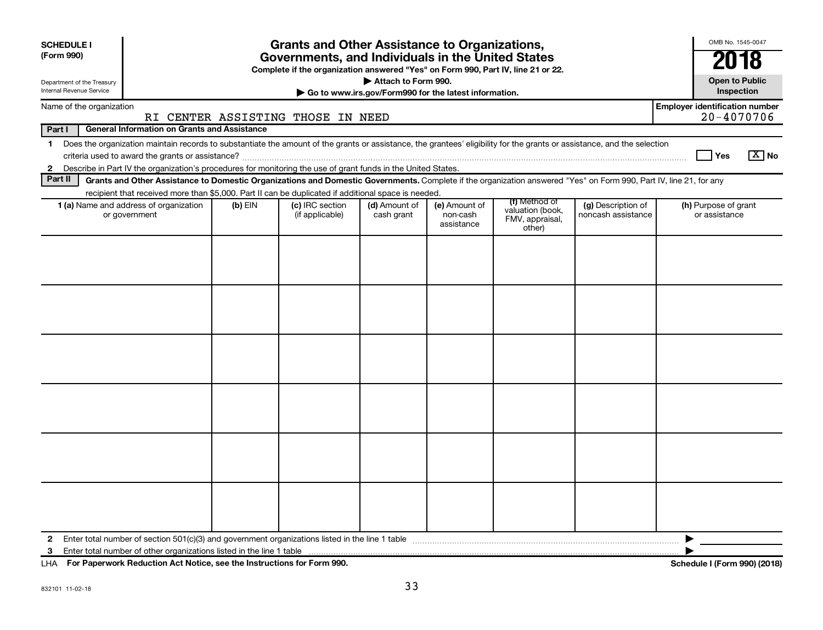| <b>SCHEDULE I</b>                                                                                                                                                                       |                                                                                                                                       | <b>Grants and Other Assistance to Organizations,</b> |                                                       |                                         |                                               |                                          | OMB No. 1545-0047                                   |
|-----------------------------------------------------------------------------------------------------------------------------------------------------------------------------------------|---------------------------------------------------------------------------------------------------------------------------------------|------------------------------------------------------|-------------------------------------------------------|-----------------------------------------|-----------------------------------------------|------------------------------------------|-----------------------------------------------------|
| (Form 990)                                                                                                                                                                              | Governments, and Individuals in the United States<br>Complete if the organization answered "Yes" on Form 990, Part IV, line 21 or 22. |                                                      |                                                       |                                         |                                               |                                          |                                                     |
| Department of the Treasury                                                                                                                                                              | Attach to Form 990.                                                                                                                   |                                                      |                                                       |                                         |                                               |                                          |                                                     |
| <b>Internal Revenue Service</b>                                                                                                                                                         |                                                                                                                                       |                                                      | Go to www.irs.gov/Form990 for the latest information. |                                         |                                               |                                          | Inspection                                          |
| Name of the organization                                                                                                                                                                |                                                                                                                                       | RI CENTER ASSISTING THOSE IN NEED                    |                                                       |                                         |                                               |                                          | <b>Employer identification number</b><br>20-4070706 |
| Part I<br><b>General Information on Grants and Assistance</b>                                                                                                                           |                                                                                                                                       |                                                      |                                                       |                                         |                                               |                                          |                                                     |
| Does the organization maintain records to substantiate the amount of the grants or assistance, the grantees' eligibility for the grants or assistance, and the selection<br>$\mathbf 1$ |                                                                                                                                       |                                                      |                                                       |                                         |                                               |                                          |                                                     |
|                                                                                                                                                                                         |                                                                                                                                       |                                                      |                                                       |                                         |                                               |                                          | $\boxed{\text{X}}$ No<br><b>Yes</b>                 |
| Describe in Part IV the organization's procedures for monitoring the use of grant funds in the United States.<br>$\mathbf{2}$                                                           |                                                                                                                                       |                                                      |                                                       |                                         |                                               |                                          |                                                     |
| Part II<br>Grants and Other Assistance to Domestic Organizations and Domestic Governments. Complete if the organization answered "Yes" on Form 990, Part IV, line 21, for any           |                                                                                                                                       |                                                      |                                                       |                                         |                                               |                                          |                                                     |
| recipient that received more than \$5,000. Part II can be duplicated if additional space is needed.                                                                                     |                                                                                                                                       |                                                      |                                                       |                                         | (f) Method of                                 |                                          |                                                     |
| 1 (a) Name and address of organization<br>or government                                                                                                                                 | $(b)$ EIN                                                                                                                             | (c) IRC section<br>(if applicable)                   | (d) Amount of<br>cash grant                           | (e) Amount of<br>non-cash<br>assistance | valuation (book,<br>FMV, appraisal,<br>other) | (g) Description of<br>noncash assistance | (h) Purpose of grant<br>or assistance               |
|                                                                                                                                                                                         |                                                                                                                                       |                                                      |                                                       |                                         |                                               |                                          |                                                     |
|                                                                                                                                                                                         |                                                                                                                                       |                                                      |                                                       |                                         |                                               |                                          |                                                     |
|                                                                                                                                                                                         |                                                                                                                                       |                                                      |                                                       |                                         |                                               |                                          |                                                     |
|                                                                                                                                                                                         |                                                                                                                                       |                                                      |                                                       |                                         |                                               |                                          |                                                     |
|                                                                                                                                                                                         |                                                                                                                                       |                                                      |                                                       |                                         |                                               |                                          |                                                     |
| $\mathbf{2}$<br>3                                                                                                                                                                       |                                                                                                                                       |                                                      |                                                       |                                         |                                               |                                          |                                                     |

**For Paperwork Reduction Act Notice, see the Instructions for Form 990. Schedule I (Form 990) (2018)** LHA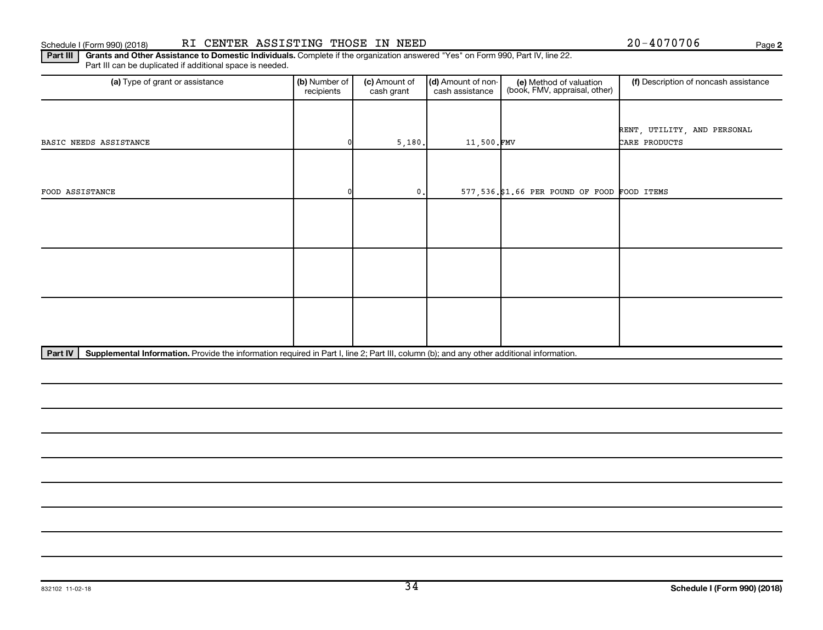#### Schedule I (Form 990) (2018) RI CENTER ASSISTING THOSE IN NEED 20-4070706 Page

**2**

Part III | Grants and Other Assistance to Domestic Individuals. Complete if the organization answered "Yes" on Form 990, Part IV, line 22. Part III can be duplicated if additional space is needed.

| (a) Type of grant or assistance                                                                                                                      | (b) Number of<br>recipients | (c) Amount of<br>cash grant | (d) Amount of non-<br>cash assistance | (e) Method of valuation<br>(book, FMV, appraisal, other) | (f) Description of noncash assistance |
|------------------------------------------------------------------------------------------------------------------------------------------------------|-----------------------------|-----------------------------|---------------------------------------|----------------------------------------------------------|---------------------------------------|
|                                                                                                                                                      |                             |                             |                                       |                                                          |                                       |
|                                                                                                                                                      |                             |                             |                                       |                                                          | RENT, UTILITY, AND PERSONAL           |
| BASIC NEEDS ASSISTANCE                                                                                                                               |                             | 5,180.                      | 11,500.FMV                            |                                                          | CARE PRODUCTS                         |
|                                                                                                                                                      |                             |                             |                                       |                                                          |                                       |
|                                                                                                                                                      |                             |                             |                                       |                                                          |                                       |
| FOOD ASSISTANCE                                                                                                                                      |                             | $\mathbf{0}$ .              |                                       | 577,536.\$1.66 PER POUND OF FOOD FOOD ITEMS              |                                       |
|                                                                                                                                                      |                             |                             |                                       |                                                          |                                       |
|                                                                                                                                                      |                             |                             |                                       |                                                          |                                       |
|                                                                                                                                                      |                             |                             |                                       |                                                          |                                       |
|                                                                                                                                                      |                             |                             |                                       |                                                          |                                       |
|                                                                                                                                                      |                             |                             |                                       |                                                          |                                       |
|                                                                                                                                                      |                             |                             |                                       |                                                          |                                       |
|                                                                                                                                                      |                             |                             |                                       |                                                          |                                       |
|                                                                                                                                                      |                             |                             |                                       |                                                          |                                       |
|                                                                                                                                                      |                             |                             |                                       |                                                          |                                       |
| Part IV<br>Supplemental Information. Provide the information required in Part I, line 2; Part III, column (b); and any other additional information. |                             |                             |                                       |                                                          |                                       |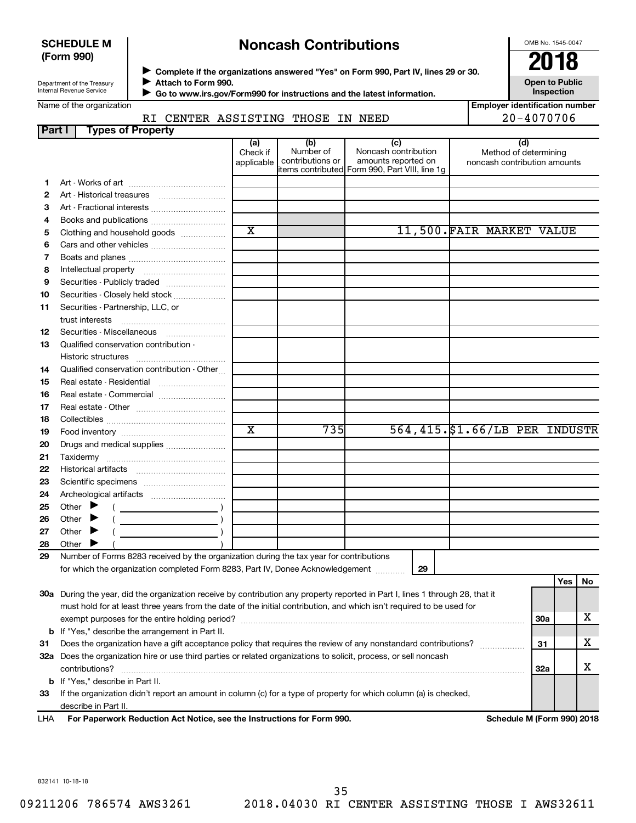#### **SCHEDULE M (Form 990)**

## **Noncash Contributions**

OMB No. 1545-0047

| Department of the Treasury |
|----------------------------|
| Internal Revenue Service   |

◆ Complete if the organizations answered "Yes" on Form 990, Part IV, lines 29 or 30.<br>▶ Complete if the organizations answered "Yes" on Form 990, Part IV, lines 29 or 30. **Attach to Form 990.**  $\blacktriangleright$ 

**Open to Public Inspection**

 **Go to www.irs.gov/Form990 for instructions and the latest information.**

 $\blacktriangleright$ 

RI CENTER ASSISTING THOSE IN NEED

| <b>Employer identification number</b> |
|---------------------------------------|
| $20 - 4070706$                        |

| Part I | <b>Types of Property</b>                                                                                                       |                               |                                      |                                                                                                      |                                                              |     |     |    |
|--------|--------------------------------------------------------------------------------------------------------------------------------|-------------------------------|--------------------------------------|------------------------------------------------------------------------------------------------------|--------------------------------------------------------------|-----|-----|----|
|        |                                                                                                                                | (a)<br>Check if<br>applicable | (b)<br>Number of<br>contributions or | (c)<br>Noncash contribution<br>amounts reported on<br>items contributed Form 990, Part VIII, line 1g | (d)<br>Method of determining<br>noncash contribution amounts |     |     |    |
| 1      |                                                                                                                                |                               |                                      |                                                                                                      |                                                              |     |     |    |
| 2      |                                                                                                                                |                               |                                      |                                                                                                      |                                                              |     |     |    |
| 3      | Art - Fractional interests                                                                                                     |                               |                                      |                                                                                                      |                                                              |     |     |    |
| 4      |                                                                                                                                |                               |                                      |                                                                                                      |                                                              |     |     |    |
| 5      | Clothing and household goods                                                                                                   | $\overline{\text{x}}$         |                                      |                                                                                                      | 11,500. FAIR MARKET VALUE                                    |     |     |    |
| 6      |                                                                                                                                |                               |                                      |                                                                                                      |                                                              |     |     |    |
| 7      |                                                                                                                                |                               |                                      |                                                                                                      |                                                              |     |     |    |
| 8      |                                                                                                                                |                               |                                      |                                                                                                      |                                                              |     |     |    |
| 9      | Securities - Publicly traded                                                                                                   |                               |                                      |                                                                                                      |                                                              |     |     |    |
| 10     | Securities - Closely held stock                                                                                                |                               |                                      |                                                                                                      |                                                              |     |     |    |
| 11     | Securities - Partnership, LLC, or                                                                                              |                               |                                      |                                                                                                      |                                                              |     |     |    |
| 12     | Securities - Miscellaneous                                                                                                     |                               |                                      |                                                                                                      |                                                              |     |     |    |
| 13     | Qualified conservation contribution -                                                                                          |                               |                                      |                                                                                                      |                                                              |     |     |    |
|        |                                                                                                                                |                               |                                      |                                                                                                      |                                                              |     |     |    |
| 14     | Qualified conservation contribution - Other                                                                                    |                               |                                      |                                                                                                      |                                                              |     |     |    |
| 15     | Real estate - Residential                                                                                                      |                               |                                      |                                                                                                      |                                                              |     |     |    |
| 16     | Real estate - Commercial                                                                                                       |                               |                                      |                                                                                                      |                                                              |     |     |    |
| 17     |                                                                                                                                |                               |                                      |                                                                                                      |                                                              |     |     |    |
| 18     |                                                                                                                                |                               |                                      |                                                                                                      |                                                              |     |     |    |
| 19     |                                                                                                                                | $\overline{\textbf{x}}$       | 735                                  |                                                                                                      | 564,415.\$1.66/LB PER INDUSTR                                |     |     |    |
| 20     | Drugs and medical supplies                                                                                                     |                               |                                      |                                                                                                      |                                                              |     |     |    |
| 21     |                                                                                                                                |                               |                                      |                                                                                                      |                                                              |     |     |    |
| 22     |                                                                                                                                |                               |                                      |                                                                                                      |                                                              |     |     |    |
| 23     |                                                                                                                                |                               |                                      |                                                                                                      |                                                              |     |     |    |
| 24     |                                                                                                                                |                               |                                      |                                                                                                      |                                                              |     |     |    |
| 25     | Other $\blacktriangleright$                                                                                                    |                               |                                      |                                                                                                      |                                                              |     |     |    |
| 26     | Other $\blacktriangleright$                                                                                                    |                               |                                      |                                                                                                      |                                                              |     |     |    |
| 27     | Other $\blacktriangleright$                                                                                                    |                               |                                      |                                                                                                      |                                                              |     |     |    |
| 28     | Other I                                                                                                                        |                               |                                      |                                                                                                      |                                                              |     |     |    |
| 29     | Number of Forms 8283 received by the organization during the tax year for contributions                                        |                               |                                      |                                                                                                      |                                                              |     |     |    |
|        | for which the organization completed Form 8283, Part IV, Donee Acknowledgement [1111]                                          |                               |                                      | 29                                                                                                   |                                                              |     |     |    |
|        |                                                                                                                                |                               |                                      |                                                                                                      |                                                              |     | Yes | No |
|        | 30a During the year, did the organization receive by contribution any property reported in Part I, lines 1 through 28, that it |                               |                                      |                                                                                                      |                                                              |     |     |    |
|        | must hold for at least three years from the date of the initial contribution, and which isn't required to be used for          |                               |                                      |                                                                                                      |                                                              |     |     |    |
|        |                                                                                                                                |                               |                                      |                                                                                                      |                                                              | 30a |     | x  |
|        | <b>b</b> If "Yes," describe the arrangement in Part II.                                                                        |                               |                                      |                                                                                                      |                                                              |     |     |    |
| 31     | Does the organization have a gift acceptance policy that requires the review of any nonstandard contributions?                 |                               |                                      |                                                                                                      |                                                              | 31  |     | x  |
|        | 32a Does the organization hire or use third parties or related organizations to solicit, process, or sell noncash              |                               |                                      |                                                                                                      |                                                              |     |     |    |
|        | contributions?                                                                                                                 |                               |                                      |                                                                                                      |                                                              | 32a |     | х  |
|        | <b>b</b> If "Yes," describe in Part II.                                                                                        |                               |                                      |                                                                                                      |                                                              |     |     |    |
| 33     | If the organization didn't report an amount in column (c) for a type of property for which column (a) is checked,              |                               |                                      |                                                                                                      |                                                              |     |     |    |

describe in Part II.

**For Paperwork Reduction Act Notice, see the Instructions for Form 990. Schedule M (Form 990) 2018** LHA

832141 10-18-18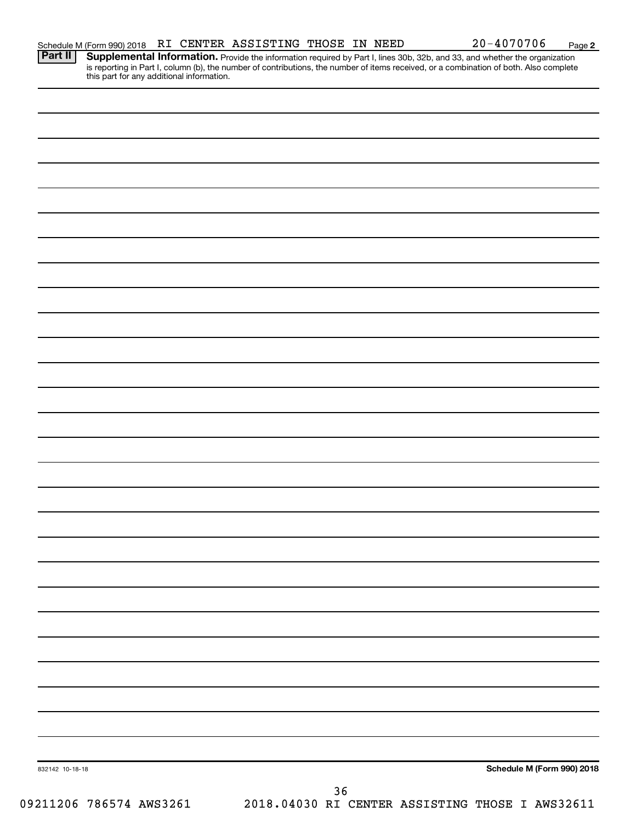**2**

Provide the information required by Part I, lines 30b, 32b, and 33, and whether the organization is reporting in Part I, column (b), the number of contributions, the number of items received, or a combination of both. Also complete this part for any additional information. **Part II Supplemental Information.** 

| 832142 10-18-18 |  | Schedule M (Form 990) 2018 |
|-----------------|--|----------------------------|
|                 |  |                            |

09211206 786574 AWS3261 2018.04030 RI CENTER ASSISTING THOSE I AWS32611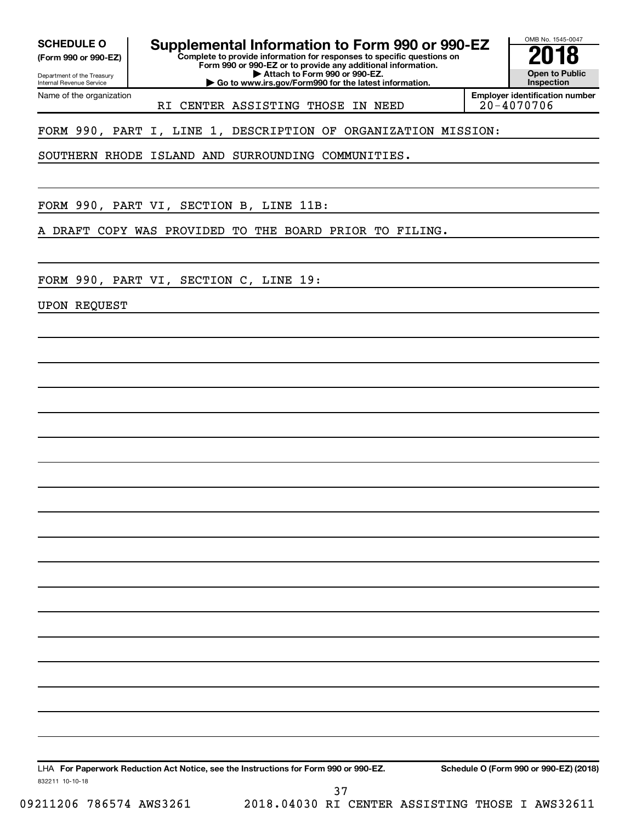Department of the Treasury **(Form 990 or 990-EZ)**

Name of the organization

Internal Revenue Service

**Complete to provide information for responses to specific questions on** SCHEDULE O **Supplemental Information to Form 990 or 990-EZ 2018**<br>(Form 990 or 990-EZ) **2018** 

**Form 990 or 990-EZ or to provide any additional information. | Attach to Form 990 or 990-EZ.**

**| Go to www.irs.gov/Form990 for the latest information.**

OMB No. 1545-0047 **Open to Public Inspection**

RI CENTER ASSISTING THOSE IN NEED

**Employer identification number**

FORM 990, PART I, LINE 1, DESCRIPTION OF ORGANIZATION MISSION:

SOUTHERN RHODE ISLAND AND SURROUNDING COMMUNITIES.

FORM 990, PART VI, SECTION B, LINE 11B:

A DRAFT COPY WAS PROVIDED TO THE BOARD PRIOR TO FILING.

FORM 990, PART VI, SECTION C, LINE 19:

UPON REQUEST

LHA For Paperwork Reduction Act Notice, see the Instructions for Form 990 or 990-EZ. Schedule O (Form 990 or 990-EZ) (2018)

832211 10-10-18

09211206 786574 AWS3261 2018.04030 RI CENTER ASSISTING THOSE I AWS32611 37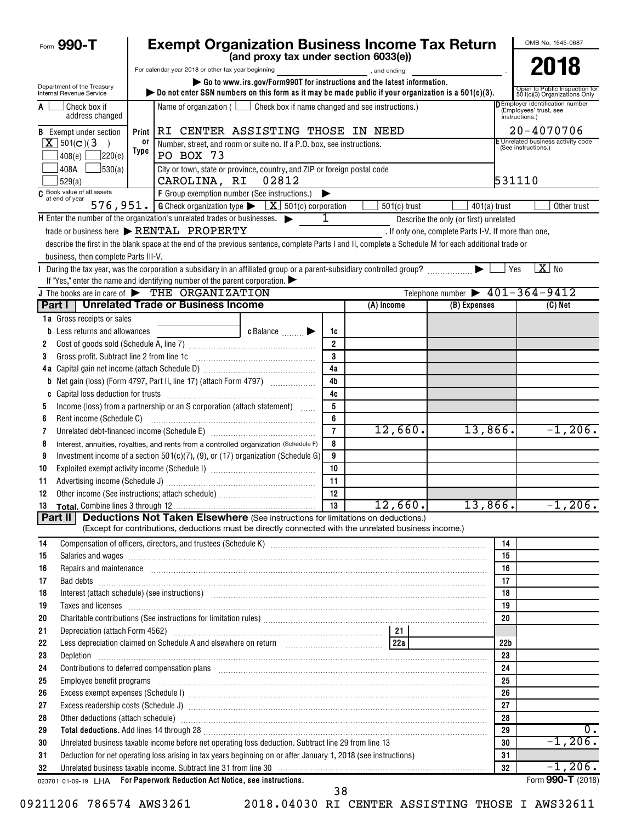| Form 990-T                                                                |            | <b>Exempt Organization Business Income Tax Return</b>                                                                                                                                                                                        |                                       |                                                                  |                                                                         |                                                      |                       | OMB No. 1545-0687                                             |
|---------------------------------------------------------------------------|------------|----------------------------------------------------------------------------------------------------------------------------------------------------------------------------------------------------------------------------------------------|---------------------------------------|------------------------------------------------------------------|-------------------------------------------------------------------------|------------------------------------------------------|-----------------------|---------------------------------------------------------------|
|                                                                           |            |                                                                                                                                                                                                                                              | (and proxy tax under section 6033(e)) |                                                                  |                                                                         |                                                      |                       |                                                               |
|                                                                           |            | For calendar year 2018 or other tax year beginning                                                                                                                                                                                           |                                       |                                                                  | and ending, and ending                                                  |                                                      |                       | 2018                                                          |
| Department of the Treasury<br>Internal Revenue Service                    |            | bo not enter SSN numbers on this form as it may be made public if your organization is a $501(c)(3)$ .                                                                                                                                       |                                       |                                                                  | Go to www.irs.gov/Form990T for instructions and the latest information. |                                                      |                       | Open to Public Inspection for<br>501(c)(3) Organizations Only |
| Check box if<br>address changed                                           |            | Name of organization ( $\Box$ Check box if name changed and see instructions.)                                                                                                                                                               | instructions.)                        | <b>DEmployer identification number</b><br>(Employees' trust, see |                                                                         |                                                      |                       |                                                               |
| <b>B</b> Exempt under section                                             | Print      | RI CENTER ASSISTING THOSE IN NEED                                                                                                                                                                                                            |                                       |                                                                  |                                                                         |                                                      |                       | 20-4070706                                                    |
| $X$ 501(c)(3)<br>$\rightarrow$                                            | 0ľ<br>Type | Number, street, and room or suite no. If a P.O. box, see instructions.                                                                                                                                                                       |                                       |                                                                  |                                                                         |                                                      |                       | E Unrelated business activity code<br>(See instructions.)     |
| ]220(e)<br>408(e)                                                         |            | PO BOX 73                                                                                                                                                                                                                                    |                                       |                                                                  |                                                                         |                                                      |                       |                                                               |
| 408A<br>J530(a)<br>529(a)                                                 |            | City or town, state or province, country, and ZIP or foreign postal code<br>CAROLINA, RI                                                                                                                                                     | 02812                                 |                                                                  |                                                                         |                                                      | 531110                |                                                               |
| $\overline{C}$ Book value of all assets<br>at end of year $\overline{C}$  |            | F Group exemption number (See instructions.)                                                                                                                                                                                                 |                                       |                                                                  |                                                                         |                                                      |                       |                                                               |
| 576, 951.                                                                 |            | <b>G</b> Check organization type $\blacktriangleright$ $\boxed{\mathbf{X}}$ 501(c) corporation                                                                                                                                               |                                       |                                                                  | $501(c)$ trust                                                          | $401(a)$ trust                                       |                       | Other trust                                                   |
| H Enter the number of the organization's unrelated trades or businesses.  |            |                                                                                                                                                                                                                                              |                                       | 1                                                                |                                                                         | Describe the only (or first) unrelated               |                       |                                                               |
|                                                                           |            | trade or business here > RENTAL PROPERTY                                                                                                                                                                                                     |                                       |                                                                  |                                                                         | . If only one, complete Parts I-V. If more than one, |                       |                                                               |
|                                                                           |            | describe the first in the blank space at the end of the previous sentence, complete Parts I and II, complete a Schedule M for each additional trade or                                                                                       |                                       |                                                                  |                                                                         |                                                      |                       |                                                               |
| business, then complete Parts III-V.                                      |            |                                                                                                                                                                                                                                              |                                       |                                                                  |                                                                         |                                                      | Yes                   | $X$ No                                                        |
|                                                                           |            | If "Yes," enter the name and identifying number of the parent corporation.                                                                                                                                                                   |                                       |                                                                  |                                                                         |                                                      |                       |                                                               |
| J The books are in care of $\triangleright$ THE ORGANIZATION              |            |                                                                                                                                                                                                                                              |                                       |                                                                  |                                                                         | Telephone number $\triangleright$ 401-364-9412       |                       |                                                               |
|                                                                           |            | Part I   Unrelated Trade or Business Income                                                                                                                                                                                                  |                                       |                                                                  | (A) Income                                                              | (B) Expenses                                         |                       | (C) Net                                                       |
| <b>1a</b> Gross receipts or sales                                         |            |                                                                                                                                                                                                                                              |                                       |                                                                  |                                                                         |                                                      |                       |                                                               |
| Less returns and allowances<br>b                                          |            |                                                                                                                                                                                                                                              | c Balance                             | 1c                                                               |                                                                         |                                                      |                       |                                                               |
| 2                                                                         |            |                                                                                                                                                                                                                                              |                                       | $\overline{2}$                                                   |                                                                         |                                                      |                       |                                                               |
| Gross profit. Subtract line 2 from line 1c<br>3                           |            |                                                                                                                                                                                                                                              |                                       | 3                                                                |                                                                         |                                                      |                       |                                                               |
|                                                                           |            |                                                                                                                                                                                                                                              |                                       | 4a                                                               |                                                                         |                                                      |                       |                                                               |
|                                                                           |            | <b>b</b> Net gain (loss) (Form 4797, Part II, line 17) (attach Form 4797)                                                                                                                                                                    |                                       | 4 <sub>b</sub>                                                   |                                                                         |                                                      |                       |                                                               |
|                                                                           |            |                                                                                                                                                                                                                                              |                                       | 4c                                                               |                                                                         |                                                      |                       |                                                               |
| 5                                                                         |            | Income (loss) from a partnership or an S corporation (attach statement)                                                                                                                                                                      |                                       | 5                                                                |                                                                         |                                                      |                       |                                                               |
| Rent income (Schedule C)<br>6                                             |            |                                                                                                                                                                                                                                              |                                       | 6                                                                |                                                                         |                                                      |                       |                                                               |
| 7                                                                         |            |                                                                                                                                                                                                                                              |                                       | $\overline{7}$                                                   | 12,660.                                                                 | 13,866.                                              |                       | $-1, 206.$                                                    |
| 8                                                                         |            | Interest, annuities, royalties, and rents from a controlled organization (Schedule F)                                                                                                                                                        |                                       | 8<br>9                                                           |                                                                         |                                                      |                       |                                                               |
| 9<br>10                                                                   |            | Investment income of a section $501(c)(7)$ , (9), or (17) organization (Schedule G)                                                                                                                                                          |                                       | 10                                                               |                                                                         |                                                      |                       |                                                               |
| 11                                                                        |            |                                                                                                                                                                                                                                              |                                       | 11                                                               |                                                                         |                                                      |                       |                                                               |
| Other income (See instructions; attach schedule)<br>12                    |            |                                                                                                                                                                                                                                              |                                       | 12                                                               |                                                                         |                                                      |                       |                                                               |
|                                                                           |            |                                                                                                                                                                                                                                              |                                       | 13                                                               | 12,660.                                                                 | 13,866.                                              |                       | $-1, 206.$                                                    |
| Part II                                                                   |            | <b>Deductions Not Taken Elsewhere</b> (See instructions for limitations on deductions.)                                                                                                                                                      |                                       |                                                                  |                                                                         |                                                      |                       |                                                               |
|                                                                           |            | (Except for contributions, deductions must be directly connected with the unrelated business income.)                                                                                                                                        |                                       |                                                                  |                                                                         |                                                      |                       |                                                               |
| 14                                                                        |            |                                                                                                                                                                                                                                              |                                       |                                                                  |                                                                         |                                                      | 14                    |                                                               |
| 15                                                                        |            | Salaries and wages <b>construction and construction of the construction</b> and wages <b>construction</b> and wages <b>construction and construction</b> and construction of the construction of the construction of the construction of the |                                       |                                                                  |                                                                         |                                                      | 15                    |                                                               |
| 16                                                                        |            | Repairs and maintenance <i>[1] [1] [1] [1] [1] [1] [1] [1] [1] [1]</i> [1] <b>[1]</b> [1] <b>[1]</b> [1] <b>[1] [1] [1] [1] [1] [1] [1] [1] [1] [1] [1] [1] [1] [1] [1] [1] [1] [1] [1] [1] [1] [1]</b>                                      |                                       |                                                                  |                                                                         |                                                      | 16                    |                                                               |
| 17                                                                        |            | Bad debts <b>www.communities.communities.communities.com</b>                                                                                                                                                                                 |                                       |                                                                  |                                                                         |                                                      | 17                    |                                                               |
| 18                                                                        |            | Interest (attach schedule) (see instructions) www.communications.communications are interest (attach schedule)                                                                                                                               |                                       |                                                                  |                                                                         |                                                      | 18                    |                                                               |
| 19                                                                        |            | Taxes and licenses <b>construently and construently and construently and construently and licenses construently and licenses</b>                                                                                                             |                                       |                                                                  |                                                                         |                                                      | 19                    |                                                               |
| 20                                                                        |            |                                                                                                                                                                                                                                              |                                       |                                                                  |                                                                         |                                                      | 20                    |                                                               |
| 21                                                                        |            |                                                                                                                                                                                                                                              |                                       |                                                                  |                                                                         |                                                      |                       |                                                               |
| 22<br>23<br>Depletion                                                     |            |                                                                                                                                                                                                                                              |                                       |                                                                  |                                                                         |                                                      | 22 <sub>b</sub><br>23 |                                                               |
| 24                                                                        |            | Contributions to deferred compensation plans [11] manufactured and manufactured contributions to deferred compensation plans                                                                                                                 |                                       |                                                                  |                                                                         |                                                      | 24                    |                                                               |
| 25                                                                        |            | Employee benefit programs with an accommodation of the contract of the contract of the contract of the contract of the contract of the contract of the contract of the contract of the contract of the contract of the contrac               |                                       |                                                                  |                                                                         |                                                      | 25                    |                                                               |
| 26                                                                        |            |                                                                                                                                                                                                                                              |                                       |                                                                  |                                                                         |                                                      | 26                    |                                                               |
| 27                                                                        |            |                                                                                                                                                                                                                                              |                                       |                                                                  |                                                                         |                                                      | 27                    |                                                               |
| 28                                                                        |            | Other deductions (attach schedule) manufactured and according to the schedule of the schedule of the schedule                                                                                                                                |                                       |                                                                  |                                                                         |                                                      | 28                    |                                                               |
| 29                                                                        |            |                                                                                                                                                                                                                                              |                                       |                                                                  |                                                                         |                                                      | 29                    | $0$ .                                                         |
| 30                                                                        |            | Unrelated business taxable income before net operating loss deduction. Subtract line 29 from line 13                                                                                                                                         |                                       |                                                                  |                                                                         |                                                      | 30                    | $-1, 206.$                                                    |
| 31                                                                        |            | Deduction for net operating loss arising in tax years beginning on or after January 1, 2018 (see instructions)                                                                                                                               |                                       |                                                                  |                                                                         |                                                      | 31                    |                                                               |
| 32                                                                        |            | Unrelated business taxable income. Subtract line 31 from line 30 manufactured contained and contained and sub-                                                                                                                               |                                       |                                                                  |                                                                         |                                                      | 32                    | $-1, 206.$                                                    |
| 823701 01-09-19 LHA For Paperwork Reduction Act Notice, see instructions. |            |                                                                                                                                                                                                                                              |                                       |                                                                  |                                                                         |                                                      |                       | Form 990-T (2018)                                             |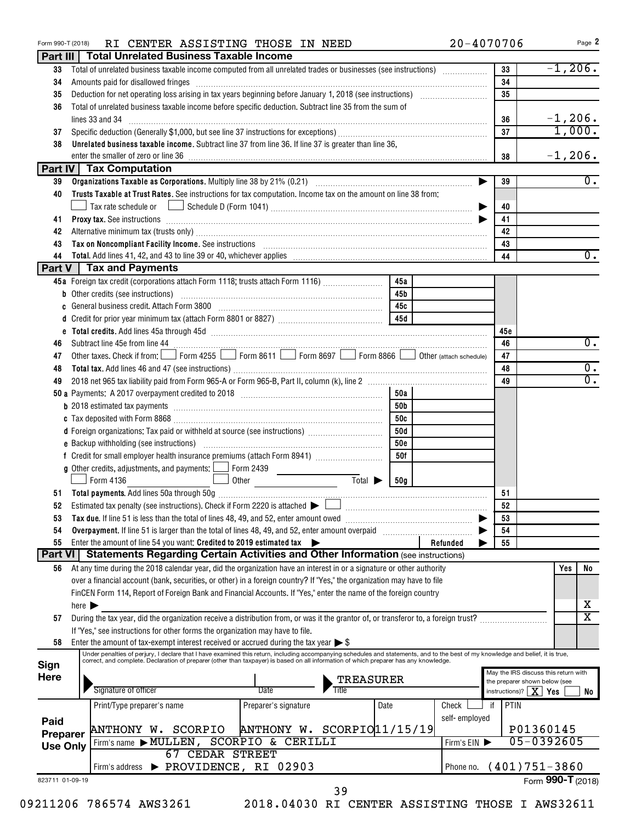| Part III        |                            | <b>Total Unrelated Business Taxable Income</b>                                                                                                                                                                                 |                             |                        |            |               |     |                                                                       |     |                       |  |  |
|-----------------|----------------------------|--------------------------------------------------------------------------------------------------------------------------------------------------------------------------------------------------------------------------------|-----------------------------|------------------------|------------|---------------|-----|-----------------------------------------------------------------------|-----|-----------------------|--|--|
| 33              |                            | $-1,206.$<br>Total of unrelated business taxable income computed from all unrelated trades or businesses (see instructions)<br>33                                                                                              |                             |                        |            |               |     |                                                                       |     |                       |  |  |
| 34              |                            | Amounts paid for disallowed fringes [11] Amount and the contract of the final state of the state of the state of the state of the state of the state of the state of the state of the state of the state of the state of the s |                             | 34                     |            |               |     |                                                                       |     |                       |  |  |
| 35              |                            |                                                                                                                                                                                                                                |                             |                        |            |               |     | 35                                                                    |     |                       |  |  |
| 36              |                            | Total of unrelated business taxable income before specific deduction. Subtract line 35 from the sum of                                                                                                                         |                             |                        |            |               |     |                                                                       |     |                       |  |  |
|                 |                            | lines 33 and 34                                                                                                                                                                                                                |                             | 36                     | $-1, 206.$ |               |     |                                                                       |     |                       |  |  |
| 37              |                            |                                                                                                                                                                                                                                |                             | 37                     | 1,000.     |               |     |                                                                       |     |                       |  |  |
| 38              |                            | Unrelated business taxable income. Subtract line 37 from line 36. If line 37 is greater than line 36,                                                                                                                          |                             |                        |            |               |     |                                                                       |     |                       |  |  |
|                 | $-1, 206.$<br>38           |                                                                                                                                                                                                                                |                             |                        |            |               |     |                                                                       |     |                       |  |  |
|                 |                            | <b>Part IV Tax Computation</b>                                                                                                                                                                                                 |                             |                        |            |               |     |                                                                       |     |                       |  |  |
| 39              |                            |                                                                                                                                                                                                                                |                             |                        |            |               |     | 39                                                                    |     | $\overline{0}$ .      |  |  |
| 40              |                            | Trusts Taxable at Trust Rates. See instructions for tax computation. Income tax on the amount on line 38 from:                                                                                                                 |                             |                        |            |               |     |                                                                       |     |                       |  |  |
|                 |                            |                                                                                                                                                                                                                                |                             |                        |            |               |     | 40                                                                    |     |                       |  |  |
| 41              |                            |                                                                                                                                                                                                                                |                             |                        |            |               |     | 41                                                                    |     |                       |  |  |
| 42              |                            | Alternative minimum tax (trusts only) [11] Alternative manufacture minimum and the minimum and the minimum and the minimum and the minimum and the minimum and the minimum and the minimum and the minimum and the minimum and |                             |                        |            |               |     | 42                                                                    |     |                       |  |  |
| 43              |                            | Tax on Noncompliant Facility Income. See instructions [11] Martin Matter and Martin Matter and Martin Matter and Ma                                                                                                            |                             |                        |            |               |     | 43                                                                    |     |                       |  |  |
| 44              |                            | Total. Add lines 41, 42, and 43 to line 39 or 40, whichever applies [11, 12] matches and the set of the set of the set of the set of the set of the set of the set of the set of the set of the set of the set of the set of t |                             |                        |            |               |     | 44                                                                    |     | $\overline{0}$ .      |  |  |
|                 |                            | <b>Part V</b> Tax and Payments                                                                                                                                                                                                 |                             |                        |            |               |     |                                                                       |     |                       |  |  |
|                 |                            | 45a Foreign tax credit (corporations attach Form 1118; trusts attach Form 1116)                                                                                                                                                |                             |                        | 45a        |               |     |                                                                       |     |                       |  |  |
|                 |                            | <b>b</b> Other credits (see instructions)                                                                                                                                                                                      |                             |                        | 45b        |               |     |                                                                       |     |                       |  |  |
| c               |                            |                                                                                                                                                                                                                                |                             |                        | 45с        |               |     |                                                                       |     |                       |  |  |
| d               |                            |                                                                                                                                                                                                                                |                             |                        | 45d        |               |     |                                                                       |     |                       |  |  |
|                 |                            |                                                                                                                                                                                                                                |                             |                        |            |               |     | 45c                                                                   |     |                       |  |  |
| 46              |                            | Subtract line 45e from line 44                                                                                                                                                                                                 |                             |                        |            |               |     | 46                                                                    |     | $\overline{0}$ .      |  |  |
| 47              |                            | Other taxes. Check if from: Form 4255 Form 8611 Form 8697 Form 8866 Obther (attach schedule)                                                                                                                                   |                             |                        |            |               |     | 47                                                                    |     |                       |  |  |
| 48              |                            |                                                                                                                                                                                                                                |                             |                        |            |               |     | 48                                                                    |     | $\overline{0}$ .      |  |  |
| 49              |                            |                                                                                                                                                                                                                                |                             |                        |            |               |     | 49                                                                    |     | $\overline{0}$ .      |  |  |
|                 |                            |                                                                                                                                                                                                                                |                             |                        | 50a        |               |     |                                                                       |     |                       |  |  |
|                 |                            |                                                                                                                                                                                                                                |                             |                        | 50b        |               |     |                                                                       |     |                       |  |  |
|                 |                            |                                                                                                                                                                                                                                |                             |                        | 50c        |               |     |                                                                       |     |                       |  |  |
|                 |                            | d Foreign organizations: Tax paid or withheld at source (see instructions)                                                                                                                                                     |                             |                        | 50d        |               |     |                                                                       |     |                       |  |  |
|                 |                            |                                                                                                                                                                                                                                |                             |                        | <b>50e</b> |               |     |                                                                       |     |                       |  |  |
|                 |                            |                                                                                                                                                                                                                                |                             |                        | 50f        |               |     |                                                                       |     |                       |  |  |
|                 |                            | g Other credits, adjustments, and payments: $\Box$ Form 2439                                                                                                                                                                   |                             |                        |            |               |     |                                                                       |     |                       |  |  |
|                 |                            | Form 4136                                                                                                                                                                                                                      |                             | $Total \triangleright$ | 50g        |               |     |                                                                       |     |                       |  |  |
| 51              |                            |                                                                                                                                                                                                                                |                             |                        |            |               |     | 51                                                                    |     |                       |  |  |
| 52              |                            | Estimated tax penalty (see instructions). Check if Form 2220 is attached $\blacktriangleright\lfloor\_\_\_\_\_\_\_\_\_\_\_\_\_\_\_\_\_\_\_\_\_\_\_\_\_\_$                                                                      |                             |                        |            |               |     | 52                                                                    |     |                       |  |  |
| 53              |                            | Tax due. If line 51 is less than the total of lines 48, 49, and 52, enter amount owed                                                                                                                                          |                             |                        |            |               |     | 53                                                                    |     |                       |  |  |
| 54              |                            | Overpayment. If line 51 is larger than the total of lines 48, 49, and 52, enter amount overpaid                                                                                                                                |                             |                        |            |               |     | 54                                                                    |     |                       |  |  |
| 55              |                            | Enter the amount of line 54 you want: Credited to 2019 estimated tax                                                                                                                                                           |                             |                        |            | Refunded      |     | 55                                                                    |     |                       |  |  |
| Part VI         |                            | <b>Statements Regarding Certain Activities and Other Information (see instructions)</b>                                                                                                                                        |                             |                        |            |               |     |                                                                       |     |                       |  |  |
| 56              |                            | At any time during the 2018 calendar year, did the organization have an interest in or a signature or other authority                                                                                                          |                             |                        |            |               |     |                                                                       | Yes | No                    |  |  |
|                 |                            | over a financial account (bank, securities, or other) in a foreign country? If "Yes," the organization may have to file                                                                                                        |                             |                        |            |               |     |                                                                       |     |                       |  |  |
|                 |                            | FinCEN Form 114, Report of Foreign Bank and Financial Accounts. If "Yes," enter the name of the foreign country                                                                                                                |                             |                        |            |               |     |                                                                       |     |                       |  |  |
|                 | here $\blacktriangleright$ |                                                                                                                                                                                                                                |                             |                        |            |               |     |                                                                       |     | х                     |  |  |
| 57              |                            | During the tax year, did the organization receive a distribution from, or was it the grantor of, or transferor to, a foreign trust?                                                                                            |                             |                        |            |               |     |                                                                       |     | $\overline{\text{x}}$ |  |  |
|                 |                            | If "Yes," see instructions for other forms the organization may have to file.                                                                                                                                                  |                             |                        |            |               |     |                                                                       |     |                       |  |  |
| 58              |                            | Enter the amount of tax-exempt interest received or accrued during the tax year $\triangleright$ \$                                                                                                                            |                             |                        |            |               |     |                                                                       |     |                       |  |  |
|                 |                            | Under penalties of perjury, I declare that I have examined this return, including accompanying schedules and statements, and to the best of my knowledge and belief, it is true,                                               |                             |                        |            |               |     |                                                                       |     |                       |  |  |
| Sign            |                            | correct, and complete. Declaration of preparer (other than taxpayer) is based on all information of which preparer has any knowledge.                                                                                          |                             |                        |            |               |     |                                                                       |     |                       |  |  |
| <b>Here</b>     |                            |                                                                                                                                                                                                                                |                             | TREASURER              |            |               |     | May the IRS discuss this return with<br>the preparer shown below (see |     |                       |  |  |
|                 |                            | Signature of officer                                                                                                                                                                                                           | Date                        | Title                  |            |               |     | ΧI<br>$instructions$ ?                                                | Yes | No                    |  |  |
|                 |                            | Print/Type preparer's name                                                                                                                                                                                                     | Preparer's signature        |                        | Date       | Check         | if. | PTIN                                                                  |     |                       |  |  |
| Paid            |                            |                                                                                                                                                                                                                                |                             |                        |            | self-employed |     |                                                                       |     |                       |  |  |
| Preparer        |                            | ANTHONY W. SCORPIO                                                                                                                                                                                                             | ANTHONY W. SCORPIO 11/15/19 |                        |            |               |     | P01360145                                                             |     |                       |  |  |
| <b>Use Only</b> |                            | Firm's name MULLEN, SCORPIO & CERILLI                                                                                                                                                                                          |                             |                        |            | Firm's EIN    |     | 05-0392605                                                            |     |                       |  |  |
|                 |                            | <b>67 CEDAR STREET</b>                                                                                                                                                                                                         |                             |                        |            |               |     |                                                                       |     |                       |  |  |
|                 |                            | Firm's address > PROVIDENCE, RI 02903                                                                                                                                                                                          |                             |                        |            | Phone no.     |     | $(401)751-3860$                                                       |     |                       |  |  |
| 823711 01-09-19 |                            |                                                                                                                                                                                                                                |                             |                        |            |               |     | Form 990-T (2018)                                                     |     |                       |  |  |

Form 990-T (2018)  $R$  **I** CENTER ASSISTING THOSE IN NEED  $20-4070706$  Page

39

<sup>1 2018.04030</sup> RI CENTER ASSISTING THOSE I AWS32611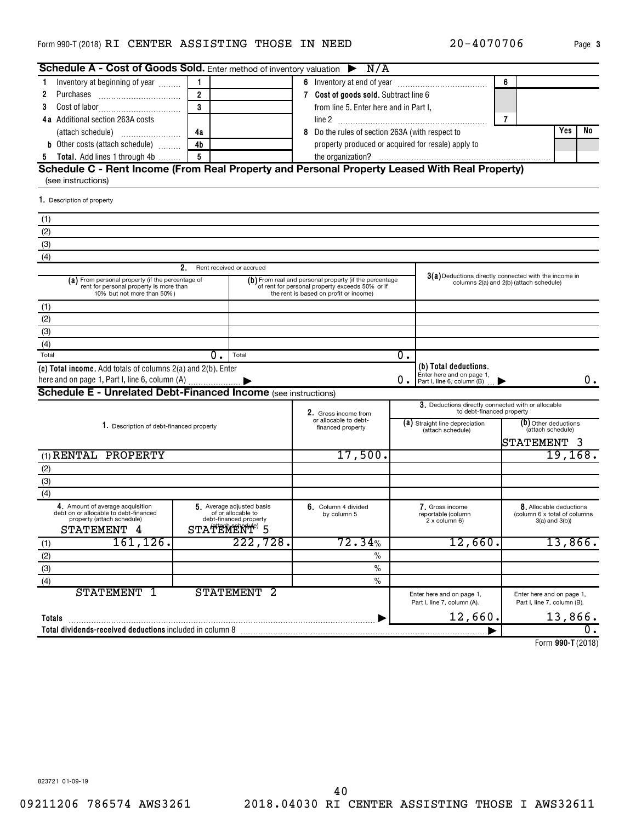#### <code>Form</code> 990-T (2018) <code>RI CENTER ASSISTING THOSE IN NEED</code>  $20-4070706$   $_{\text{Page}}$

| Schedule A - Cost of Goods Sold. Enter method of inventory valuation $\triangleright$ N/A                                 |                          |                                                                           |   |                                                                                                                                                       |    |                                                                                  |                |                                                                           |          |         |
|---------------------------------------------------------------------------------------------------------------------------|--------------------------|---------------------------------------------------------------------------|---|-------------------------------------------------------------------------------------------------------------------------------------------------------|----|----------------------------------------------------------------------------------|----------------|---------------------------------------------------------------------------|----------|---------|
| Inventory at beginning of year<br>1                                                                                       | $\mathbf{1}$             |                                                                           |   |                                                                                                                                                       |    |                                                                                  | 6              |                                                                           |          |         |
| 2                                                                                                                         | $\overline{2}$           |                                                                           |   | 7 Cost of goods sold. Subtract line 6                                                                                                                 |    |                                                                                  |                |                                                                           |          |         |
| 3                                                                                                                         | 3                        |                                                                           |   | from line 5. Enter here and in Part I,                                                                                                                |    |                                                                                  |                |                                                                           |          |         |
| <b>4a</b> Additional section 263A costs                                                                                   |                          |                                                                           |   |                                                                                                                                                       |    |                                                                                  | $\overline{7}$ |                                                                           |          |         |
|                                                                                                                           | 4a                       |                                                                           | 8 | Do the rules of section 263A (with respect to                                                                                                         |    | Yes                                                                              | No.            |                                                                           |          |         |
| <b>b</b> Other costs (attach schedule)                                                                                    | 4b                       |                                                                           |   | property produced or acquired for resale) apply to                                                                                                    |    |                                                                                  |                |                                                                           |          |         |
| 5 Total. Add lines 1 through 4b                                                                                           | 5                        |                                                                           |   |                                                                                                                                                       |    |                                                                                  |                |                                                                           |          |         |
| Schedule C - Rent Income (From Real Property and Personal Property Leased With Real Property)<br>(see instructions)       |                          |                                                                           |   |                                                                                                                                                       |    |                                                                                  |                |                                                                           |          |         |
| 1. Description of property                                                                                                |                          |                                                                           |   |                                                                                                                                                       |    |                                                                                  |                |                                                                           |          |         |
| (1)                                                                                                                       |                          |                                                                           |   |                                                                                                                                                       |    |                                                                                  |                |                                                                           |          |         |
| (2)                                                                                                                       |                          |                                                                           |   |                                                                                                                                                       |    |                                                                                  |                |                                                                           |          |         |
| (3)                                                                                                                       |                          |                                                                           |   |                                                                                                                                                       |    |                                                                                  |                |                                                                           |          |         |
| (4)                                                                                                                       |                          |                                                                           |   |                                                                                                                                                       |    |                                                                                  |                |                                                                           |          |         |
|                                                                                                                           | 2.                       | Rent received or accrued                                                  |   |                                                                                                                                                       |    |                                                                                  |                |                                                                           |          |         |
| (a) From personal property (if the percentage of<br>rent for personal property is more than<br>10% but not more than 50%) |                          |                                                                           |   | $(b)$ From real and personal property (if the percentage<br>of rent for personal property exceeds 50% or if<br>the rent is based on profit or income) |    | $3(a)$ Deductions directly connected with the income in                          |                | columns 2(a) and 2(b) (attach schedule)                                   |          |         |
| (1)                                                                                                                       |                          |                                                                           |   |                                                                                                                                                       |    |                                                                                  |                |                                                                           |          |         |
| (2)                                                                                                                       |                          |                                                                           |   |                                                                                                                                                       |    |                                                                                  |                |                                                                           |          |         |
| (3)                                                                                                                       |                          |                                                                           |   |                                                                                                                                                       |    |                                                                                  |                |                                                                           |          |         |
| (4)                                                                                                                       |                          |                                                                           |   |                                                                                                                                                       |    |                                                                                  |                |                                                                           |          |         |
| Total                                                                                                                     | 0.                       | Total                                                                     |   |                                                                                                                                                       | 0. |                                                                                  |                |                                                                           |          |         |
| (c) Total income. Add totals of columns 2(a) and 2(b). Enter                                                              |                          |                                                                           |   |                                                                                                                                                       | 0. | (b) Total deductions.<br>Enter here and on page 1,<br>Part I, line 6, column (B) |                |                                                                           |          | 0.      |
| <b>Schedule E - Unrelated Debt-Financed Income (see instructions)</b>                                                     |                          |                                                                           |   |                                                                                                                                                       |    |                                                                                  |                |                                                                           |          |         |
|                                                                                                                           |                          |                                                                           |   | 2. Gross income from                                                                                                                                  |    | 3. Deductions directly connected with or allocable<br>to debt-financed property  |                |                                                                           |          |         |
| 1. Description of debt-financed property                                                                                  |                          |                                                                           |   | or allocable to debt-                                                                                                                                 |    | (a) Straight line depreciation                                                   |                | (b) Other deductions                                                      |          |         |
|                                                                                                                           |                          |                                                                           |   | financed property                                                                                                                                     |    | (attach schedule)                                                                |                | (attach schedule)<br>STATEMENT 3                                          |          |         |
| (1) RENTAL PROPERTY                                                                                                       |                          |                                                                           |   | 17,500.                                                                                                                                               |    |                                                                                  |                |                                                                           | 19, 168. |         |
| (2)                                                                                                                       |                          |                                                                           |   |                                                                                                                                                       |    |                                                                                  |                |                                                                           |          |         |
| (3)                                                                                                                       |                          |                                                                           |   |                                                                                                                                                       |    |                                                                                  |                |                                                                           |          |         |
| (4)                                                                                                                       |                          |                                                                           |   |                                                                                                                                                       |    |                                                                                  |                |                                                                           |          |         |
| 4. Amount of average acquisition<br>debt on or allocable to debt-financed<br>property (attach schedule)<br>STATEMENT 4    | STATEMENT <sup>®</sup> 5 | 5. Average adjusted basis<br>of or allocable to<br>debt-financed property |   | 6. Column 4 divided<br>by column 5                                                                                                                    |    | 7. Gross income<br>reportable (column<br>2 x column 6)                           |                | 8. Allocable deductions<br>(column 6 x total of columns<br>3(a) and 3(b)) |          |         |
| $161, 126$ .                                                                                                              |                          | 222,728.                                                                  |   | 72.34%                                                                                                                                                |    | 12,660.                                                                          |                |                                                                           |          | 13,866. |
|                                                                                                                           |                          |                                                                           |   | $\%$                                                                                                                                                  |    |                                                                                  |                |                                                                           |          |         |
| $rac{(1)}{(2)}$<br>(3)<br>(4)                                                                                             |                          |                                                                           |   | $\%$                                                                                                                                                  |    |                                                                                  |                |                                                                           |          |         |
|                                                                                                                           |                          |                                                                           |   | $\%$                                                                                                                                                  |    |                                                                                  |                |                                                                           |          |         |
| <b>STATEMENT</b><br>-1                                                                                                    |                          | STATEMENT <sub>2</sub>                                                    |   |                                                                                                                                                       |    | Enter here and on page 1,<br>Part I, line 7, column (A).                         |                | Enter here and on page 1,<br>Part I, line 7, column (B).                  |          |         |
|                                                                                                                           |                          |                                                                           |   |                                                                                                                                                       |    |                                                                                  |                |                                                                           |          |         |
| Totals                                                                                                                    |                          |                                                                           |   |                                                                                                                                                       |    | 12,660.                                                                          |                |                                                                           |          | 13,866. |
| Total dividends-received deductions included in column 8                                                                  |                          |                                                                           |   |                                                                                                                                                       |    |                                                                                  |                |                                                                           |          | 0.      |

**990-T**  Form (2018)

823721 01-09-19

20-4070706 Page 3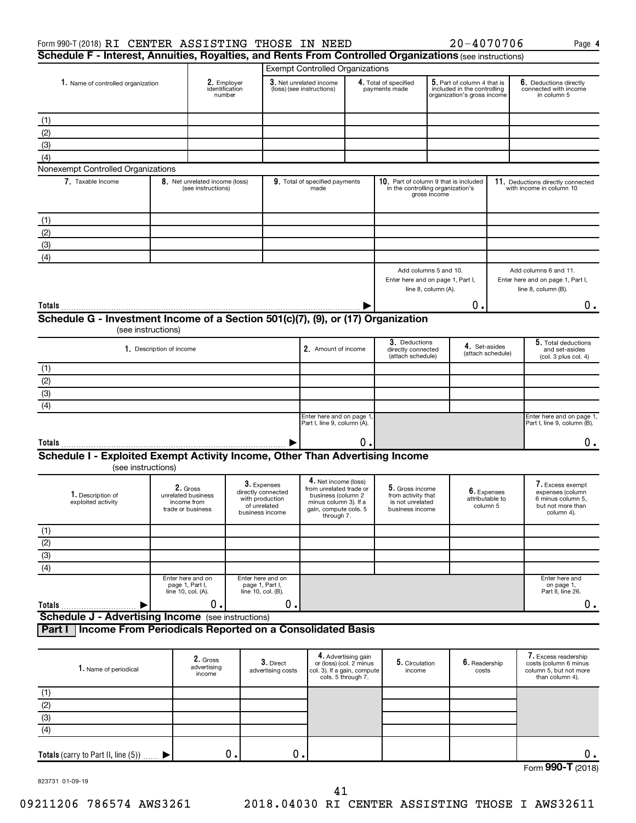| Cohodulo E Interest Annuities Develties and Dents Even Centrelled Organizations (ed. 1986) |      |
|--------------------------------------------------------------------------------------------|------|
| $20 - 4070706$<br>Form 990-T (2018) RI CENTER ASSISTING THOSE IN NEED                      | Page |

**4**

| Schedule F - Interest, Annuities, Royalties, and Rents From Controlled Organizations (see instructions) |                                                                    |                                                      |                                                                                         |                                                                                                                                       |                                        |                                                                              |                                                                                           |                                            |                                                                                              |
|---------------------------------------------------------------------------------------------------------|--------------------------------------------------------------------|------------------------------------------------------|-----------------------------------------------------------------------------------------|---------------------------------------------------------------------------------------------------------------------------------------|----------------------------------------|------------------------------------------------------------------------------|-------------------------------------------------------------------------------------------|--------------------------------------------|----------------------------------------------------------------------------------------------|
|                                                                                                         |                                                                    |                                                      |                                                                                         | <b>Exempt Controlled Organizations</b>                                                                                                |                                        |                                                                              |                                                                                           |                                            |                                                                                              |
| 1. Name of controlled organization                                                                      |                                                                    | 2. Employer<br>identification<br>number              |                                                                                         | 3. Net unrelated income<br>(loss) (see instructions)                                                                                  | 4. Total of specified<br>payments made |                                                                              | 5. Part of column 4 that is<br>included in the controlling<br>organization's gross income |                                            | 6. Deductions directly<br>connected with income<br>in column 5                               |
| (1)                                                                                                     |                                                                    |                                                      |                                                                                         |                                                                                                                                       |                                        |                                                                              |                                                                                           |                                            |                                                                                              |
| (2)                                                                                                     |                                                                    |                                                      |                                                                                         |                                                                                                                                       |                                        |                                                                              |                                                                                           |                                            |                                                                                              |
| (3)                                                                                                     |                                                                    |                                                      |                                                                                         |                                                                                                                                       |                                        |                                                                              |                                                                                           |                                            |                                                                                              |
| (4)                                                                                                     |                                                                    |                                                      |                                                                                         |                                                                                                                                       |                                        |                                                                              |                                                                                           |                                            |                                                                                              |
| Nonexempt Controlled Organizations                                                                      |                                                                    |                                                      |                                                                                         |                                                                                                                                       |                                        |                                                                              |                                                                                           |                                            |                                                                                              |
| 7. Taxable Income                                                                                       |                                                                    | 8. Net unrelated income (loss)<br>(see instructions) |                                                                                         | 9. Total of specified payments<br>made                                                                                                |                                        | 10. Part of column 9 that is included<br>in the controlling organization's   | gross income                                                                              |                                            | 11. Deductions directly connected<br>with income in column 10                                |
| (1)                                                                                                     |                                                                    |                                                      |                                                                                         |                                                                                                                                       |                                        |                                                                              |                                                                                           |                                            |                                                                                              |
| (2)                                                                                                     |                                                                    |                                                      |                                                                                         |                                                                                                                                       |                                        |                                                                              |                                                                                           |                                            |                                                                                              |
| (3)                                                                                                     |                                                                    |                                                      |                                                                                         |                                                                                                                                       |                                        |                                                                              |                                                                                           |                                            |                                                                                              |
| (4)                                                                                                     |                                                                    |                                                      |                                                                                         |                                                                                                                                       |                                        |                                                                              |                                                                                           |                                            |                                                                                              |
|                                                                                                         |                                                                    |                                                      |                                                                                         |                                                                                                                                       |                                        | Enter here and on page 1, Part I,                                            | Add columns 5 and 10.<br>line 8, column (A).                                              |                                            | Add columns 6 and 11.<br>Enter here and on page 1, Part I,<br>line 8, column (B).            |
| Totals                                                                                                  |                                                                    |                                                      |                                                                                         |                                                                                                                                       |                                        |                                                                              |                                                                                           | Ο.                                         | $0$ .                                                                                        |
| Schedule G - Investment Income of a Section 501(c)(7), (9), or (17) Organization                        |                                                                    |                                                      |                                                                                         |                                                                                                                                       |                                        |                                                                              |                                                                                           |                                            |                                                                                              |
|                                                                                                         | (see instructions)                                                 |                                                      |                                                                                         |                                                                                                                                       |                                        |                                                                              |                                                                                           |                                            |                                                                                              |
|                                                                                                         | 1. Description of income                                           |                                                      |                                                                                         | 2. Amount of income                                                                                                                   |                                        | 3. Deductions<br>directly connected<br>(attach schedule)                     |                                                                                           | 4. Set-asides<br>(attach schedule)         | 5. Total deductions<br>and set-asides<br>(col. 3 plus col. 4)                                |
| (1)                                                                                                     |                                                                    |                                                      |                                                                                         |                                                                                                                                       |                                        |                                                                              |                                                                                           |                                            |                                                                                              |
| (2)                                                                                                     |                                                                    |                                                      |                                                                                         |                                                                                                                                       |                                        |                                                                              |                                                                                           |                                            |                                                                                              |
| (3)                                                                                                     |                                                                    |                                                      |                                                                                         |                                                                                                                                       |                                        |                                                                              |                                                                                           |                                            |                                                                                              |
| (4)                                                                                                     |                                                                    |                                                      |                                                                                         |                                                                                                                                       |                                        |                                                                              |                                                                                           |                                            |                                                                                              |
|                                                                                                         |                                                                    |                                                      |                                                                                         | Enter here and on page 1<br>Part I, line 9, column (A).                                                                               |                                        |                                                                              |                                                                                           |                                            | Enter here and on page 1,<br>Part I, line 9, column (B).                                     |
| Totals                                                                                                  |                                                                    |                                                      |                                                                                         |                                                                                                                                       | О.                                     |                                                                              |                                                                                           |                                            | $0$ .                                                                                        |
| Schedule I - Exploited Exempt Activity Income, Other Than Advertising Income<br>(see instructions)      |                                                                    |                                                      |                                                                                         |                                                                                                                                       |                                        |                                                                              |                                                                                           |                                            |                                                                                              |
| 1. Description of<br>exploited activity                                                                 | 2. Gross<br>unrelated business<br>income from<br>trade or business |                                                      | 3. Expenses<br>directly connected<br>with production<br>of unrelated<br>business income | 4. Net income (loss)<br>from unrelated trade or<br>business (column 2<br>minus column 3). If a<br>gain, compute cols. 5<br>through 7. |                                        | 5. Gross income<br>from activity that<br>is not unrelated<br>business income |                                                                                           | 6. Expenses<br>attributable to<br>column 5 | 7. Excess exempt<br>expenses (column<br>6 minus column 5.<br>but not more than<br>column 4). |
| (1)                                                                                                     |                                                                    |                                                      |                                                                                         |                                                                                                                                       |                                        |                                                                              |                                                                                           |                                            |                                                                                              |
| (2)                                                                                                     |                                                                    |                                                      |                                                                                         |                                                                                                                                       |                                        |                                                                              |                                                                                           |                                            |                                                                                              |
| $\overline{3}$                                                                                          |                                                                    |                                                      |                                                                                         |                                                                                                                                       |                                        |                                                                              |                                                                                           |                                            |                                                                                              |
| $\overline{(4)}$                                                                                        |                                                                    |                                                      |                                                                                         |                                                                                                                                       |                                        |                                                                              |                                                                                           |                                            |                                                                                              |
|                                                                                                         | Enter here and on<br>page 1, Part I,<br>line 10, col. (A).         |                                                      | Enter here and on<br>page 1, Part I,<br>line 10, col. (B).                              |                                                                                                                                       |                                        |                                                                              |                                                                                           |                                            | Enter here and<br>on page 1,<br>Part II, line 26.                                            |

**Totals** 

**Schedule J - Advertising Income** (see instructions)

 $\blacktriangleright$ 

**Part I Income From Periodicals Reported on a Consolidated Basis**

| 1. Name of periodical                  | 2. Gross<br>advertising<br>income | 3. Direct<br>advertising costs | 4. Advertising gain<br>or (loss) (col. 2 minus<br>col. 3). If a gain, compute<br>cols. 5 through 7. | 5. Circulation<br>income | $6.$ Readership<br>costs | 7. Excess readership<br>costs (column 6 minus<br>column 5, but not more<br>than column 4). |
|----------------------------------------|-----------------------------------|--------------------------------|-----------------------------------------------------------------------------------------------------|--------------------------|--------------------------|--------------------------------------------------------------------------------------------|
| (1)                                    |                                   |                                |                                                                                                     |                          |                          |                                                                                            |
| (2)                                    |                                   |                                |                                                                                                     |                          |                          |                                                                                            |
| (3)                                    |                                   |                                |                                                                                                     |                          |                          |                                                                                            |
| (4)                                    |                                   |                                |                                                                                                     |                          |                          |                                                                                            |
| Totals (carry to Part II, line $(5)$ ) | О.                                | 0.                             |                                                                                                     |                          |                          | 0.                                                                                         |
|                                        |                                   |                                |                                                                                                     |                          |                          | Form 990-T (2018)                                                                          |

823731 01-09-19

09211206 786574 AWS3261 2018.04030 RI CENTER ASSISTING THOSE I AWS32611

 $\begin{array}{ccccccc} 0. & \hspace{1.5cm} & 0. & \hspace{1.5cm} & \hspace{1.5cm} & \hspace{1.5cm} & \hspace{1.5cm} & \hspace{1.5cm} & \hspace{1.5cm} & \hspace{1.5cm} & \hspace{1.5cm} & \hspace{1.5cm} & \hspace{1.5cm} & \hspace{1.5cm} \end{array}$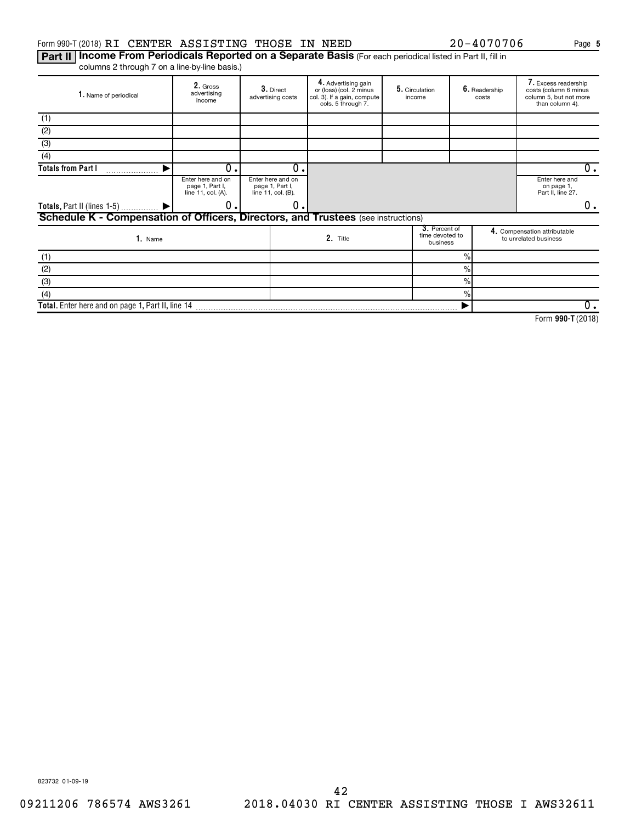#### Form 990-T (2018) RI CENTER ASSISTING THOSE IN NEED  $20-4070706$  Page

Part II | Income From Periodicals Reported on a Separate Basis (For each periodical listed in Part II, fill in columns 2 through 7 on a line-by-line basis.)

| 1. Name of periodical                                                             | 2. Gross<br>advertising<br>income                          | 3. Direct<br>advertising costs                             | 4. Advertising gain<br>or (loss) (col. 2 minus<br>col. 3). If a gain, compute<br>cols. 5 through 7. |  | income                                       |               | 5. Circulation<br>6. Readership<br>costs |                                                       | 7. Excess readership<br>costs (column 6 minus<br>column 5, but not more<br>than column 4). |
|-----------------------------------------------------------------------------------|------------------------------------------------------------|------------------------------------------------------------|-----------------------------------------------------------------------------------------------------|--|----------------------------------------------|---------------|------------------------------------------|-------------------------------------------------------|--------------------------------------------------------------------------------------------|
| (1)                                                                               |                                                            |                                                            |                                                                                                     |  |                                              |               |                                          |                                                       |                                                                                            |
| (2)                                                                               |                                                            |                                                            |                                                                                                     |  |                                              |               |                                          |                                                       |                                                                                            |
| (3)                                                                               |                                                            |                                                            |                                                                                                     |  |                                              |               |                                          |                                                       |                                                                                            |
| (4)                                                                               |                                                            |                                                            |                                                                                                     |  |                                              |               |                                          |                                                       |                                                                                            |
| <b>Totals from Part I</b>                                                         | Ο.                                                         | $\Omega$                                                   |                                                                                                     |  |                                              |               |                                          | 0.                                                    |                                                                                            |
|                                                                                   | Enter here and on<br>page 1, Part I,<br>line 11, col. (A). | Enter here and on<br>page 1, Part I,<br>line 11, col. (B). |                                                                                                     |  |                                              |               |                                          |                                                       |                                                                                            |
| Totals, Part II (lines 1-5)  ▶                                                    | О.                                                         | 0                                                          |                                                                                                     |  |                                              |               |                                          | 0.                                                    |                                                                                            |
| Schedule K - Compensation of Officers, Directors, and Trustees (see instructions) |                                                            |                                                            |                                                                                                     |  |                                              |               |                                          |                                                       |                                                                                            |
| 1. Name                                                                           |                                                            |                                                            | 2. Title                                                                                            |  | 3. Percent of<br>time devoted to<br>business |               |                                          | 4. Compensation attributable<br>to unrelated business |                                                                                            |
| (1)                                                                               |                                                            |                                                            |                                                                                                     |  |                                              | $\%$          |                                          |                                                       |                                                                                            |
| (2)                                                                               |                                                            |                                                            |                                                                                                     |  |                                              | $\%$          |                                          |                                                       |                                                                                            |
| (3)                                                                               |                                                            |                                                            |                                                                                                     |  |                                              | $\frac{0}{0}$ |                                          |                                                       |                                                                                            |
| (4)                                                                               |                                                            |                                                            |                                                                                                     |  |                                              | $\%$          |                                          |                                                       |                                                                                            |
| Total. Enter here and on page 1, Part II, line 14                                 |                                                            |                                                            |                                                                                                     |  |                                              |               |                                          | 0.                                                    |                                                                                            |

**990-T**  Form (2018)

**5**

823732 01-09-19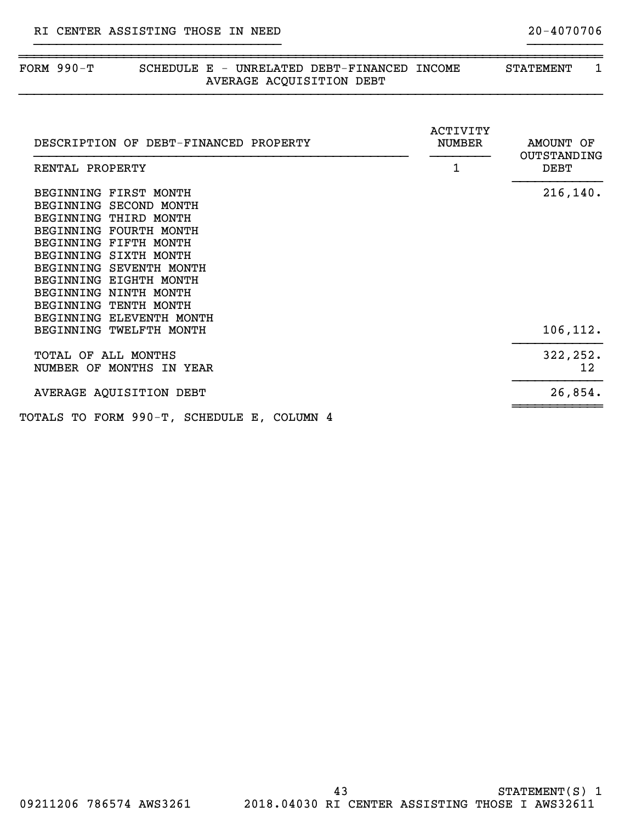| FORM $990-T$                                                                                                                                                                                                                                                                            | SCHEDULE E - UNRELATED DEBT-FINANCED INCOME<br>AVERAGE ACQUISITION DEBT |                                | 1<br><b>STATEMENT</b>            |
|-----------------------------------------------------------------------------------------------------------------------------------------------------------------------------------------------------------------------------------------------------------------------------------------|-------------------------------------------------------------------------|--------------------------------|----------------------------------|
| DESCRIPTION OF DEBT-FINANCED PROPERTY<br>RENTAL PROPERTY                                                                                                                                                                                                                                |                                                                         | ACTIVITY<br><b>NUMBER</b><br>1 | AMOUNT OF<br>OUTSTANDING<br>DEBT |
| BEGINNING FIRST MONTH<br>BEGINNING SECOND MONTH<br>BEGINNING THIRD MONTH<br>BEGINNING FOURTH MONTH<br>BEGINNING FIFTH MONTH<br>BEGINNING SIXTH MONTH<br>BEGINNING SEVENTH MONTH<br>BEGINNING EIGHTH MONTH<br>BEGINNING NINTH MONTH<br>BEGINNING TENTH MONTH<br>BEGINNING ELEVENTH MONTH |                                                                         |                                | 216, 140.                        |
| BEGINNING TWELFTH MONTH                                                                                                                                                                                                                                                                 |                                                                         |                                | 106, 112.                        |
| TOTAL OF ALL MONTHS<br>NUMBER OF MONTHS IN YEAR                                                                                                                                                                                                                                         |                                                                         |                                | 322, 252.<br>12 <sup>°</sup>     |
| AVERAGE AQUISITION DEBT                                                                                                                                                                                                                                                                 |                                                                         |                                | 26,854.                          |
| TOTALS TO FORM 990-T, SCHEDULE E, COLUMN 4                                                                                                                                                                                                                                              |                                                                         |                                |                                  |

~~~~~~~~~~~~~~~~~~~~~~~~~~~~~~~~~~~~~~~~~~~~~~~~~~~~~~~~~~~~~~~~~~~~~~~~~~~~~~

}}}}}}}}}}}}}}}}}}}}}}}}}}}}}}}}} }}}}}}}}}}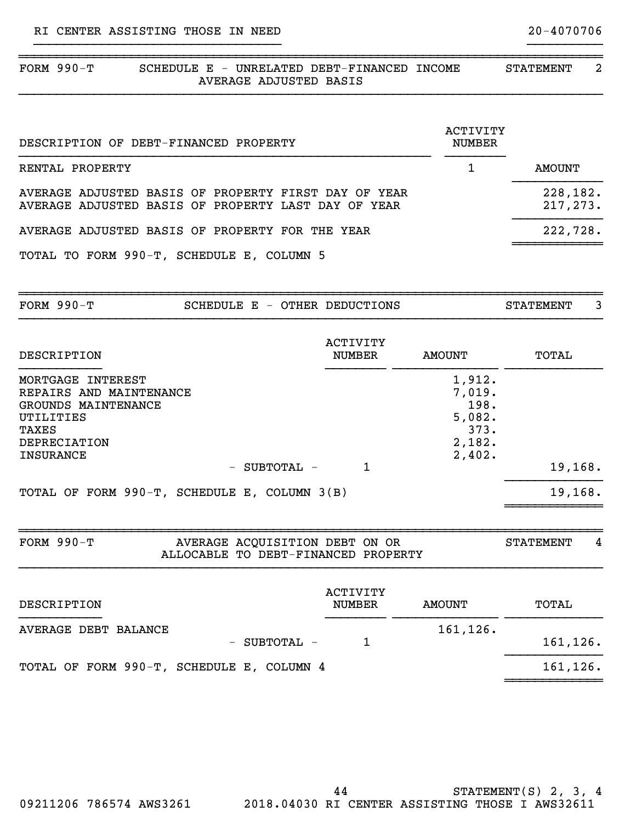| FORM $990-T$<br>SCHEDULE E - UNRELATED DEBT-FINANCED INCOME<br>AVERAGE ADJUSTED BASIS                                                                |                                  |                                                                | $\overline{a}$<br><b>STATEMENT</b> |  |
|------------------------------------------------------------------------------------------------------------------------------------------------------|----------------------------------|----------------------------------------------------------------|------------------------------------|--|
| DESCRIPTION OF DEBT-FINANCED PROPERTY                                                                                                                |                                  | <b>ACTIVITY</b><br><b>NUMBER</b>                               |                                    |  |
| RENTAL PROPERTY                                                                                                                                      |                                  | $\mathbf{1}$                                                   | <b>AMOUNT</b>                      |  |
| AVERAGE ADJUSTED BASIS OF PROPERTY FIRST DAY OF YEAR<br>AVERAGE ADJUSTED BASIS OF PROPERTY LAST DAY OF YEAR                                          |                                  |                                                                | 228,182.<br>217, 273.              |  |
| AVERAGE ADJUSTED BASIS OF PROPERTY FOR THE YEAR                                                                                                      |                                  |                                                                | 222,728.                           |  |
| TOTAL TO FORM 990-T, SCHEDULE E, COLUMN 5                                                                                                            |                                  |                                                                |                                    |  |
| FORM 990-T<br>SCHEDULE E - OTHER DEDUCTIONS                                                                                                          |                                  |                                                                | 3<br><b>STATEMENT</b>              |  |
| DESCRIPTION                                                                                                                                          | <b>ACTIVITY</b><br><b>NUMBER</b> | <b>AMOUNT</b>                                                  | TOTAL                              |  |
| MORTGAGE INTEREST<br>REPAIRS AND MAINTENANCE<br>GROUNDS MAINTENANCE<br>UTILITIES<br>TAXES<br><b>DEPRECIATION</b><br><b>INSURANCE</b><br>- SUBTOTAL - | $\mathbf{1}$                     | 1,912.<br>7,019.<br>198.<br>5,082.<br>373.<br>2,182.<br>2,402. | 19,168.                            |  |
| TOTAL OF FORM 990-T, SCHEDULE E, COLUMN 3(B)                                                                                                         |                                  |                                                                | 19,168.                            |  |
| <b>FORM 990-T</b><br>AVERAGE ACQUISITION DEBT ON OR<br>ALLOCABLE TO DEBT-FINANCED PROPERTY                                                           |                                  |                                                                | <b>STATEMENT</b><br>4              |  |
| DESCRIPTION                                                                                                                                          | <b>ACTIVITY</b><br><b>NUMBER</b> | <b>AMOUNT</b>                                                  | TOTAL                              |  |
| AVERAGE DEBT BALANCE<br>SUBTOTAL -                                                                                                                   | 1                                | 161,126.                                                       | 161,126.                           |  |
| TOTAL OF FORM 990-T, SCHEDULE E, COLUMN 4                                                                                                            |                                  |                                                                | 161,126.                           |  |

}}}}}}}}}}}}}}}}}}}}}}}}}}}}}}}}} }}}}}}}}}}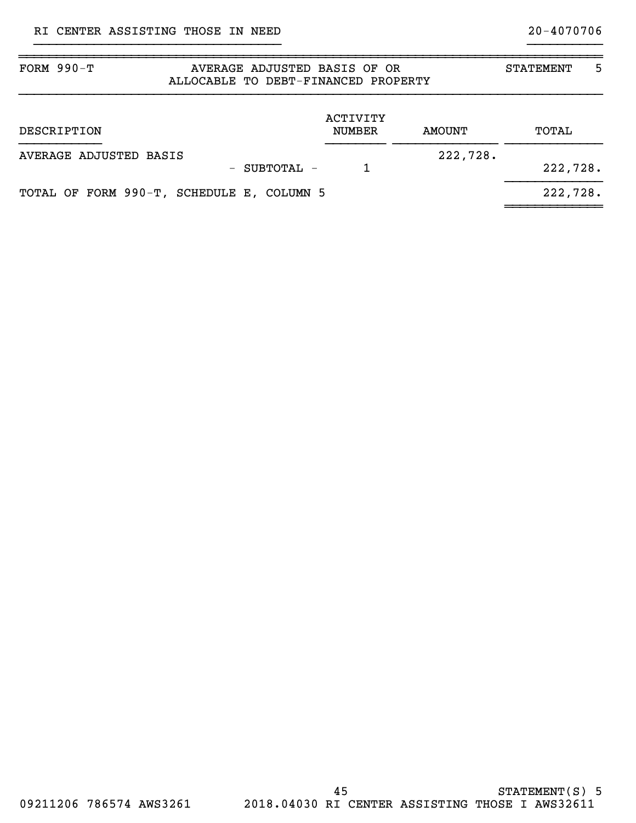| FORM $990-T$<br>AVERAGE ADJUSTED BASIS OF OR<br>ALLOCABLE TO DEBT-FINANCED PROPERTY | <b>STATEMENT</b>          | 5             |          |  |
|-------------------------------------------------------------------------------------|---------------------------|---------------|----------|--|
| DESCRIPTION                                                                         | ACTIVITY<br><b>NUMBER</b> | <b>AMOUNT</b> | TOTAL    |  |
| AVERAGE ADJUSTED BASIS<br>- SUBTOTAL -                                              |                           | 222,728.      | 222,728. |  |
| TOTAL OF FORM 990-T, SCHEDULE E, COLUMN 5                                           |                           |               | 222,728. |  |

~~~~~~~~~~~~~~~~~~~~~~~~~~~~~~~~~~~~~~~~~~~~~~~~~~~~~~~~~~~~~~~~~~~~~~~~~~~~~~

}}}}}}}}}}}}}}}}}}}}}}}}}}}}}}}}} }}}}}}}}}}